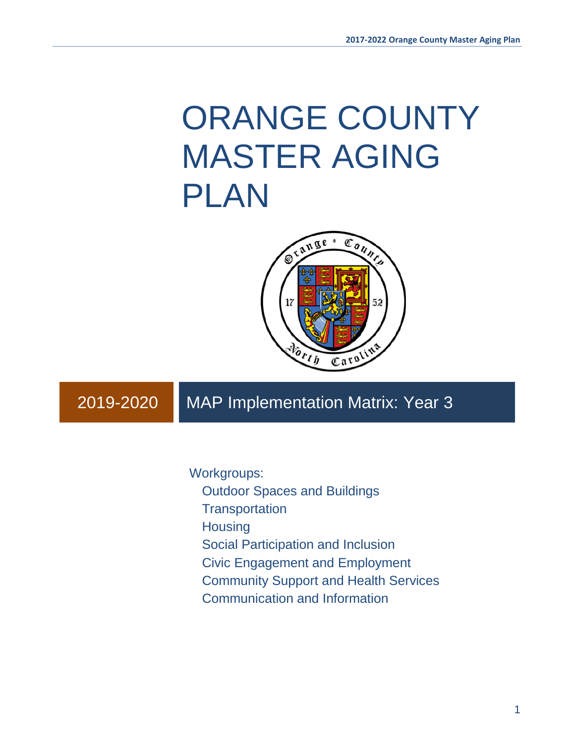# ORANGE COUNTY MASTER AGING PLAN



# 2019-2020 MAP Implementation Matrix: Year 3

Workgroups:

Outdoor Spaces and Buildings

**Transportation** 

**Housing** 

Social Participation and Inclusion

Civic Engagement and Employment

Community Support and Health Services

Communication and Information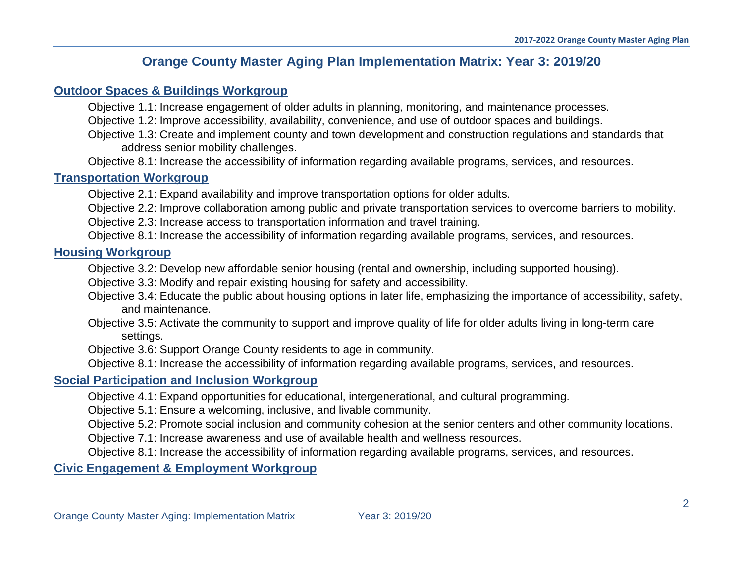# **Orange County Master Aging Plan Implementation Matrix: Year 3: 2019/20**

#### **[Outdoor Spaces & Buildings Workgroup](#page-3-0)**

Objective 1.1: Increase engagement of older adults in planning, monitoring, and maintenance processes.

Objective 1.2: Improve accessibility, availability, convenience, and use of outdoor spaces and buildings.

Objective 1.3: Create and implement county and town development and construction regulations and standards that address senior mobility challenges.

Objective 8.1: Increase the accessibility of information regarding available programs, services, and resources.

## **[Transportation Workgroup](#page-12-0)**

Objective 2.1: Expand availability and improve transportation options for older adults.

Objective 2.2: Improve collaboration among public and private transportation services to overcome barriers to mobility.

Objective 2.3: Increase access to transportation information and travel training.

Objective 8.1: Increase the accessibility of information regarding available programs, services, and resources.

## **Housing [Workgroup](#page-18-0)**

Objective 3.2: Develop new affordable senior housing (rental and ownership, including supported housing).

Objective 3.3: Modify and repair existing housing for safety and accessibility.

- Objective 3.4: Educate the public about housing options in later life, emphasizing the importance of accessibility, safety, and maintenance.
- Objective 3.5: Activate the community to support and improve quality of life for older adults living in long-term care settings.

Objective 3.6: Support Orange County residents to age in community.

Objective 8.1: Increase the accessibility of information regarding available programs, services, and resources.

## **[Social Participation](#page-28-0) and Inclusion Workgroup**

Objective 4.1: Expand opportunities for educational, intergenerational, and cultural programming.

Objective 5.1: Ensure a welcoming, inclusive, and livable community.

Objective 5.2: Promote social inclusion and community cohesion at the senior centers and other community locations.

Objective 7.1: Increase awareness and use of available health and wellness resources.

Objective 8.1: Increase the accessibility of information regarding available programs, services, and resources.

## **[Civic Engagement & Employment Workgroup](#page-40-0)**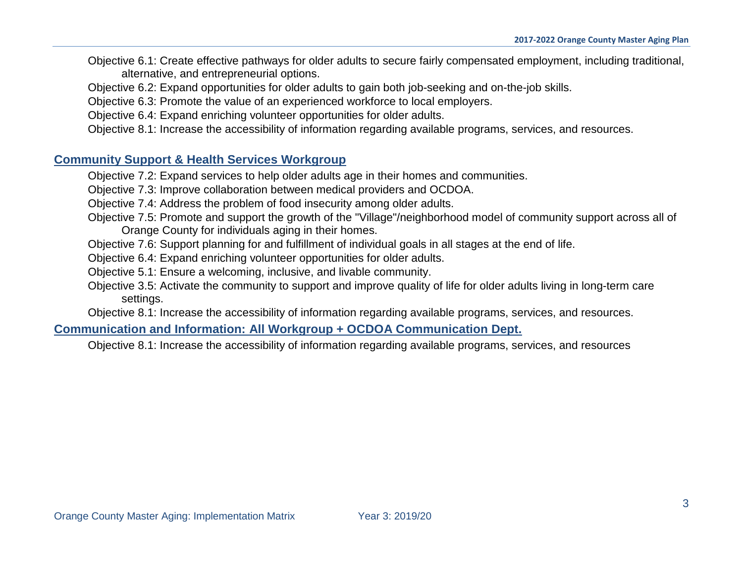- Objective 6.1: Create effective pathways for older adults to secure fairly compensated employment, including traditional, alternative, and entrepreneurial options.
- Objective 6.2: Expand opportunities for older adults to gain both job-seeking and on-the-job skills.
- Objective 6.3: Promote the value of an experienced workforce to local employers.
- Objective 6.4: Expand enriching volunteer opportunities for older adults.
- Objective 8.1: Increase the accessibility of information regarding available programs, services, and resources.

## **[Community Support & Health Services](#page-45-0) Workgroup**

- Objective 7.2: Expand services to help older adults age in their homes and communities.
- Objective 7.3: Improve collaboration between medical providers and OCDOA.
- Objective 7.4: Address the problem of food insecurity among older adults.
- Objective 7.5: Promote and support the growth of the "Village"/neighborhood model of community support across all of Orange County for individuals aging in their homes.
- Objective 7.6: Support planning for and fulfillment of individual goals in all stages at the end of life.
- Objective 6.4: Expand enriching volunteer opportunities for older adults.
- Objective 5.1: Ensure a welcoming, inclusive, and livable community.
- Objective 3.5: Activate the community to support and improve quality of life for older adults living in long-term care settings.
- Objective 8.1: Increase the accessibility of information regarding available programs, services, and resources.

## **[Communication and Information: All Workgroup + OCDOA Communication Dept](#page-71-0).**

Objective 8.1: Increase the accessibility of information regarding available programs, services, and resources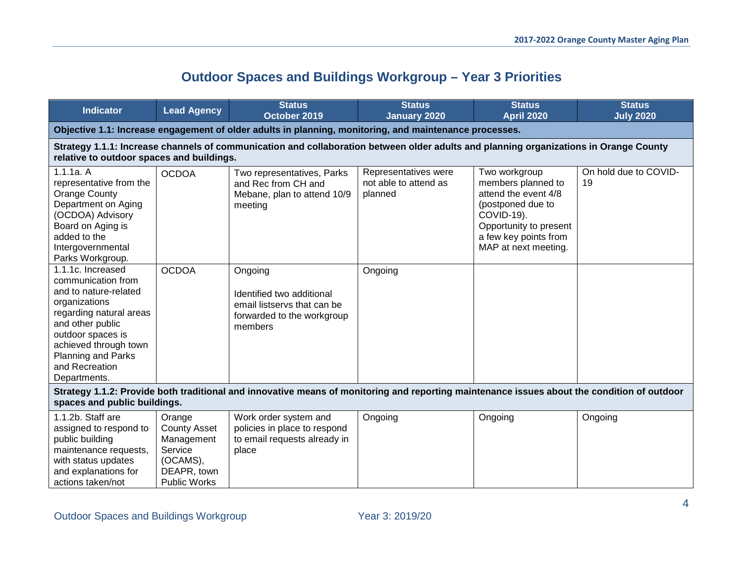# **Outdoor Spaces and Buildings Workgroup – Year 3 Priorities**

<span id="page-3-0"></span>

| <b>Indicator</b>                                                                                                                                                                                                                       | <b>Lead Agency</b>                                                                                       | <b>Status</b><br>October 2019                                                                                                         | <b>Status</b><br><b>January 2020</b>                     | <b>Status</b><br><b>April 2020</b>                                                                                                                                        | <b>Status</b><br><b>July 2020</b> |  |  |
|----------------------------------------------------------------------------------------------------------------------------------------------------------------------------------------------------------------------------------------|----------------------------------------------------------------------------------------------------------|---------------------------------------------------------------------------------------------------------------------------------------|----------------------------------------------------------|---------------------------------------------------------------------------------------------------------------------------------------------------------------------------|-----------------------------------|--|--|
|                                                                                                                                                                                                                                        |                                                                                                          | Objective 1.1: Increase engagement of older adults in planning, monitoring, and maintenance processes.                                |                                                          |                                                                                                                                                                           |                                   |  |  |
| relative to outdoor spaces and buildings.                                                                                                                                                                                              |                                                                                                          | Strategy 1.1.1: Increase channels of communication and collaboration between older adults and planning organizations in Orange County |                                                          |                                                                                                                                                                           |                                   |  |  |
| 1.1.1a. A<br>representative from the<br><b>Orange County</b><br>Department on Aging<br>(OCDOA) Advisory<br>Board on Aging is<br>added to the<br>Intergovernmental<br>Parks Workgroup.                                                  | <b>OCDOA</b>                                                                                             | Two representatives, Parks<br>and Rec from CH and<br>Mebane, plan to attend 10/9<br>meeting                                           | Representatives were<br>not able to attend as<br>planned | Two workgroup<br>members planned to<br>attend the event 4/8<br>(postponed due to<br>COVID-19).<br>Opportunity to present<br>a few key points from<br>MAP at next meeting. | On hold due to COVID-<br>19       |  |  |
| 1.1.1c. Increased<br>communication from<br>and to nature-related<br>organizations<br>regarding natural areas<br>and other public<br>outdoor spaces is<br>achieved through town<br>Planning and Parks<br>and Recreation<br>Departments. | <b>OCDOA</b>                                                                                             | Ongoing<br>Identified two additional<br>email listservs that can be<br>forwarded to the workgroup<br>members                          | Ongoing                                                  |                                                                                                                                                                           |                                   |  |  |
| Strategy 1.1.2: Provide both traditional and innovative means of monitoring and reporting maintenance issues about the condition of outdoor<br>spaces and public buildings.                                                            |                                                                                                          |                                                                                                                                       |                                                          |                                                                                                                                                                           |                                   |  |  |
| 1.1.2b. Staff are<br>assigned to respond to<br>public building<br>maintenance requests,<br>with status updates<br>and explanations for<br>actions taken/not                                                                            | Orange<br><b>County Asset</b><br>Management<br>Service<br>(OCAMS),<br>DEAPR, town<br><b>Public Works</b> | Work order system and<br>policies in place to respond<br>to email requests already in<br>place                                        | Ongoing                                                  | Ongoing                                                                                                                                                                   | Ongoing                           |  |  |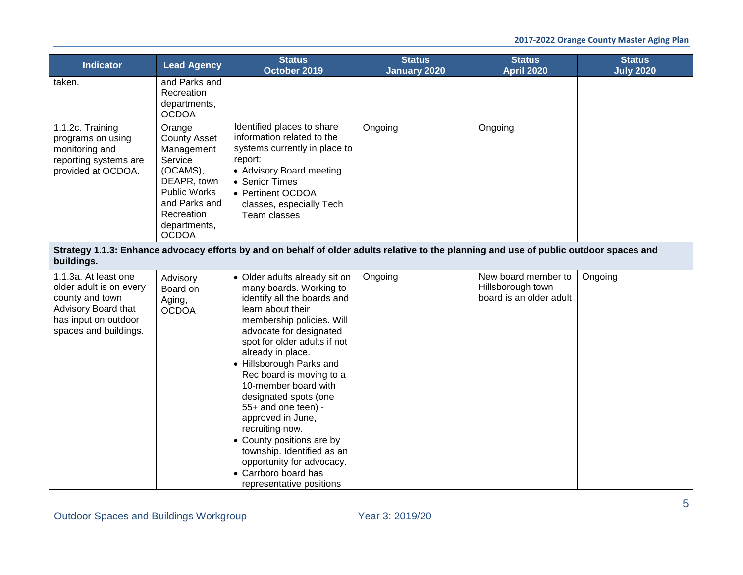| <b>Indicator</b>                                                                                                                           | <b>Lead Agency</b>                                                                                                                                               | <b>Status</b><br>October 2019                                                                                                                                                                                                                                                                                                                                                                                                                                                                                                                 | <b>Status</b><br><b>January 2020</b> | <b>Status</b><br><b>April 2020</b>                                  | <b>Status</b><br><b>July 2020</b> |
|--------------------------------------------------------------------------------------------------------------------------------------------|------------------------------------------------------------------------------------------------------------------------------------------------------------------|-----------------------------------------------------------------------------------------------------------------------------------------------------------------------------------------------------------------------------------------------------------------------------------------------------------------------------------------------------------------------------------------------------------------------------------------------------------------------------------------------------------------------------------------------|--------------------------------------|---------------------------------------------------------------------|-----------------------------------|
| taken.                                                                                                                                     | and Parks and<br>Recreation<br>departments,<br><b>OCDOA</b>                                                                                                      |                                                                                                                                                                                                                                                                                                                                                                                                                                                                                                                                               |                                      |                                                                     |                                   |
| 1.1.2c. Training<br>programs on using<br>monitoring and<br>reporting systems are<br>provided at OCDOA.                                     | Orange<br><b>County Asset</b><br>Management<br>Service<br>(OCAMS),<br>DEAPR, town<br>Public Works<br>and Parks and<br>Recreation<br>departments,<br><b>OCDOA</b> | Identified places to share<br>information related to the<br>systems currently in place to<br>report:<br>• Advisory Board meeting<br>• Senior Times<br>• Pertinent OCDOA<br>classes, especially Tech<br>Team classes                                                                                                                                                                                                                                                                                                                           | Ongoing                              | Ongoing                                                             |                                   |
| buildings.                                                                                                                                 |                                                                                                                                                                  | Strategy 1.1.3: Enhance advocacy efforts by and on behalf of older adults relative to the planning and use of public outdoor spaces and                                                                                                                                                                                                                                                                                                                                                                                                       |                                      |                                                                     |                                   |
| 1.1.3a. At least one<br>older adult is on every<br>county and town<br>Advisory Board that<br>has input on outdoor<br>spaces and buildings. | Advisory<br>Board on<br>Aging,<br><b>OCDOA</b>                                                                                                                   | • Older adults already sit on<br>many boards. Working to<br>identify all the boards and<br>learn about their<br>membership policies. Will<br>advocate for designated<br>spot for older adults if not<br>already in place.<br>• Hillsborough Parks and<br>Rec board is moving to a<br>10-member board with<br>designated spots (one<br>55+ and one teen) -<br>approved in June,<br>recruiting now.<br>• County positions are by<br>township. Identified as an<br>opportunity for advocacy.<br>• Carrboro board has<br>representative positions | Ongoing                              | New board member to<br>Hillsborough town<br>board is an older adult | Ongoing                           |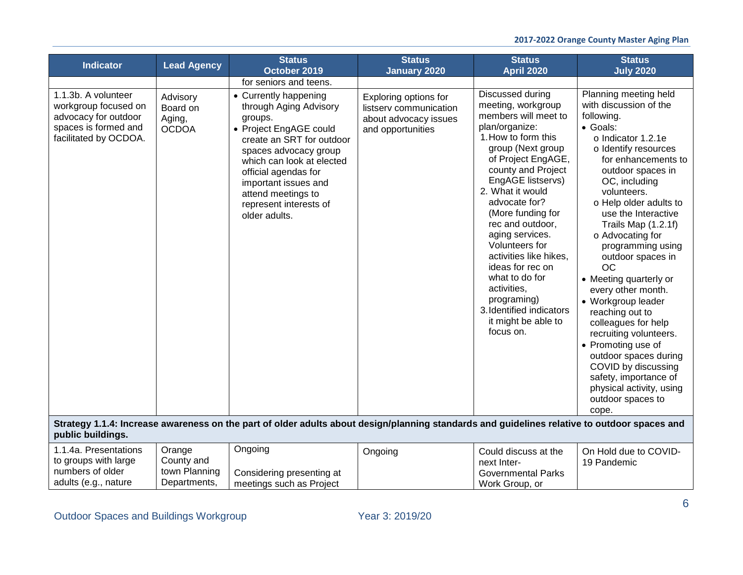| <b>Indicator</b>                                                                                                     | <b>Lead Agency</b>                                    | <b>Status</b><br>October 2019                                                                                                                                                                                                                                                            | <b>Status</b><br><b>January 2020</b>                                                          | <b>Status</b><br><b>April 2020</b>                                                                                                                                                                                                                                                                                                                                                                                                                                             | <b>Status</b><br><b>July 2020</b>                                                                                                                                                                                                                                                                                                                                                                                                                                                                                                                                                                                                                         |
|----------------------------------------------------------------------------------------------------------------------|-------------------------------------------------------|------------------------------------------------------------------------------------------------------------------------------------------------------------------------------------------------------------------------------------------------------------------------------------------|-----------------------------------------------------------------------------------------------|--------------------------------------------------------------------------------------------------------------------------------------------------------------------------------------------------------------------------------------------------------------------------------------------------------------------------------------------------------------------------------------------------------------------------------------------------------------------------------|-----------------------------------------------------------------------------------------------------------------------------------------------------------------------------------------------------------------------------------------------------------------------------------------------------------------------------------------------------------------------------------------------------------------------------------------------------------------------------------------------------------------------------------------------------------------------------------------------------------------------------------------------------------|
|                                                                                                                      |                                                       | for seniors and teens.                                                                                                                                                                                                                                                                   |                                                                                               |                                                                                                                                                                                                                                                                                                                                                                                                                                                                                |                                                                                                                                                                                                                                                                                                                                                                                                                                                                                                                                                                                                                                                           |
| 1.1.3b. A volunteer<br>workgroup focused on<br>advocacy for outdoor<br>spaces is formed and<br>facilitated by OCDOA. | Advisory<br>Board on<br>Aging,<br><b>OCDOA</b>        | • Currently happening<br>through Aging Advisory<br>groups.<br>• Project EngAGE could<br>create an SRT for outdoor<br>spaces advocacy group<br>which can look at elected<br>official agendas for<br>important issues and<br>attend meetings to<br>represent interests of<br>older adults. | Exploring options for<br>listserv communication<br>about advocacy issues<br>and opportunities | Discussed during<br>meeting, workgroup<br>members will meet to<br>plan/organize:<br>1. How to form this<br>group (Next group<br>of Project EngAGE,<br>county and Project<br>EngAGE listservs)<br>2. What it would<br>advocate for?<br>(More funding for<br>rec and outdoor,<br>aging services.<br>Volunteers for<br>activities like hikes,<br>ideas for rec on<br>what to do for<br>activities,<br>programing)<br>3. Identified indicators<br>it might be able to<br>focus on. | Planning meeting held<br>with discussion of the<br>following.<br>· Goals:<br>o Indicator 1.2.1e<br>o Identify resources<br>for enhancements to<br>outdoor spaces in<br>OC, including<br>volunteers.<br>o Help older adults to<br>use the Interactive<br>Trails Map (1.2.1f)<br>o Advocating for<br>programming using<br>outdoor spaces in<br><b>OC</b><br>• Meeting quarterly or<br>every other month.<br>• Workgroup leader<br>reaching out to<br>colleagues for help<br>recruiting volunteers.<br>• Promoting use of<br>outdoor spaces during<br>COVID by discussing<br>safety, importance of<br>physical activity, using<br>outdoor spaces to<br>cope. |
| public buildings.                                                                                                    |                                                       | Strategy 1.1.4: Increase awareness on the part of older adults about design/planning standards and guidelines relative to outdoor spaces and                                                                                                                                             |                                                                                               |                                                                                                                                                                                                                                                                                                                                                                                                                                                                                |                                                                                                                                                                                                                                                                                                                                                                                                                                                                                                                                                                                                                                                           |
| 1.1.4a. Presentations<br>to groups with large<br>numbers of older<br>adults (e.g., nature                            | Orange<br>County and<br>town Planning<br>Departments, | Ongoing<br>Considering presenting at<br>meetings such as Project                                                                                                                                                                                                                         | Ongoing                                                                                       | Could discuss at the<br>next Inter-<br><b>Governmental Parks</b><br>Work Group, or                                                                                                                                                                                                                                                                                                                                                                                             | On Hold due to COVID-<br>19 Pandemic                                                                                                                                                                                                                                                                                                                                                                                                                                                                                                                                                                                                                      |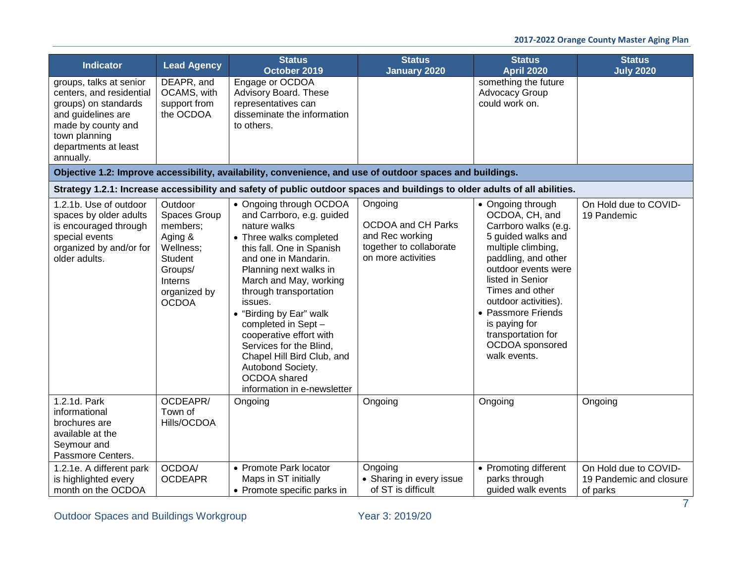| <b>Indicator</b>                                                                                                                                                              | <b>Lead Agency</b>                                                                                                                  | <b>Status</b><br>October 2019                                                                                                                                                                                                                                                                                                                                                                                                                           | <b>Status</b><br><b>January 2020</b>                                                                     | <b>Status</b><br><b>April 2020</b>                                                                                                                                                                                                                                                                                   | <b>Status</b><br><b>July 2020</b>                            |
|-------------------------------------------------------------------------------------------------------------------------------------------------------------------------------|-------------------------------------------------------------------------------------------------------------------------------------|---------------------------------------------------------------------------------------------------------------------------------------------------------------------------------------------------------------------------------------------------------------------------------------------------------------------------------------------------------------------------------------------------------------------------------------------------------|----------------------------------------------------------------------------------------------------------|----------------------------------------------------------------------------------------------------------------------------------------------------------------------------------------------------------------------------------------------------------------------------------------------------------------------|--------------------------------------------------------------|
| groups, talks at senior<br>centers, and residential<br>groups) on standards<br>and guidelines are<br>made by county and<br>town planning<br>departments at least<br>annually. | DEAPR, and<br>OCAMS, with<br>support from<br>the OCDOA                                                                              | Engage or OCDOA<br>Advisory Board. These<br>representatives can<br>disseminate the information<br>to others.                                                                                                                                                                                                                                                                                                                                            |                                                                                                          | something the future<br><b>Advocacy Group</b><br>could work on.                                                                                                                                                                                                                                                      |                                                              |
|                                                                                                                                                                               |                                                                                                                                     | Objective 1.2: Improve accessibility, availability, convenience, and use of outdoor spaces and buildings.                                                                                                                                                                                                                                                                                                                                               |                                                                                                          |                                                                                                                                                                                                                                                                                                                      |                                                              |
|                                                                                                                                                                               |                                                                                                                                     | Strategy 1.2.1: Increase accessibility and safety of public outdoor spaces and buildings to older adults of all abilities.                                                                                                                                                                                                                                                                                                                              |                                                                                                          |                                                                                                                                                                                                                                                                                                                      |                                                              |
| 1.2.1b. Use of outdoor<br>spaces by older adults<br>is encouraged through<br>special events<br>organized by and/or for<br>older adults.                                       | Outdoor<br>Spaces Group<br>members;<br>Aging &<br>Wellness;<br><b>Student</b><br>Groups/<br>Interns<br>organized by<br><b>OCDOA</b> | • Ongoing through OCDOA<br>and Carrboro, e.g. guided<br>nature walks<br>• Three walks completed<br>this fall. One in Spanish<br>and one in Mandarin.<br>Planning next walks in<br>March and May, working<br>through transportation<br>issues.<br>• "Birding by Ear" walk<br>completed in Sept -<br>cooperative effort with<br>Services for the Blind,<br>Chapel Hill Bird Club, and<br>Autobond Society.<br>OCDOA shared<br>information in e-newsletter | Ongoing<br><b>OCDOA and CH Parks</b><br>and Rec working<br>together to collaborate<br>on more activities | • Ongoing through<br>OCDOA, CH, and<br>Carrboro walks (e.g.<br>5 guided walks and<br>multiple climbing,<br>paddling, and other<br>outdoor events were<br>listed in Senior<br>Times and other<br>outdoor activities).<br>• Passmore Friends<br>is paying for<br>transportation for<br>OCDOA sponsored<br>walk events. | On Hold due to COVID-<br>19 Pandemic                         |
| 1.2.1d. Park<br>informational<br>brochures are<br>available at the<br>Seymour and<br>Passmore Centers.                                                                        | OCDEAPR/<br>Town of<br>Hills/OCDOA                                                                                                  | Ongoing                                                                                                                                                                                                                                                                                                                                                                                                                                                 | Ongoing                                                                                                  | Ongoing                                                                                                                                                                                                                                                                                                              | Ongoing                                                      |
| 1.2.1e. A different park<br>is highlighted every<br>month on the OCDOA                                                                                                        | OCDOA/<br><b>OCDEAPR</b>                                                                                                            | • Promote Park locator<br>Maps in ST initially<br>• Promote specific parks in                                                                                                                                                                                                                                                                                                                                                                           | Ongoing<br>• Sharing in every issue<br>of ST is difficult                                                | • Promoting different<br>parks through<br>guided walk events                                                                                                                                                                                                                                                         | On Hold due to COVID-<br>19 Pandemic and closure<br>of parks |

Outdoor Spaces and Buildings Workgroup Vear 3: 2019/20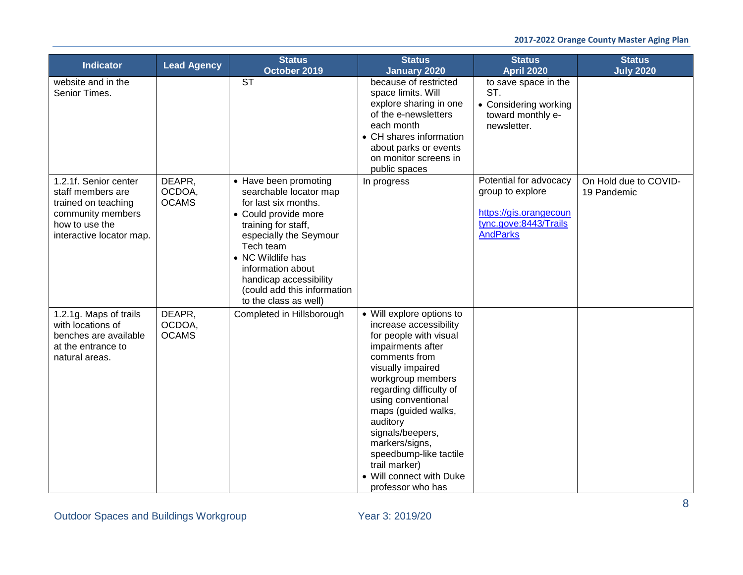| Indicator                                                         | <b>Lead Agency</b>               | <b>Status</b>                                                           | <b>Status</b>                                                      | <b>Status</b>                                    | <b>Status</b>                        |
|-------------------------------------------------------------------|----------------------------------|-------------------------------------------------------------------------|--------------------------------------------------------------------|--------------------------------------------------|--------------------------------------|
| website and in the<br>Senior Times.                               |                                  | October 2019<br><b>ST</b>                                               | <b>January 2020</b><br>because of restricted<br>space limits. Will | <b>April 2020</b><br>to save space in the<br>ST. | <b>July 2020</b>                     |
|                                                                   |                                  |                                                                         | explore sharing in one<br>of the e-newsletters                     | • Considering working<br>toward monthly e-       |                                      |
|                                                                   |                                  |                                                                         | each month<br>• CH shares information                              | newsletter.                                      |                                      |
|                                                                   |                                  |                                                                         | about parks or events<br>on monitor screens in                     |                                                  |                                      |
|                                                                   |                                  |                                                                         | public spaces                                                      |                                                  |                                      |
| 1.2.1f. Senior center<br>staff members are<br>trained on teaching | DEAPR,<br>OCDOA,<br><b>OCAMS</b> | • Have been promoting<br>searchable locator map<br>for last six months. | In progress                                                        | Potential for advocacy<br>group to explore       | On Hold due to COVID-<br>19 Pandemic |
| community members<br>how to use the                               |                                  | • Could provide more                                                    |                                                                    | https://gis.orangecoun<br>tync.gove:8443/Trails  |                                      |
| interactive locator map.                                          |                                  | training for staff,<br>especially the Seymour<br>Tech team              |                                                                    | <b>AndParks</b>                                  |                                      |
|                                                                   |                                  | • NC Wildlife has                                                       |                                                                    |                                                  |                                      |
|                                                                   |                                  | information about<br>handicap accessibility                             |                                                                    |                                                  |                                      |
|                                                                   |                                  | (could add this information<br>to the class as well)                    |                                                                    |                                                  |                                      |
| 1.2.1g. Maps of trails<br>with locations of                       | DEAPR,<br>OCDOA,                 | Completed in Hillsborough                                               | • Will explore options to<br>increase accessibility                |                                                  |                                      |
| benches are available<br>at the entrance to                       | <b>OCAMS</b>                     |                                                                         | for people with visual<br>impairments after                        |                                                  |                                      |
| natural areas.                                                    |                                  |                                                                         | comments from<br>visually impaired                                 |                                                  |                                      |
|                                                                   |                                  |                                                                         | workgroup members<br>regarding difficulty of                       |                                                  |                                      |
|                                                                   |                                  |                                                                         | using conventional<br>maps (guided walks,                          |                                                  |                                      |
|                                                                   |                                  |                                                                         | auditory<br>signals/beepers,                                       |                                                  |                                      |
|                                                                   |                                  |                                                                         | markers/signs,<br>speedbump-like tactile                           |                                                  |                                      |
|                                                                   |                                  |                                                                         | trail marker)<br>• Will connect with Duke                          |                                                  |                                      |
|                                                                   |                                  |                                                                         | professor who has                                                  |                                                  |                                      |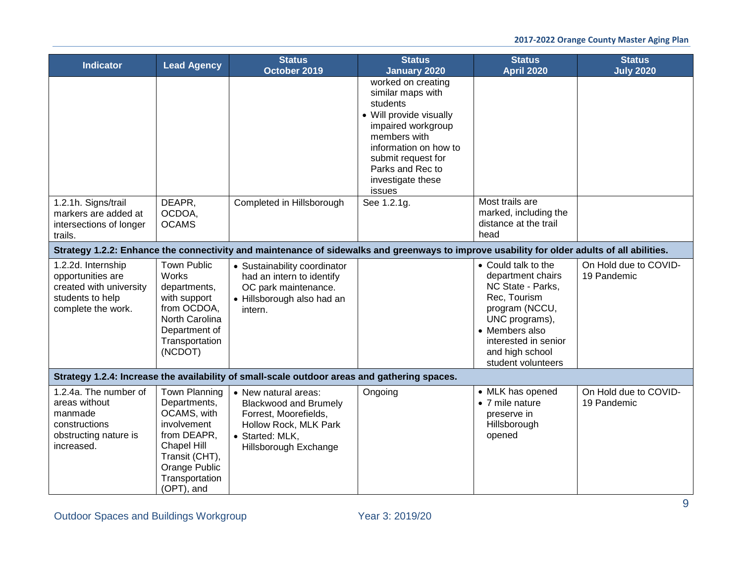| <b>Indicator</b>                                                                                             | <b>Lead Agency</b>                                                                                                                                           | <b>Status</b><br>October 2019                                                                                                                      | <b>Status</b><br><b>January 2020</b>                                                                                                                                                                                   | <b>Status</b><br><b>April 2020</b>                                                                                                                                                                   | <b>Status</b><br><b>July 2020</b>    |
|--------------------------------------------------------------------------------------------------------------|--------------------------------------------------------------------------------------------------------------------------------------------------------------|----------------------------------------------------------------------------------------------------------------------------------------------------|------------------------------------------------------------------------------------------------------------------------------------------------------------------------------------------------------------------------|------------------------------------------------------------------------------------------------------------------------------------------------------------------------------------------------------|--------------------------------------|
|                                                                                                              |                                                                                                                                                              |                                                                                                                                                    | worked on creating<br>similar maps with<br>students<br>• Will provide visually<br>impaired workgroup<br>members with<br>information on how to<br>submit request for<br>Parks and Rec to<br>investigate these<br>issues |                                                                                                                                                                                                      |                                      |
| 1.2.1h. Signs/trail<br>markers are added at<br>intersections of longer<br>trails.                            | DEAPR,<br>OCDOA,<br><b>OCAMS</b>                                                                                                                             | Completed in Hillsborough                                                                                                                          | See 1.2.1g.                                                                                                                                                                                                            | Most trails are<br>marked, including the<br>distance at the trail<br>head                                                                                                                            |                                      |
|                                                                                                              |                                                                                                                                                              | Strategy 1.2.2: Enhance the connectivity and maintenance of sidewalks and greenways to improve usability for older adults of all abilities.        |                                                                                                                                                                                                                        |                                                                                                                                                                                                      |                                      |
| 1.2.2d. Internship<br>opportunities are<br>created with university<br>students to help<br>complete the work. | <b>Town Public</b><br><b>Works</b><br>departments,<br>with support<br>from OCDOA,<br>North Carolina<br>Department of<br>Transportation<br>(NCDOT)            | • Sustainability coordinator<br>had an intern to identify<br>OC park maintenance.<br>• Hillsborough also had an<br>intern.                         |                                                                                                                                                                                                                        | • Could talk to the<br>department chairs<br>NC State - Parks,<br>Rec, Tourism<br>program (NCCU,<br>UNC programs),<br>• Members also<br>interested in senior<br>and high school<br>student volunteers | On Hold due to COVID-<br>19 Pandemic |
|                                                                                                              |                                                                                                                                                              | Strategy 1.2.4: Increase the availability of small-scale outdoor areas and gathering spaces.                                                       |                                                                                                                                                                                                                        |                                                                                                                                                                                                      |                                      |
| 1.2.4a. The number of<br>areas without<br>manmade<br>constructions<br>obstructing nature is<br>increased.    | Town Planning<br>Departments,<br>OCAMS, with<br>involvement<br>from DEAPR,<br>Chapel Hill<br>Transit (CHT),<br>Orange Public<br>Transportation<br>(OPT), and | • New natural areas:<br><b>Blackwood and Brumely</b><br>Forrest, Moorefields,<br>Hollow Rock, MLK Park<br>• Started: MLK,<br>Hillsborough Exchange | Ongoing                                                                                                                                                                                                                | • MLK has opened<br>• 7 mile nature<br>preserve in<br>Hillsborough<br>opened                                                                                                                         | On Hold due to COVID-<br>19 Pandemic |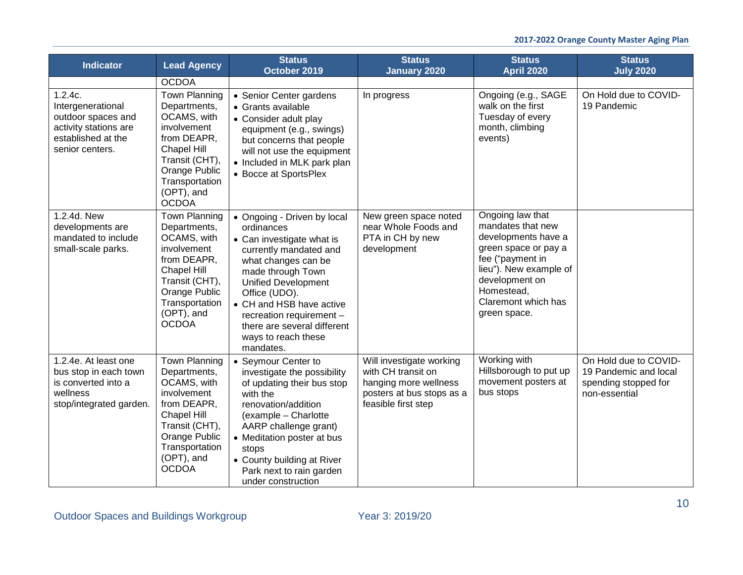| <b>Indicator</b>                                                                                                     | <b>Lead Agency</b>                                                                                                                                                                         | <b>Status</b><br>October 2019                                                                                                                                                                                                                                                                                          | <b>Status</b><br><b>January 2020</b>                                                                                        | <b>Status</b><br><b>April 2020</b>                                                                                                                                                                        | <b>Status</b><br><b>July 2020</b>                                                       |
|----------------------------------------------------------------------------------------------------------------------|--------------------------------------------------------------------------------------------------------------------------------------------------------------------------------------------|------------------------------------------------------------------------------------------------------------------------------------------------------------------------------------------------------------------------------------------------------------------------------------------------------------------------|-----------------------------------------------------------------------------------------------------------------------------|-----------------------------------------------------------------------------------------------------------------------------------------------------------------------------------------------------------|-----------------------------------------------------------------------------------------|
|                                                                                                                      | <b>OCDOA</b>                                                                                                                                                                               |                                                                                                                                                                                                                                                                                                                        |                                                                                                                             |                                                                                                                                                                                                           |                                                                                         |
| 1.2.4c.<br>Intergenerational<br>outdoor spaces and<br>activity stations are<br>established at the<br>senior centers. | <b>Town Planning</b><br>Departments,<br>OCAMS, with<br>involvement<br>from DEAPR,<br><b>Chapel Hill</b><br>Transit (CHT),<br>Orange Public<br>Transportation<br>(OPT), and<br><b>OCDOA</b> | • Senior Center gardens<br>• Grants available<br>• Consider adult play<br>equipment (e.g., swings)<br>but concerns that people<br>will not use the equipment<br>• Included in MLK park plan<br>• Bocce at SportsPlex                                                                                                   | In progress                                                                                                                 | Ongoing (e.g., SAGE<br>walk on the first<br>Tuesday of every<br>month, climbing<br>events)                                                                                                                | On Hold due to COVID-<br>19 Pandemic                                                    |
| 1.2.4d. New<br>developments are<br>mandated to include<br>small-scale parks.                                         | <b>Town Planning</b><br>Departments,<br>OCAMS, with<br>involvement<br>from DEAPR,<br><b>Chapel Hill</b><br>Transit (CHT),<br>Orange Public<br>Transportation<br>(OPT), and<br><b>OCDOA</b> | • Ongoing - Driven by local<br>ordinances<br>• Can investigate what is<br>currently mandated and<br>what changes can be<br>made through Town<br><b>Unified Development</b><br>Office (UDO).<br>• CH and HSB have active<br>recreation requirement -<br>there are several different<br>ways to reach these<br>mandates. | New green space noted<br>near Whole Foods and<br>PTA in CH by new<br>development                                            | Ongoing law that<br>mandates that new<br>developments have a<br>green space or pay a<br>fee ("payment in<br>lieu"). New example of<br>development on<br>Homestead,<br>Claremont which has<br>green space. |                                                                                         |
| 1.2.4e. At least one<br>bus stop in each town<br>is converted into a<br>wellness<br>stop/integrated garden.          | <b>Town Planning</b><br>Departments,<br>OCAMS, with<br>involvement<br>from DEAPR,<br><b>Chapel Hill</b><br>Transit (CHT),<br>Orange Public<br>Transportation<br>(OPT), and<br><b>OCDOA</b> | • Seymour Center to<br>investigate the possibility<br>of updating their bus stop<br>with the<br>renovation/addition<br>(example - Charlotte<br>AARP challenge grant)<br>• Meditation poster at bus<br>stops<br>• County building at River<br>Park next to rain garden<br>under construction                            | Will investigate working<br>with CH transit on<br>hanging more wellness<br>posters at bus stops as a<br>feasible first step | Working with<br>Hillsborough to put up<br>movement posters at<br>bus stops                                                                                                                                | On Hold due to COVID-<br>19 Pandemic and local<br>spending stopped for<br>non-essential |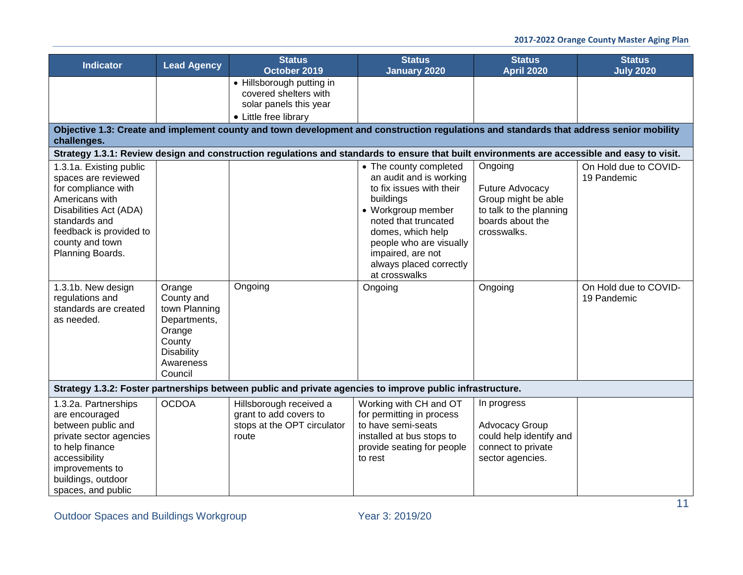| <b>Indicator</b>                                                                                                                                                                                     | <b>Lead Agency</b>                                                                                                     | <b>Status</b><br>October 2019                                                                                                                | <b>Status</b><br><b>January 2020</b>                                                                                                                                                                                                                      | <b>Status</b><br><b>April 2020</b>                                                                                     | <b>Status</b><br><b>July 2020</b>    |
|------------------------------------------------------------------------------------------------------------------------------------------------------------------------------------------------------|------------------------------------------------------------------------------------------------------------------------|----------------------------------------------------------------------------------------------------------------------------------------------|-----------------------------------------------------------------------------------------------------------------------------------------------------------------------------------------------------------------------------------------------------------|------------------------------------------------------------------------------------------------------------------------|--------------------------------------|
|                                                                                                                                                                                                      |                                                                                                                        | • Hillsborough putting in<br>covered shelters with<br>solar panels this year<br>• Little free library                                        |                                                                                                                                                                                                                                                           |                                                                                                                        |                                      |
| challenges.                                                                                                                                                                                          |                                                                                                                        | Objective 1.3: Create and implement county and town development and construction regulations and standards that address senior mobility      |                                                                                                                                                                                                                                                           |                                                                                                                        |                                      |
|                                                                                                                                                                                                      |                                                                                                                        | Strategy 1.3.1: Review design and construction regulations and standards to ensure that built environments are accessible and easy to visit. |                                                                                                                                                                                                                                                           |                                                                                                                        |                                      |
| 1.3.1a. Existing public<br>spaces are reviewed<br>for compliance with<br>Americans with<br>Disabilities Act (ADA)<br>standards and<br>feedback is provided to<br>county and town<br>Planning Boards. |                                                                                                                        |                                                                                                                                              | • The county completed<br>an audit and is working<br>to fix issues with their<br>buildings<br>• Workgroup member<br>noted that truncated<br>domes, which help<br>people who are visually<br>impaired, are not<br>always placed correctly<br>at crosswalks | Ongoing<br><b>Future Advocacy</b><br>Group might be able<br>to talk to the planning<br>boards about the<br>crosswalks. | On Hold due to COVID-<br>19 Pandemic |
| 1.3.1b. New design<br>regulations and<br>standards are created<br>as needed.                                                                                                                         | Orange<br>County and<br>town Planning<br>Departments,<br>Orange<br>County<br><b>Disability</b><br>Awareness<br>Council | Ongoing                                                                                                                                      | Ongoing                                                                                                                                                                                                                                                   | Ongoing                                                                                                                | On Hold due to COVID-<br>19 Pandemic |
|                                                                                                                                                                                                      |                                                                                                                        | Strategy 1.3.2: Foster partnerships between public and private agencies to improve public infrastructure.                                    |                                                                                                                                                                                                                                                           |                                                                                                                        |                                      |
| 1.3.2a. Partnerships<br>are encouraged<br>between public and<br>private sector agencies<br>to help finance<br>accessibility<br>improvements to<br>buildings, outdoor<br>spaces, and public           | <b>OCDOA</b>                                                                                                           | Hillsborough received a<br>grant to add covers to<br>stops at the OPT circulator<br>route                                                    | Working with CH and OT<br>for permitting in process<br>to have semi-seats<br>installed at bus stops to<br>provide seating for people<br>to rest                                                                                                           | In progress<br><b>Advocacy Group</b><br>could help identify and<br>connect to private<br>sector agencies.              |                                      |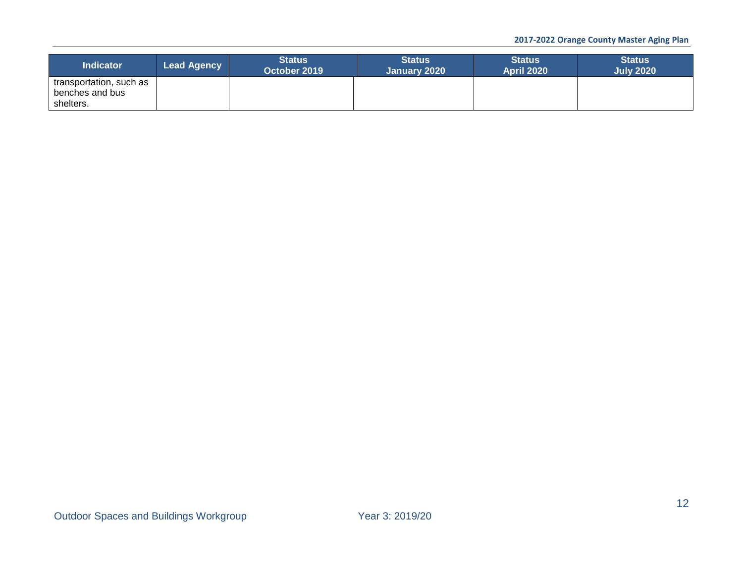| <b>Indicator</b>        | <b>Lead Agency</b> | <b>Status</b><br>October 2019 | <b>Status</b><br>January 2020 | <b>Status</b><br><b>April 2020</b> | <b>Status</b><br><b>July 2020</b> |
|-------------------------|--------------------|-------------------------------|-------------------------------|------------------------------------|-----------------------------------|
| transportation, such as |                    |                               |                               |                                    |                                   |
| benches and bus         |                    |                               |                               |                                    |                                   |
| shelters.               |                    |                               |                               |                                    |                                   |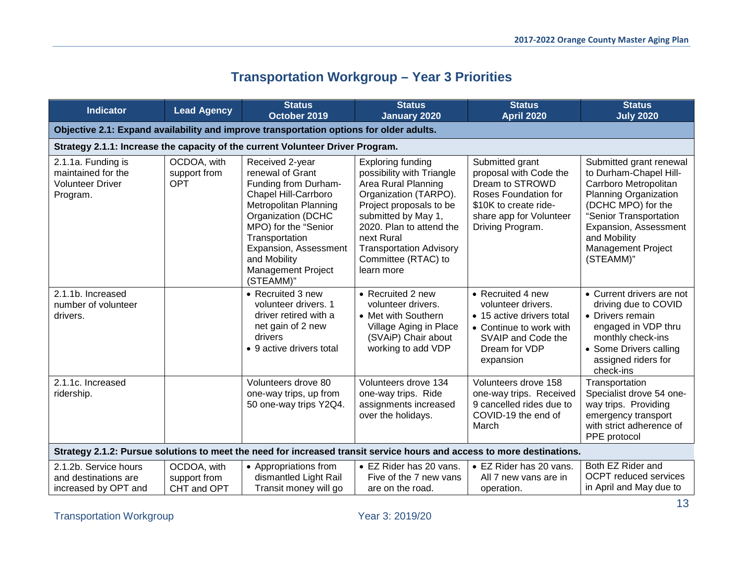# **Transportation Workgroup – Year 3 Priorities**

<span id="page-12-0"></span>

| <b>Indicator</b>                                                                | <b>Lead Agency</b>                         | <b>Status</b><br>October 2019                                                                                                                                                                                                                                   | <b>Status</b><br><b>January 2020</b>                                                                                                                                                                                                                                     | <b>Status</b><br><b>April 2020</b>                                                                                                                           | <b>Status</b><br><b>July 2020</b>                                                                                                                                                                                                             |
|---------------------------------------------------------------------------------|--------------------------------------------|-----------------------------------------------------------------------------------------------------------------------------------------------------------------------------------------------------------------------------------------------------------------|--------------------------------------------------------------------------------------------------------------------------------------------------------------------------------------------------------------------------------------------------------------------------|--------------------------------------------------------------------------------------------------------------------------------------------------------------|-----------------------------------------------------------------------------------------------------------------------------------------------------------------------------------------------------------------------------------------------|
|                                                                                 |                                            | Objective 2.1: Expand availability and improve transportation options for older adults.                                                                                                                                                                         |                                                                                                                                                                                                                                                                          |                                                                                                                                                              |                                                                                                                                                                                                                                               |
|                                                                                 |                                            | Strategy 2.1.1: Increase the capacity of the current Volunteer Driver Program.                                                                                                                                                                                  |                                                                                                                                                                                                                                                                          |                                                                                                                                                              |                                                                                                                                                                                                                                               |
| 2.1.1a. Funding is<br>maintained for the<br><b>Volunteer Driver</b><br>Program. | OCDOA, with<br>support from<br><b>OPT</b>  | Received 2-year<br>renewal of Grant<br>Funding from Durham-<br>Chapel Hill-Carrboro<br>Metropolitan Planning<br>Organization (DCHC<br>MPO) for the "Senior<br>Transportation<br>Expansion, Assessment<br>and Mobility<br><b>Management Project</b><br>(STEAMM)" | <b>Exploring funding</b><br>possibility with Triangle<br>Area Rural Planning<br>Organization (TARPO).<br>Project proposals to be<br>submitted by May 1,<br>2020. Plan to attend the<br>next Rural<br><b>Transportation Advisory</b><br>Committee (RTAC) to<br>learn more | Submitted grant<br>proposal with Code the<br>Dream to STROWD<br>Roses Foundation for<br>\$10K to create ride-<br>share app for Volunteer<br>Driving Program. | Submitted grant renewal<br>to Durham-Chapel Hill-<br>Carrboro Metropolitan<br><b>Planning Organization</b><br>(DCHC MPO) for the<br>"Senior Transportation<br>Expansion, Assessment<br>and Mobility<br><b>Management Project</b><br>(STEAMM)" |
| 2.1.1b. Increased<br>number of volunteer<br>drivers.                            |                                            | • Recruited 3 new<br>volunteer drivers. 1<br>driver retired with a<br>net gain of 2 new<br>drivers<br>• 9 active drivers total                                                                                                                                  | • Recruited 2 new<br>volunteer drivers.<br>• Met with Southern<br>Village Aging in Place<br>(SVAiP) Chair about<br>working to add VDP                                                                                                                                    | • Recruited 4 new<br>volunteer drivers.<br>• 15 active drivers total<br>• Continue to work with<br>SVAIP and Code the<br>Dream for VDP<br>expansion          | • Current drivers are not<br>driving due to COVID<br>• Drivers remain<br>engaged in VDP thru<br>monthly check-ins<br>• Some Drivers calling<br>assigned riders for<br>check-ins                                                               |
| 2.1.1c. Increased<br>ridership.                                                 |                                            | Volunteers drove 80<br>one-way trips, up from<br>50 one-way trips Y2Q4.                                                                                                                                                                                         | Volunteers drove 134<br>one-way trips. Ride<br>assignments increased<br>over the holidays.                                                                                                                                                                               | Volunteers drove 158<br>one-way trips. Received<br>9 cancelled rides due to<br>COVID-19 the end of<br>March                                                  | Transportation<br>Specialist drove 54 one-<br>way trips. Providing<br>emergency transport<br>with strict adherence of<br>PPE protocol                                                                                                         |
|                                                                                 |                                            |                                                                                                                                                                                                                                                                 | Strategy 2.1.2: Pursue solutions to meet the need for increased transit service hours and access to more destinations.                                                                                                                                                   |                                                                                                                                                              |                                                                                                                                                                                                                                               |
| 2.1.2b. Service hours<br>and destinations are<br>increased by OPT and           | OCDOA, with<br>support from<br>CHT and OPT | • Appropriations from<br>dismantled Light Rail<br>Transit money will go                                                                                                                                                                                         | • EZ Rider has 20 vans.<br>Five of the 7 new vans<br>are on the road.                                                                                                                                                                                                    | • EZ Rider has 20 vans.<br>All 7 new vans are in<br>operation.                                                                                               | Both EZ Rider and<br><b>OCPT</b> reduced services<br>in April and May due to                                                                                                                                                                  |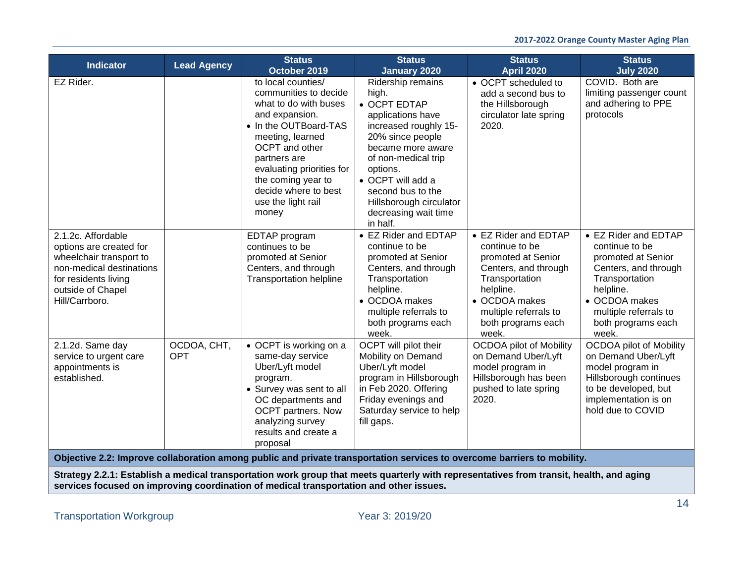| <b>Indicator</b>                                                                                                                                                    | <b>Lead Agency</b> | <b>Status</b><br>October 2019                                                                                                                                                                                                                                                          | <b>Status</b><br><b>January 2020</b>                                                                                                                                                                                                                                          | <b>Status</b><br><b>April 2020</b>                                                                                                                                                           | <b>Status</b><br><b>July 2020</b>                                                                                                                                                            |
|---------------------------------------------------------------------------------------------------------------------------------------------------------------------|--------------------|----------------------------------------------------------------------------------------------------------------------------------------------------------------------------------------------------------------------------------------------------------------------------------------|-------------------------------------------------------------------------------------------------------------------------------------------------------------------------------------------------------------------------------------------------------------------------------|----------------------------------------------------------------------------------------------------------------------------------------------------------------------------------------------|----------------------------------------------------------------------------------------------------------------------------------------------------------------------------------------------|
| EZ Rider.                                                                                                                                                           |                    | to local counties/<br>communities to decide<br>what to do with buses<br>and expansion.<br>• In the OUTBoard-TAS<br>meeting, learned<br><b>OCPT</b> and other<br>partners are<br>evaluating priorities for<br>the coming year to<br>decide where to best<br>use the light rail<br>money | Ridership remains<br>high.<br>• OCPT EDTAP<br>applications have<br>increased roughly 15-<br>20% since people<br>became more aware<br>of non-medical trip<br>options.<br>• OCPT will add a<br>second bus to the<br>Hillsborough circulator<br>decreasing wait time<br>in half. | • OCPT scheduled to<br>add a second bus to<br>the Hillsborough<br>circulator late spring<br>2020.                                                                                            | COVID. Both are<br>limiting passenger count<br>and adhering to PPE<br>protocols                                                                                                              |
| 2.1.2c. Affordable<br>options are created for<br>wheelchair transport to<br>non-medical destinations<br>for residents living<br>outside of Chapel<br>Hill/Carrboro. |                    | EDTAP program<br>continues to be<br>promoted at Senior<br>Centers, and through<br><b>Transportation helpline</b>                                                                                                                                                                       | • EZ Rider and EDTAP<br>continue to be<br>promoted at Senior<br>Centers, and through<br>Transportation<br>helpline.<br>• OCDOA makes<br>multiple referrals to<br>both programs each<br>week.                                                                                  | • EZ Rider and EDTAP<br>continue to be<br>promoted at Senior<br>Centers, and through<br>Transportation<br>helpline.<br>• OCDOA makes<br>multiple referrals to<br>both programs each<br>week. | • EZ Rider and EDTAP<br>continue to be<br>promoted at Senior<br>Centers, and through<br>Transportation<br>helpline.<br>• OCDOA makes<br>multiple referrals to<br>both programs each<br>week. |
| 2.1.2d. Same day<br>service to urgent care<br>appointments is<br>established.                                                                                       | OCDOA, CHT,<br>OPT | • OCPT is working on a<br>same-day service<br>Uber/Lyft model<br>program.<br>• Survey was sent to all<br>OC departments and<br><b>OCPT</b> partners. Now<br>analyzing survey<br>results and create a<br>proposal                                                                       | OCPT will pilot their<br>Mobility on Demand<br>Uber/Lyft model<br>program in Hillsborough<br>in Feb 2020. Offering<br>Friday evenings and<br>Saturday service to help<br>fill gaps.                                                                                           | <b>OCDOA</b> pilot of Mobility<br>on Demand Uber/Lyft<br>model program in<br>Hillsborough has been<br>pushed to late spring<br>2020.                                                         | <b>OCDOA</b> pilot of Mobility<br>on Demand Uber/Lyft<br>model program in<br>Hillsborough continues<br>to be developed, but<br>implementation is on<br>hold due to COVID                     |
|                                                                                                                                                                     |                    |                                                                                                                                                                                                                                                                                        | Objective 2.2: Improve collaboration among public and private transportation services to overcome barriers to mobility.                                                                                                                                                       |                                                                                                                                                                                              |                                                                                                                                                                                              |

**Strategy 2.2.1: Establish a medical transportation work group that meets quarterly with representatives from transit, health, and aging services focused on improving coordination of medical transportation and other issues.**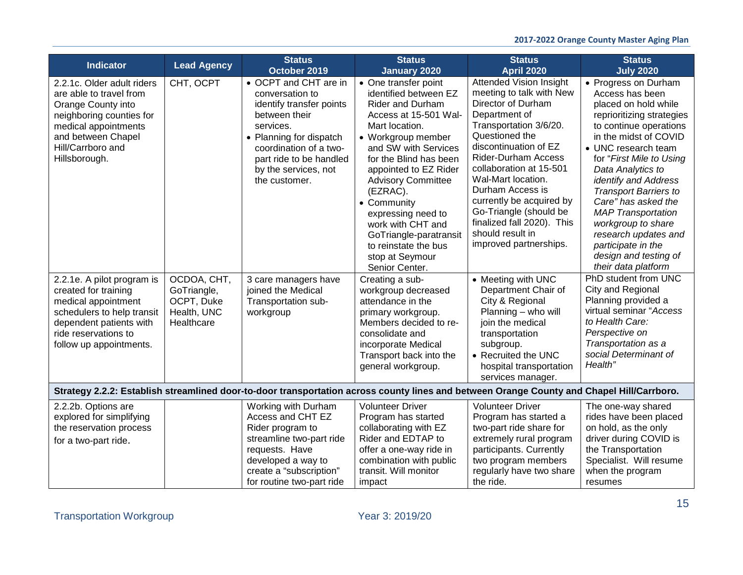| <b>Indicator</b>                                                                                                                                                                            | <b>Lead Agency</b>                                                    | <b>Status</b><br>October 2019                                                                                                                                                                                               | <b>Status</b><br><b>January 2020</b>                                                                                                                                                                                                                                                                                                                                                                           | <b>Status</b><br><b>April 2020</b>                                                                                                                                                                                                                                                                                                                                                                          | <b>Status</b><br><b>July 2020</b>                                                                                                                                                                                                                                                                                                                                                                                                                       |
|---------------------------------------------------------------------------------------------------------------------------------------------------------------------------------------------|-----------------------------------------------------------------------|-----------------------------------------------------------------------------------------------------------------------------------------------------------------------------------------------------------------------------|----------------------------------------------------------------------------------------------------------------------------------------------------------------------------------------------------------------------------------------------------------------------------------------------------------------------------------------------------------------------------------------------------------------|-------------------------------------------------------------------------------------------------------------------------------------------------------------------------------------------------------------------------------------------------------------------------------------------------------------------------------------------------------------------------------------------------------------|---------------------------------------------------------------------------------------------------------------------------------------------------------------------------------------------------------------------------------------------------------------------------------------------------------------------------------------------------------------------------------------------------------------------------------------------------------|
| 2.2.1c. Older adult riders<br>are able to travel from<br>Orange County into<br>neighboring counties for<br>medical appointments<br>and between Chapel<br>Hill/Carrboro and<br>Hillsborough. | CHT, OCPT                                                             | • OCPT and CHT are in<br>conversation to<br>identify transfer points<br>between their<br>services.<br>• Planning for dispatch<br>coordination of a two-<br>part ride to be handled<br>by the services, not<br>the customer. | • One transfer point<br>identified between EZ<br><b>Rider and Durham</b><br>Access at 15-501 Wal-<br>Mart location.<br>• Workgroup member<br>and SW with Services<br>for the Blind has been<br>appointed to EZ Rider<br><b>Advisory Committee</b><br>(EZRAC).<br>• Community<br>expressing need to<br>work with CHT and<br>GoTriangle-paratransit<br>to reinstate the bus<br>stop at Seymour<br>Senior Center. | <b>Attended Vision Insight</b><br>meeting to talk with New<br>Director of Durham<br>Department of<br>Transportation 3/6/20.<br>Questioned the<br>discontinuation of EZ<br><b>Rider-Durham Access</b><br>collaboration at 15-501<br>Wal-Mart location.<br>Durham Access is<br>currently be acquired by<br>Go-Triangle (should be<br>finalized fall 2020). This<br>should result in<br>improved partnerships. | • Progress on Durham<br>Access has been<br>placed on hold while<br>reprioritizing strategies<br>to continue operations<br>in the midst of COVID<br>• UNC research team<br>for "First Mile to Using<br>Data Analytics to<br>identify and Address<br><b>Transport Barriers to</b><br>Care" has asked the<br><b>MAP Transportation</b><br>workgroup to share<br>research updates and<br>participate in the<br>design and testing of<br>their data platform |
| 2.2.1e. A pilot program is<br>created for training<br>medical appointment<br>schedulers to help transit<br>dependent patients with<br>ride reservations to<br>follow up appointments.       | OCDOA, CHT,<br>GoTriangle,<br>OCPT, Duke<br>Health, UNC<br>Healthcare | 3 care managers have<br>joined the Medical<br>Transportation sub-<br>workgroup                                                                                                                                              | Creating a sub-<br>workgroup decreased<br>attendance in the<br>primary workgroup.<br>Members decided to re-<br>consolidate and<br>incorporate Medical<br>Transport back into the<br>general workgroup.                                                                                                                                                                                                         | • Meeting with UNC<br>Department Chair of<br>City & Regional<br>Planning - who will<br>join the medical<br>transportation<br>subgroup.<br>• Recruited the UNC<br>hospital transportation<br>services manager.                                                                                                                                                                                               | PhD student from UNC<br>City and Regional<br>Planning provided a<br>virtual seminar "Access<br>to Health Care:<br>Perspective on<br>Transportation as a<br>social Determinant of<br>Health"                                                                                                                                                                                                                                                             |
|                                                                                                                                                                                             |                                                                       | Strategy 2.2.2: Establish streamlined door-to-door transportation across county lines and between Orange County and Chapel Hill/Carrboro.                                                                                   |                                                                                                                                                                                                                                                                                                                                                                                                                |                                                                                                                                                                                                                                                                                                                                                                                                             |                                                                                                                                                                                                                                                                                                                                                                                                                                                         |
| 2.2.2b. Options are<br>explored for simplifying<br>the reservation process<br>for a two-part ride.                                                                                          |                                                                       | Working with Durham<br>Access and CHT EZ<br>Rider program to<br>streamline two-part ride<br>requests. Have<br>developed a way to<br>create a "subscription"<br>for routine two-part ride                                    | <b>Volunteer Driver</b><br>Program has started<br>collaborating with EZ<br>Rider and EDTAP to<br>offer a one-way ride in<br>combination with public<br>transit. Will monitor<br>impact                                                                                                                                                                                                                         | <b>Volunteer Driver</b><br>Program has started a<br>two-part ride share for<br>extremely rural program<br>participants. Currently<br>two program members<br>regularly have two share<br>the ride.                                                                                                                                                                                                           | The one-way shared<br>rides have been placed<br>on hold, as the only<br>driver during COVID is<br>the Transportation<br>Specialist. Will resume<br>when the program<br>resumes                                                                                                                                                                                                                                                                          |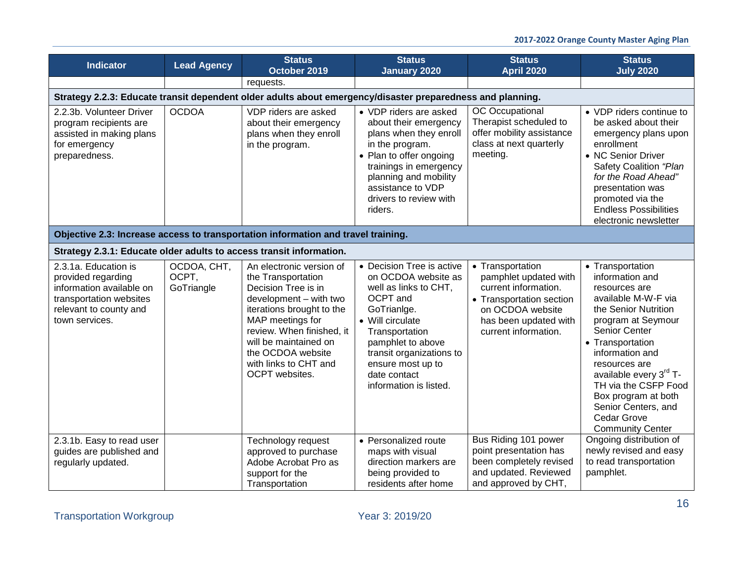| <b>Indicator</b>                                                                                                                              | <b>Lead Agency</b>                 | <b>Status</b><br>October 2019                                                                                                                                                                                                                                          | <b>Status</b><br><b>January 2020</b>                                                                                                                                                                                                                       | <b>Status</b><br><b>April 2020</b>                                                                                                                                 | <b>Status</b><br><b>July 2020</b>                                                                                                                                                                                                                                                                                                                        |  |  |  |
|-----------------------------------------------------------------------------------------------------------------------------------------------|------------------------------------|------------------------------------------------------------------------------------------------------------------------------------------------------------------------------------------------------------------------------------------------------------------------|------------------------------------------------------------------------------------------------------------------------------------------------------------------------------------------------------------------------------------------------------------|--------------------------------------------------------------------------------------------------------------------------------------------------------------------|----------------------------------------------------------------------------------------------------------------------------------------------------------------------------------------------------------------------------------------------------------------------------------------------------------------------------------------------------------|--|--|--|
|                                                                                                                                               |                                    | requests.                                                                                                                                                                                                                                                              |                                                                                                                                                                                                                                                            |                                                                                                                                                                    |                                                                                                                                                                                                                                                                                                                                                          |  |  |  |
|                                                                                                                                               |                                    | Strategy 2.2.3: Educate transit dependent older adults about emergency/disaster preparedness and planning.                                                                                                                                                             |                                                                                                                                                                                                                                                            |                                                                                                                                                                    |                                                                                                                                                                                                                                                                                                                                                          |  |  |  |
| 2.2.3b. Volunteer Driver<br>program recipients are<br>assisted in making plans<br>for emergency<br>preparedness.                              | <b>OCDOA</b>                       | VDP riders are asked<br>about their emergency<br>plans when they enroll<br>in the program.                                                                                                                                                                             | • VDP riders are asked<br>about their emergency<br>plans when they enroll<br>in the program.<br>• Plan to offer ongoing<br>trainings in emergency<br>planning and mobility<br>assistance to VDP<br>drivers to review with<br>riders.                       | OC Occupational<br>Therapist scheduled to<br>offer mobility assistance<br>class at next quarterly<br>meeting.                                                      | • VDP riders continue to<br>be asked about their<br>emergency plans upon<br>enrollment<br>• NC Senior Driver<br>Safety Coalition "Plan<br>for the Road Ahead"<br>presentation was<br>promoted via the<br><b>Endless Possibilities</b><br>electronic newsletter                                                                                           |  |  |  |
| Objective 2.3: Increase access to transportation information and travel training.                                                             |                                    |                                                                                                                                                                                                                                                                        |                                                                                                                                                                                                                                                            |                                                                                                                                                                    |                                                                                                                                                                                                                                                                                                                                                          |  |  |  |
| Strategy 2.3.1: Educate older adults to access transit information.                                                                           |                                    |                                                                                                                                                                                                                                                                        |                                                                                                                                                                                                                                                            |                                                                                                                                                                    |                                                                                                                                                                                                                                                                                                                                                          |  |  |  |
| 2.3.1a. Education is<br>provided regarding<br>information available on<br>transportation websites<br>relevant to county and<br>town services. | OCDOA, CHT,<br>OCPT,<br>GoTriangle | An electronic version of<br>the Transportation<br>Decision Tree is in<br>development - with two<br>iterations brought to the<br>MAP meetings for<br>review. When finished, it<br>will be maintained on<br>the OCDOA website<br>with links to CHT and<br>OCPT websites. | • Decision Tree is active<br>on OCDOA website as<br>well as links to CHT,<br>OCPT and<br>GoTrianIge.<br>• Will circulate<br>Transportation<br>pamphlet to above<br>transit organizations to<br>ensure most up to<br>date contact<br>information is listed. | • Transportation<br>pamphlet updated with<br>current information.<br>• Transportation section<br>on OCDOA website<br>has been updated with<br>current information. | • Transportation<br>information and<br>resources are<br>available M-W-F via<br>the Senior Nutrition<br>program at Seymour<br>Senior Center<br>• Transportation<br>information and<br>resources are<br>available every 3 <sup>rd</sup> T-<br>TH via the CSFP Food<br>Box program at both<br>Senior Centers, and<br>Cedar Grove<br><b>Community Center</b> |  |  |  |
| 2.3.1b. Easy to read user<br>guides are published and<br>regularly updated.                                                                   |                                    | Technology request<br>approved to purchase<br>Adobe Acrobat Pro as<br>support for the<br>Transportation                                                                                                                                                                | • Personalized route<br>maps with visual<br>direction markers are<br>being provided to<br>residents after home                                                                                                                                             | Bus Riding 101 power<br>point presentation has<br>been completely revised<br>and updated. Reviewed<br>and approved by CHT,                                         | Ongoing distribution of<br>newly revised and easy<br>to read transportation<br>pamphlet.                                                                                                                                                                                                                                                                 |  |  |  |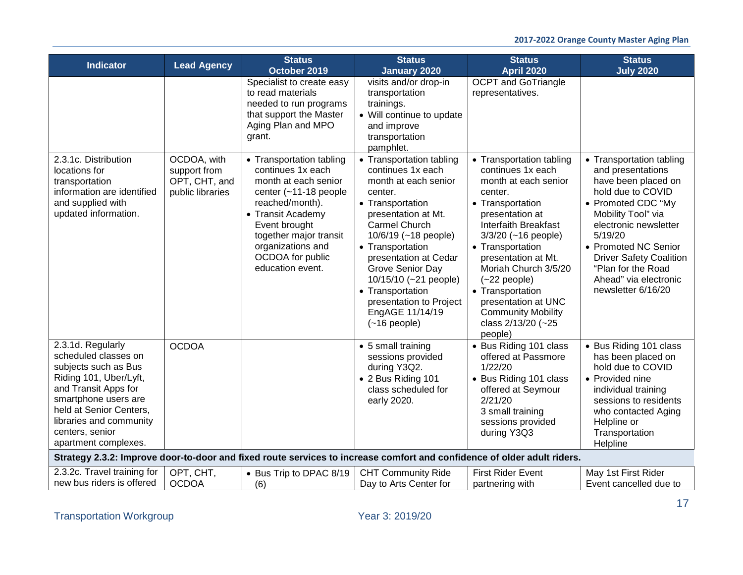|                                                                                                                                                                                                                                              |                                                                                        | <b>Status</b>                                                                                                                                                                                                                                                                                                                                                                                         | <b>Status</b>                                                                                                                                                                                                                                                                                                                                                                                                                                                                                          | <b>Status</b>                                                                                                                                                                                                                                                                                                                                                                                                                             | <b>Status</b>                                                                                                                                                                                                                                                                                                                |
|----------------------------------------------------------------------------------------------------------------------------------------------------------------------------------------------------------------------------------------------|----------------------------------------------------------------------------------------|-------------------------------------------------------------------------------------------------------------------------------------------------------------------------------------------------------------------------------------------------------------------------------------------------------------------------------------------------------------------------------------------------------|--------------------------------------------------------------------------------------------------------------------------------------------------------------------------------------------------------------------------------------------------------------------------------------------------------------------------------------------------------------------------------------------------------------------------------------------------------------------------------------------------------|-------------------------------------------------------------------------------------------------------------------------------------------------------------------------------------------------------------------------------------------------------------------------------------------------------------------------------------------------------------------------------------------------------------------------------------------|------------------------------------------------------------------------------------------------------------------------------------------------------------------------------------------------------------------------------------------------------------------------------------------------------------------------------|
| <b>Indicator</b><br>2.3.1c. Distribution<br>locations for<br>transportation<br>information are identified<br>and supplied with<br>updated information.                                                                                       | <b>Lead Agency</b><br>OCDOA, with<br>support from<br>OPT, CHT, and<br>public libraries | October 2019<br>Specialist to create easy<br>to read materials<br>needed to run programs<br>that support the Master<br>Aging Plan and MPO<br>grant.<br>• Transportation tabling<br>continues 1x each<br>month at each senior<br>center (~11-18 people<br>reached/month).<br>• Transit Academy<br>Event brought<br>together major transit<br>organizations and<br>OCDOA for public<br>education event. | January 2020<br>visits and/or drop-in<br>transportation<br>trainings.<br>• Will continue to update<br>and improve<br>transportation<br>pamphlet.<br>• Transportation tabling<br>continues 1x each<br>month at each senior<br>center.<br>• Transportation<br>presentation at Mt.<br>Carmel Church<br>10/6/19 (~18 people)<br>• Transportation<br>presentation at Cedar<br>Grove Senior Day<br>10/15/10 (~21 people)<br>• Transportation<br>presentation to Project<br>EngAGE 11/14/19<br>$(-16$ people) | <b>April 2020</b><br><b>OCPT</b> and GoTriangle<br>representatives.<br>• Transportation tabling<br>continues 1x each<br>month at each senior<br>center.<br>• Transportation<br>presentation at<br><b>Interfaith Breakfast</b><br>$3/3/20$ (~16 people)<br>• Transportation<br>presentation at Mt.<br>Moriah Church 3/5/20<br>$(-22$ people)<br>• Transportation<br>presentation at UNC<br><b>Community Mobility</b><br>class 2/13/20 (~25 | <b>July 2020</b><br>• Transportation tabling<br>and presentations<br>have been placed on<br>hold due to COVID<br>• Promoted CDC "My<br>Mobility Tool" via<br>electronic newsletter<br>5/19/20<br>• Promoted NC Senior<br><b>Driver Safety Coalition</b><br>"Plan for the Road<br>Ahead" via electronic<br>newsletter 6/16/20 |
| 2.3.1d. Regularly<br>scheduled classes on<br>subjects such as Bus<br>Riding 101, Uber/Lyft,<br>and Transit Apps for<br>smartphone users are<br>held at Senior Centers,<br>libraries and community<br>centers, senior<br>apartment complexes. | <b>OCDOA</b>                                                                           |                                                                                                                                                                                                                                                                                                                                                                                                       | • 5 small training<br>sessions provided<br>during Y3Q2.<br>• 2 Bus Riding 101<br>class scheduled for<br>early 2020.                                                                                                                                                                                                                                                                                                                                                                                    | people)<br>• Bus Riding 101 class<br>offered at Passmore<br>1/22/20<br>• Bus Riding 101 class<br>offered at Seymour<br>2/21/20<br>3 small training<br>sessions provided<br>during Y3Q3                                                                                                                                                                                                                                                    | • Bus Riding 101 class<br>has been placed on<br>hold due to COVID<br>• Provided nine<br>individual training<br>sessions to residents<br>who contacted Aging<br>Helpline or<br>Transportation<br>Helpline                                                                                                                     |
|                                                                                                                                                                                                                                              |                                                                                        | Strategy 2.3.2: Improve door-to-door and fixed route services to increase comfort and confidence of older adult riders.                                                                                                                                                                                                                                                                               |                                                                                                                                                                                                                                                                                                                                                                                                                                                                                                        |                                                                                                                                                                                                                                                                                                                                                                                                                                           |                                                                                                                                                                                                                                                                                                                              |
| 2.3.2c. Travel training for<br>new bus riders is offered                                                                                                                                                                                     | OPT, CHT,<br><b>OCDOA</b>                                                              | • Bus Trip to DPAC 8/19<br>(6)                                                                                                                                                                                                                                                                                                                                                                        | <b>CHT Community Ride</b><br>Day to Arts Center for                                                                                                                                                                                                                                                                                                                                                                                                                                                    | <b>First Rider Event</b><br>partnering with                                                                                                                                                                                                                                                                                                                                                                                               | May 1st First Rider<br>Event cancelled due to                                                                                                                                                                                                                                                                                |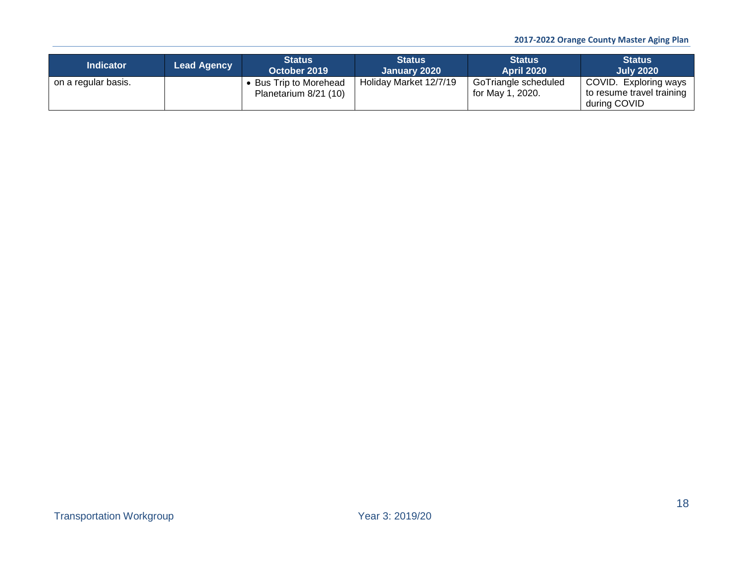| <b>Indicator</b>    | <b>Lead Agency</b> | <b>Status</b><br>October 2019                   | <b>Status</b><br>January 2020 | <b>Status</b><br><b>April 2020</b>       | <b>Status</b><br><b>July 2020</b>                                  |
|---------------------|--------------------|-------------------------------------------------|-------------------------------|------------------------------------------|--------------------------------------------------------------------|
| on a regular basis. |                    | • Bus Trip to Morehead<br>Planetarium 8/21 (10) | Holiday Market 12/7/19        | GoTriangle scheduled<br>for May 1, 2020. | COVID. Exploring ways<br>to resume travel training<br>during COVID |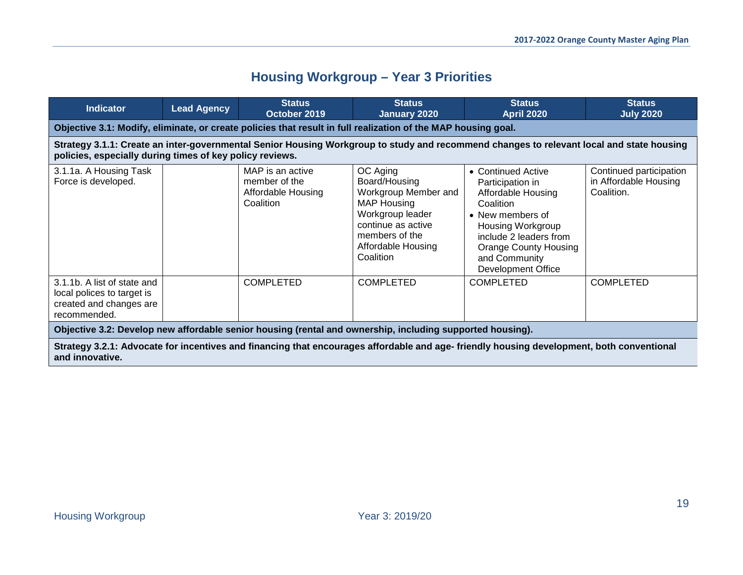# **Housing Workgroup – Year 3 Priorities**

<span id="page-18-0"></span>

| <b>Indicator</b>                                                                                                                                                                                     | <b>Lead Agency</b> | <b>Status</b><br>October 2019                                                                                 | <b>Status</b><br>January 2020                                                                                                                                          | <b>Status</b><br>April 2020                                                                                                                                                                                                       | <b>Status</b><br><b>July 2020</b>                              |  |  |  |
|------------------------------------------------------------------------------------------------------------------------------------------------------------------------------------------------------|--------------------|---------------------------------------------------------------------------------------------------------------|------------------------------------------------------------------------------------------------------------------------------------------------------------------------|-----------------------------------------------------------------------------------------------------------------------------------------------------------------------------------------------------------------------------------|----------------------------------------------------------------|--|--|--|
|                                                                                                                                                                                                      |                    | Objective 3.1: Modify, eliminate, or create policies that result in full realization of the MAP housing goal. |                                                                                                                                                                        |                                                                                                                                                                                                                                   |                                                                |  |  |  |
| Strategy 3.1.1: Create an inter-governmental Senior Housing Workgroup to study and recommend changes to relevant local and state housing<br>policies, especially during times of key policy reviews. |                    |                                                                                                               |                                                                                                                                                                        |                                                                                                                                                                                                                                   |                                                                |  |  |  |
| 3.1.1a. A Housing Task<br>Force is developed.                                                                                                                                                        |                    | MAP is an active<br>member of the<br>Affordable Housing<br>Coalition                                          | OC Aging<br>Board/Housing<br>Workgroup Member and<br><b>MAP Housing</b><br>Workgroup leader<br>continue as active<br>members of the<br>Affordable Housing<br>Coalition | • Continued Active<br>Participation in<br>Affordable Housing<br>Coalition<br>• New members of<br><b>Housing Workgroup</b><br>include 2 leaders from<br><b>Orange County Housing</b><br>and Community<br><b>Development Office</b> | Continued participation<br>in Affordable Housing<br>Coalition. |  |  |  |
| 3.1.1b. A list of state and<br>local polices to target is<br>created and changes are<br>recommended.                                                                                                 |                    | <b>COMPLETED</b>                                                                                              | <b>COMPLETED</b>                                                                                                                                                       | <b>COMPLETED</b>                                                                                                                                                                                                                  | <b>COMPLETED</b>                                               |  |  |  |
|                                                                                                                                                                                                      |                    | Objective 3.2: Develop new affordable senior housing (rental and ownership, including supported housing).     |                                                                                                                                                                        |                                                                                                                                                                                                                                   |                                                                |  |  |  |

**Strategy 3.2.1: Advocate for incentives and financing that encourages affordable and age- friendly housing development, both conventional and innovative.**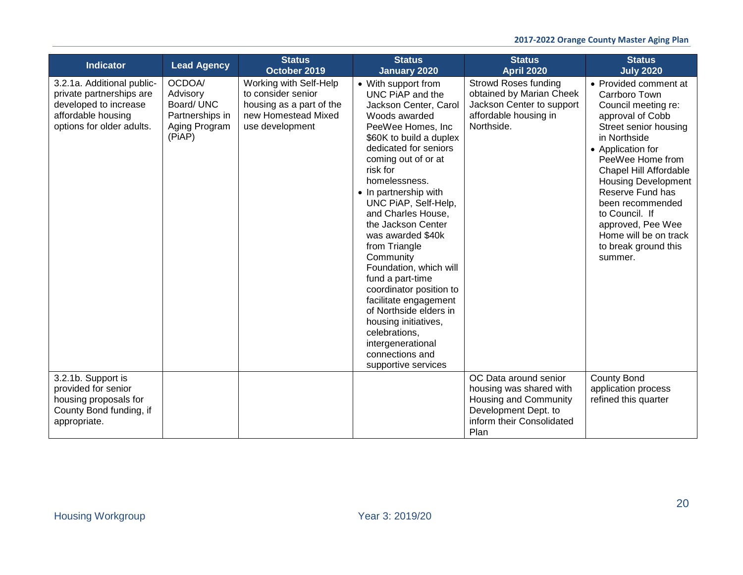| <b>Indicator</b>                                                                                                                   | <b>Lead Agency</b>                                                             | <b>Status</b><br>October 2019                                                                                      | <b>Status</b><br><b>January 2020</b>                                                                                                                                                                                                                                                                                                                                                                                                                                                                                                                                                                | <b>Status</b><br><b>April 2020</b>                                                                                                     | <b>Status</b><br><b>July 2020</b>                                                                                                                                                                                                                                                                                                                                             |
|------------------------------------------------------------------------------------------------------------------------------------|--------------------------------------------------------------------------------|--------------------------------------------------------------------------------------------------------------------|-----------------------------------------------------------------------------------------------------------------------------------------------------------------------------------------------------------------------------------------------------------------------------------------------------------------------------------------------------------------------------------------------------------------------------------------------------------------------------------------------------------------------------------------------------------------------------------------------------|----------------------------------------------------------------------------------------------------------------------------------------|-------------------------------------------------------------------------------------------------------------------------------------------------------------------------------------------------------------------------------------------------------------------------------------------------------------------------------------------------------------------------------|
| 3.2.1a. Additional public-<br>private partnerships are<br>developed to increase<br>affordable housing<br>options for older adults. | OCDOA/<br>Advisory<br>Board/ UNC<br>Partnerships in<br>Aging Program<br>(PiAP) | Working with Self-Help<br>to consider senior<br>housing as a part of the<br>new Homestead Mixed<br>use development | • With support from<br>UNC PIAP and the<br>Jackson Center, Carol<br>Woods awarded<br>PeeWee Homes, Inc.<br>\$60K to build a duplex<br>dedicated for seniors<br>coming out of or at<br>risk for<br>homelessness.<br>• In partnership with<br>UNC PiAP, Self-Help,<br>and Charles House,<br>the Jackson Center<br>was awarded \$40k<br>from Triangle<br>Community<br>Foundation, which will<br>fund a part-time<br>coordinator position to<br>facilitate engagement<br>of Northside elders in<br>housing initiatives,<br>celebrations,<br>intergenerational<br>connections and<br>supportive services | <b>Strowd Roses funding</b><br>obtained by Marian Cheek<br>Jackson Center to support<br>affordable housing in<br>Northside.            | • Provided comment at<br>Carrboro Town<br>Council meeting re:<br>approval of Cobb<br>Street senior housing<br>in Northside<br>• Application for<br>PeeWee Home from<br><b>Chapel Hill Affordable</b><br><b>Housing Development</b><br>Reserve Fund has<br>been recommended<br>to Council. If<br>approved, Pee Wee<br>Home will be on track<br>to break ground this<br>summer. |
| 3.2.1b. Support is<br>provided for senior<br>housing proposals for<br>County Bond funding, if<br>appropriate.                      |                                                                                |                                                                                                                    |                                                                                                                                                                                                                                                                                                                                                                                                                                                                                                                                                                                                     | OC Data around senior<br>housing was shared with<br>Housing and Community<br>Development Dept. to<br>inform their Consolidated<br>Plan | <b>County Bond</b><br>application process<br>refined this quarter                                                                                                                                                                                                                                                                                                             |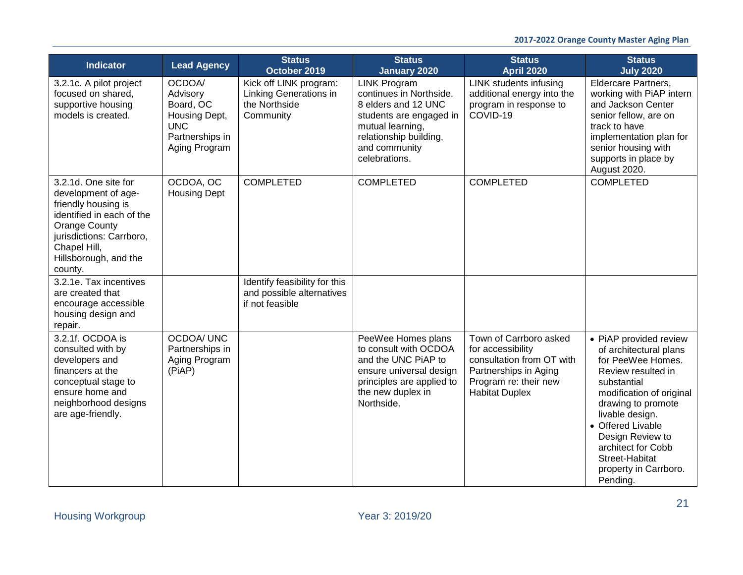| <b>Indicator</b>                                                                                                                                                                                        | <b>Lead Agency</b>                                                                                 | <b>Status</b><br>October 2019                                                  | <b>Status</b><br>January 2020                                                                                                                                                    | <b>Status</b><br><b>April 2020</b>                                                                                                                  | <b>Status</b><br><b>July 2020</b>                                                                                                                                                                                                                                                                     |
|---------------------------------------------------------------------------------------------------------------------------------------------------------------------------------------------------------|----------------------------------------------------------------------------------------------------|--------------------------------------------------------------------------------|----------------------------------------------------------------------------------------------------------------------------------------------------------------------------------|-----------------------------------------------------------------------------------------------------------------------------------------------------|-------------------------------------------------------------------------------------------------------------------------------------------------------------------------------------------------------------------------------------------------------------------------------------------------------|
| 3.2.1c. A pilot project<br>focused on shared,<br>supportive housing<br>models is created.                                                                                                               | OCDOA/<br>Advisory<br>Board, OC<br>Housing Dept,<br><b>UNC</b><br>Partnerships in<br>Aging Program | Kick off LINK program:<br>Linking Generations in<br>the Northside<br>Community | <b>LINK Program</b><br>continues in Northside.<br>8 elders and 12 UNC<br>students are engaged in<br>mutual learning,<br>relationship building,<br>and community<br>celebrations. | <b>LINK students infusing</b><br>additional energy into the<br>program in response to<br>COVID-19                                                   | Eldercare Partners,<br>working with PiAP intern<br>and Jackson Center<br>senior fellow, are on<br>track to have<br>implementation plan for<br>senior housing with<br>supports in place by<br>August 2020.                                                                                             |
| 3.2.1d. One site for<br>development of age-<br>friendly housing is<br>identified in each of the<br><b>Orange County</b><br>jurisdictions: Carrboro,<br>Chapel Hill,<br>Hillsborough, and the<br>county. | OCDOA, OC<br><b>Housing Dept</b>                                                                   | <b>COMPLETED</b>                                                               | <b>COMPLETED</b>                                                                                                                                                                 | <b>COMPLETED</b>                                                                                                                                    | <b>COMPLETED</b>                                                                                                                                                                                                                                                                                      |
| 3.2.1e. Tax incentives<br>are created that<br>encourage accessible<br>housing design and<br>repair.                                                                                                     |                                                                                                    | Identify feasibility for this<br>and possible alternatives<br>if not feasible  |                                                                                                                                                                                  |                                                                                                                                                     |                                                                                                                                                                                                                                                                                                       |
| 3.2.1f. OCDOA is<br>consulted with by<br>developers and<br>financers at the<br>conceptual stage to<br>ensure home and<br>neighborhood designs<br>are age-friendly.                                      | <b>OCDOA/ UNC</b><br>Partnerships in<br>Aging Program<br>(PiAP)                                    |                                                                                | PeeWee Homes plans<br>to consult with OCDOA<br>and the UNC PiAP to<br>ensure universal design<br>principles are applied to<br>the new duplex in<br>Northside.                    | Town of Carrboro asked<br>for accessibility<br>consultation from OT with<br>Partnerships in Aging<br>Program re: their new<br><b>Habitat Duplex</b> | • PiAP provided review<br>of architectural plans<br>for PeeWee Homes.<br>Review resulted in<br>substantial<br>modification of original<br>drawing to promote<br>livable design.<br>• Offered Livable<br>Design Review to<br>architect for Cobb<br>Street-Habitat<br>property in Carrboro.<br>Pending. |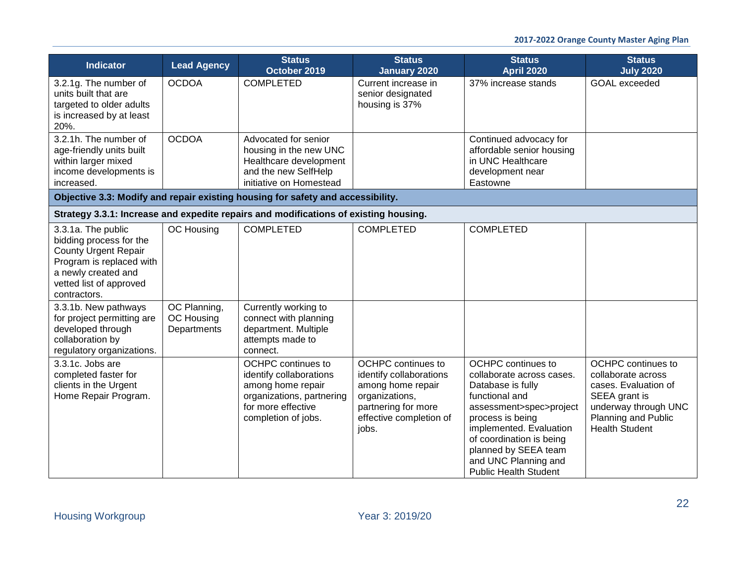| <b>Indicator</b>                                                                                                                                                           | <b>Lead Agency</b>                        | <b>Status</b><br>October 2019                                                                                                                | <b>Status</b><br><b>January 2020</b>                                                                                                            | <b>Status</b><br><b>April 2020</b>                                                                                                                                                                                                                                           | <b>Status</b><br><b>July 2020</b>                                                                                                                                |
|----------------------------------------------------------------------------------------------------------------------------------------------------------------------------|-------------------------------------------|----------------------------------------------------------------------------------------------------------------------------------------------|-------------------------------------------------------------------------------------------------------------------------------------------------|------------------------------------------------------------------------------------------------------------------------------------------------------------------------------------------------------------------------------------------------------------------------------|------------------------------------------------------------------------------------------------------------------------------------------------------------------|
| 3.2.1g. The number of<br>units built that are<br>targeted to older adults<br>is increased by at least<br>20%.                                                              | <b>OCDOA</b>                              | <b>COMPLETED</b>                                                                                                                             | Current increase in<br>senior designated<br>housing is 37%                                                                                      | 37% increase stands                                                                                                                                                                                                                                                          | <b>GOAL</b> exceeded                                                                                                                                             |
| 3.2.1h. The number of<br>age-friendly units built<br>within larger mixed<br>income developments is<br>increased.                                                           | <b>OCDOA</b>                              | Advocated for senior<br>housing in the new UNC<br>Healthcare development<br>and the new SelfHelp<br>initiative on Homestead                  |                                                                                                                                                 | Continued advocacy for<br>affordable senior housing<br>in UNC Healthcare<br>development near<br>Eastowne                                                                                                                                                                     |                                                                                                                                                                  |
|                                                                                                                                                                            |                                           | Objective 3.3: Modify and repair existing housing for safety and accessibility.                                                              |                                                                                                                                                 |                                                                                                                                                                                                                                                                              |                                                                                                                                                                  |
|                                                                                                                                                                            |                                           | Strategy 3.3.1: Increase and expedite repairs and modifications of existing housing.                                                         |                                                                                                                                                 |                                                                                                                                                                                                                                                                              |                                                                                                                                                                  |
| 3.3.1a. The public<br>bidding process for the<br><b>County Urgent Repair</b><br>Program is replaced with<br>a newly created and<br>vetted list of approved<br>contractors. | OC Housing                                | <b>COMPLETED</b>                                                                                                                             | <b>COMPLETED</b>                                                                                                                                | <b>COMPLETED</b>                                                                                                                                                                                                                                                             |                                                                                                                                                                  |
| 3.3.1b. New pathways<br>for project permitting are<br>developed through<br>collaboration by<br>regulatory organizations.                                                   | OC Planning,<br>OC Housing<br>Departments | Currently working to<br>connect with planning<br>department. Multiple<br>attempts made to<br>connect.                                        |                                                                                                                                                 |                                                                                                                                                                                                                                                                              |                                                                                                                                                                  |
| 3.3.1c. Jobs are<br>completed faster for<br>clients in the Urgent<br>Home Repair Program.                                                                                  |                                           | OCHPC continues to<br>identify collaborations<br>among home repair<br>organizations, partnering<br>for more effective<br>completion of jobs. | OCHPC continues to<br>identify collaborations<br>among home repair<br>organizations,<br>partnering for more<br>effective completion of<br>jobs. | OCHPC continues to<br>collaborate across cases.<br>Database is fully<br>functional and<br>assessment>spec>project<br>process is being<br>implemented. Evaluation<br>of coordination is being<br>planned by SEEA team<br>and UNC Planning and<br><b>Public Health Student</b> | <b>OCHPC</b> continues to<br>collaborate across<br>cases. Evaluation of<br>SEEA grant is<br>underway through UNC<br>Planning and Public<br><b>Health Student</b> |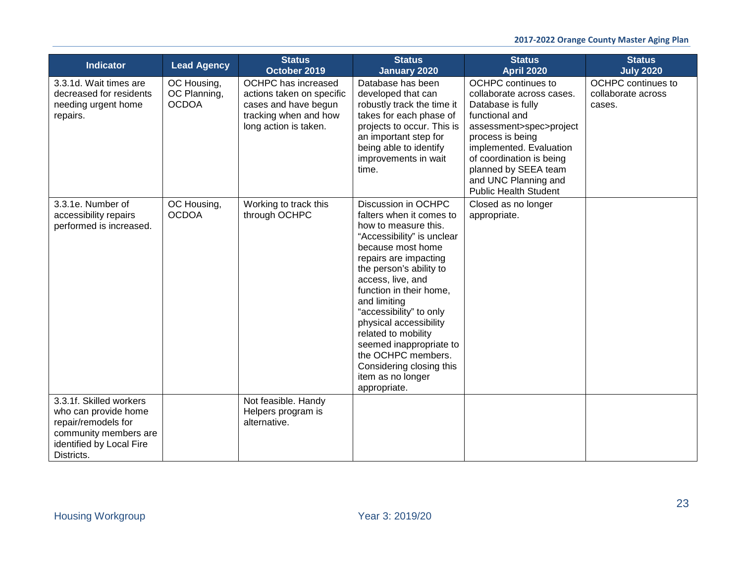| <b>Indicator</b>                                                                                                                          | <b>Lead Agency</b>                          | <b>Status</b><br>October 2019                                                                                              | <b>Status</b><br>January 2020                                                                                                                                                                                                                                                                                                                                                                                                                | <b>Status</b><br><b>April 2020</b>                                                                                                                                                                                                                                           | <b>Status</b><br><b>July 2020</b>                  |
|-------------------------------------------------------------------------------------------------------------------------------------------|---------------------------------------------|----------------------------------------------------------------------------------------------------------------------------|----------------------------------------------------------------------------------------------------------------------------------------------------------------------------------------------------------------------------------------------------------------------------------------------------------------------------------------------------------------------------------------------------------------------------------------------|------------------------------------------------------------------------------------------------------------------------------------------------------------------------------------------------------------------------------------------------------------------------------|----------------------------------------------------|
| 3.3.1d. Wait times are<br>decreased for residents<br>needing urgent home<br>repairs.                                                      | OC Housing,<br>OC Planning,<br><b>OCDOA</b> | OCHPC has increased<br>actions taken on specific<br>cases and have begun<br>tracking when and how<br>long action is taken. | Database has been<br>developed that can<br>robustly track the time it<br>takes for each phase of<br>projects to occur. This is<br>an important step for<br>being able to identify<br>improvements in wait<br>time.                                                                                                                                                                                                                           | OCHPC continues to<br>collaborate across cases.<br>Database is fully<br>functional and<br>assessment>spec>project<br>process is being<br>implemented. Evaluation<br>of coordination is being<br>planned by SEEA team<br>and UNC Planning and<br><b>Public Health Student</b> | OCHPC continues to<br>collaborate across<br>cases. |
| 3.3.1e. Number of<br>accessibility repairs<br>performed is increased.                                                                     | OC Housing,<br><b>OCDOA</b>                 | Working to track this<br>through OCHPC                                                                                     | Discussion in OCHPC<br>falters when it comes to<br>how to measure this.<br>"Accessibility" is unclear<br>because most home<br>repairs are impacting<br>the person's ability to<br>access, live, and<br>function in their home,<br>and limiting<br>"accessibility" to only<br>physical accessibility<br>related to mobility<br>seemed inappropriate to<br>the OCHPC members.<br>Considering closing this<br>item as no longer<br>appropriate. | Closed as no longer<br>appropriate.                                                                                                                                                                                                                                          |                                                    |
| 3.3.1f. Skilled workers<br>who can provide home<br>repair/remodels for<br>community members are<br>identified by Local Fire<br>Districts. |                                             | Not feasible. Handy<br>Helpers program is<br>alternative.                                                                  |                                                                                                                                                                                                                                                                                                                                                                                                                                              |                                                                                                                                                                                                                                                                              |                                                    |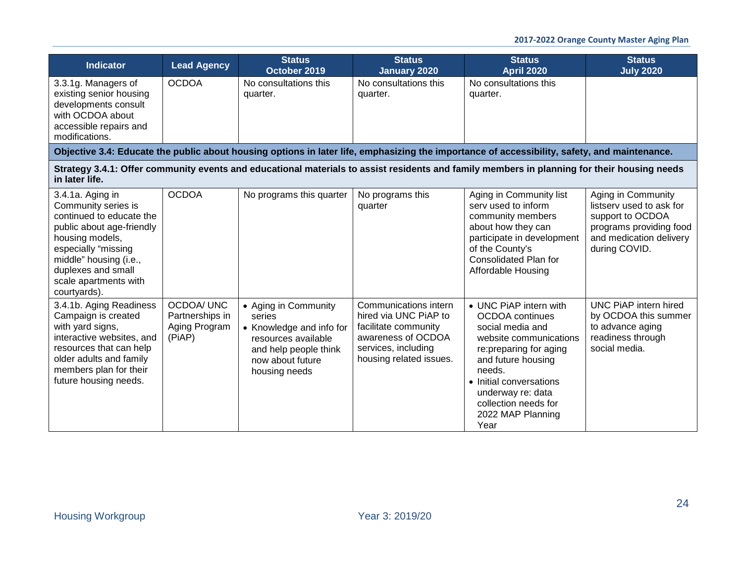| <b>Indicator</b>                                                                                                                                                                                                                    | <b>Lead Agency</b>                                              | <b>Status</b><br>October 2019                                                                                                                   | <b>Status</b><br>January 2020                                                                                                                  | <b>Status</b><br><b>April 2020</b>                                                                                                                                                                                                                             | <b>Status</b><br><b>July 2020</b>                                                                                                         |
|-------------------------------------------------------------------------------------------------------------------------------------------------------------------------------------------------------------------------------------|-----------------------------------------------------------------|-------------------------------------------------------------------------------------------------------------------------------------------------|------------------------------------------------------------------------------------------------------------------------------------------------|----------------------------------------------------------------------------------------------------------------------------------------------------------------------------------------------------------------------------------------------------------------|-------------------------------------------------------------------------------------------------------------------------------------------|
| 3.3.1g. Managers of<br>existing senior housing<br>developments consult<br>with OCDOA about<br>accessible repairs and<br>modifications.                                                                                              | <b>OCDOA</b>                                                    | No consultations this<br>quarter.                                                                                                               | No consultations this<br>quarter.                                                                                                              | No consultations this<br>quarter.                                                                                                                                                                                                                              |                                                                                                                                           |
|                                                                                                                                                                                                                                     |                                                                 |                                                                                                                                                 |                                                                                                                                                | Objective 3.4: Educate the public about housing options in later life, emphasizing the importance of accessibility, safety, and maintenance.                                                                                                                   |                                                                                                                                           |
| in later life.                                                                                                                                                                                                                      |                                                                 |                                                                                                                                                 |                                                                                                                                                | Strategy 3.4.1: Offer community events and educational materials to assist residents and family members in planning for their housing needs                                                                                                                    |                                                                                                                                           |
| 3.4.1a. Aging in<br>Community series is<br>continued to educate the<br>public about age-friendly<br>housing models,<br>especially "missing<br>middle" housing (i.e.,<br>duplexes and small<br>scale apartments with<br>courtyards). | <b>OCDOA</b>                                                    | No programs this quarter                                                                                                                        | No programs this<br>quarter                                                                                                                    | Aging in Community list<br>serv used to inform<br>community members<br>about how they can<br>participate in development<br>of the County's<br>Consolidated Plan for<br>Affordable Housing                                                                      | Aging in Community<br>listsery used to ask for<br>support to OCDOA<br>programs providing food<br>and medication delivery<br>during COVID. |
| 3.4.1b. Aging Readiness<br>Campaign is created<br>with yard signs,<br>interactive websites, and<br>resources that can help<br>older adults and family<br>members plan for their<br>future housing needs.                            | <b>OCDOA/ UNC</b><br>Partnerships in<br>Aging Program<br>(PiAP) | • Aging in Community<br>series<br>• Knowledge and info for<br>resources available<br>and help people think<br>now about future<br>housing needs | Communications intern<br>hired via UNC PiAP to<br>facilitate community<br>awareness of OCDOA<br>services, including<br>housing related issues. | • UNC PiAP intern with<br><b>OCDOA</b> continues<br>social media and<br>website communications<br>re: preparing for aging<br>and future housing<br>needs.<br>• Initial conversations<br>underway re: data<br>collection needs for<br>2022 MAP Planning<br>Year | UNC PIAP intern hired<br>by OCDOA this summer<br>to advance aging<br>readiness through<br>social media.                                   |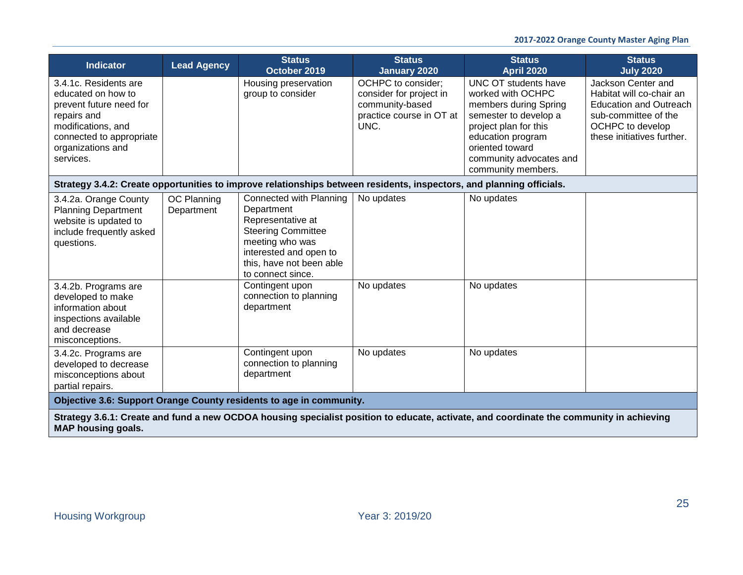| <b>Indicator</b>                                                                                                                                                          | <b>Lead Agency</b>        | <b>Status</b><br>October 2019                                                                                                                                                         | <b>Status</b><br><b>January 2020</b>                                                                 | <b>Status</b><br><b>April 2020</b>                                                                                                                                                                            | <b>Status</b><br><b>July 2020</b>                                                                                                                         |
|---------------------------------------------------------------------------------------------------------------------------------------------------------------------------|---------------------------|---------------------------------------------------------------------------------------------------------------------------------------------------------------------------------------|------------------------------------------------------------------------------------------------------|---------------------------------------------------------------------------------------------------------------------------------------------------------------------------------------------------------------|-----------------------------------------------------------------------------------------------------------------------------------------------------------|
| 3.4.1c. Residents are<br>educated on how to<br>prevent future need for<br>repairs and<br>modifications, and<br>connected to appropriate<br>organizations and<br>services. |                           | Housing preservation<br>group to consider                                                                                                                                             | OCHPC to consider;<br>consider for project in<br>community-based<br>practice course in OT at<br>UNC. | UNC OT students have<br>worked with OCHPC<br>members during Spring<br>semester to develop a<br>project plan for this<br>education program<br>oriented toward<br>community advocates and<br>community members. | Jackson Center and<br>Habitat will co-chair an<br><b>Education and Outreach</b><br>sub-committee of the<br>OCHPC to develop<br>these initiatives further. |
|                                                                                                                                                                           |                           | Strategy 3.4.2: Create opportunities to improve relationships between residents, inspectors, and planning officials.                                                                  |                                                                                                      |                                                                                                                                                                                                               |                                                                                                                                                           |
| 3.4.2a. Orange County<br><b>Planning Department</b><br>website is updated to<br>include frequently asked<br>questions.                                                    | OC Planning<br>Department | Connected with Planning<br>Department<br>Representative at<br><b>Steering Committee</b><br>meeting who was<br>interested and open to<br>this, have not been able<br>to connect since. | No updates                                                                                           | No updates                                                                                                                                                                                                    |                                                                                                                                                           |
| 3.4.2b. Programs are<br>developed to make<br>information about<br>inspections available<br>and decrease<br>misconceptions.                                                |                           | Contingent upon<br>connection to planning<br>department                                                                                                                               | No updates                                                                                           | No updates                                                                                                                                                                                                    |                                                                                                                                                           |
| 3.4.2c. Programs are<br>developed to decrease<br>misconceptions about<br>partial repairs.                                                                                 |                           | Contingent upon<br>connection to planning<br>department                                                                                                                               | No updates                                                                                           | No updates                                                                                                                                                                                                    |                                                                                                                                                           |
|                                                                                                                                                                           |                           | Objective 3.6: Support Orange County residents to age in community.                                                                                                                   |                                                                                                      |                                                                                                                                                                                                               |                                                                                                                                                           |

**Strategy 3.6.1: Create and fund a new OCDOA housing specialist position to educate, activate, and coordinate the community in achieving MAP housing goals.**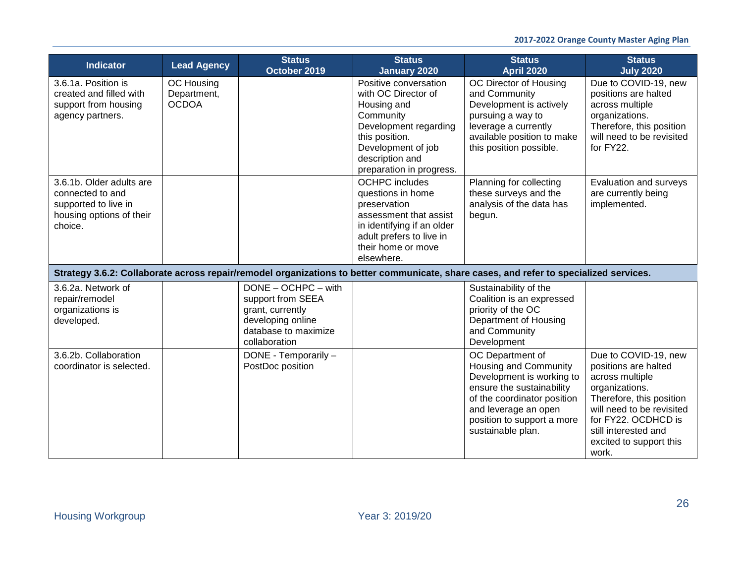| <b>Indicator</b>                                                                                            | <b>Lead Agency</b>                        | <b>Status</b><br>October 2019                                                                                                | <b>Status</b><br><b>January 2020</b>                                                                                                                                                     | <b>Status</b><br><b>April 2020</b>                                                                                                                                                                            | <b>Status</b><br><b>July 2020</b>                                                                                                                                                                                             |
|-------------------------------------------------------------------------------------------------------------|-------------------------------------------|------------------------------------------------------------------------------------------------------------------------------|------------------------------------------------------------------------------------------------------------------------------------------------------------------------------------------|---------------------------------------------------------------------------------------------------------------------------------------------------------------------------------------------------------------|-------------------------------------------------------------------------------------------------------------------------------------------------------------------------------------------------------------------------------|
| 3.6.1a. Position is<br>created and filled with<br>support from housing<br>agency partners.                  | OC Housing<br>Department,<br><b>OCDOA</b> |                                                                                                                              | Positive conversation<br>with OC Director of<br>Housing and<br>Community<br>Development regarding<br>this position.<br>Development of job<br>description and<br>preparation in progress. | OC Director of Housing<br>and Community<br>Development is actively<br>pursuing a way to<br>leverage a currently<br>available position to make<br>this position possible.                                      | Due to COVID-19, new<br>positions are halted<br>across multiple<br>organizations.<br>Therefore, this position<br>will need to be revisited<br>for FY22.                                                                       |
| 3.6.1b. Older adults are<br>connected to and<br>supported to live in<br>housing options of their<br>choice. |                                           |                                                                                                                              | <b>OCHPC</b> includes<br>questions in home<br>preservation<br>assessment that assist<br>in identifying if an older<br>adult prefers to live in<br>their home or move<br>elsewhere.       | Planning for collecting<br>these surveys and the<br>analysis of the data has<br>begun.                                                                                                                        | Evaluation and surveys<br>are currently being<br>implemented.                                                                                                                                                                 |
|                                                                                                             |                                           |                                                                                                                              |                                                                                                                                                                                          | Strategy 3.6.2: Collaborate across repair/remodel organizations to better communicate, share cases, and refer to specialized services.                                                                        |                                                                                                                                                                                                                               |
| 3.6.2a. Network of<br>repair/remodel<br>organizations is<br>developed.                                      |                                           | $DONE - OCHPC - with$<br>support from SEEA<br>grant, currently<br>developing online<br>database to maximize<br>collaboration |                                                                                                                                                                                          | Sustainability of the<br>Coalition is an expressed<br>priority of the OC<br>Department of Housing<br>and Community<br>Development                                                                             |                                                                                                                                                                                                                               |
| 3.6.2b. Collaboration<br>coordinator is selected.                                                           |                                           | DONE - Temporarily -<br>PostDoc position                                                                                     |                                                                                                                                                                                          | OC Department of<br>Housing and Community<br>Development is working to<br>ensure the sustainability<br>of the coordinator position<br>and leverage an open<br>position to support a more<br>sustainable plan. | Due to COVID-19, new<br>positions are halted<br>across multiple<br>organizations.<br>Therefore, this position<br>will need to be revisited<br>for FY22. OCDHCD is<br>still interested and<br>excited to support this<br>work. |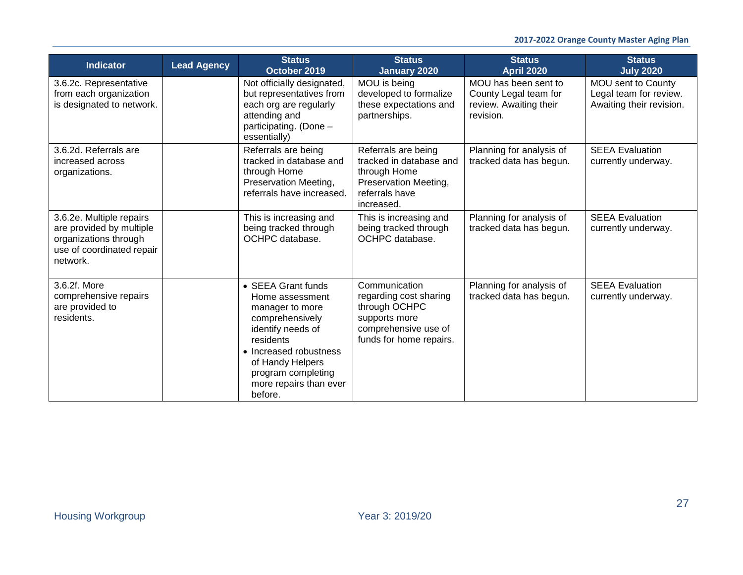| <b>Indicator</b>                                                                                                       | <b>Lead Agency</b> | <b>Status</b><br>October 2019                                                                                                                                                                                          | <b>Status</b><br>January 2020                                                                                                | <b>Status</b><br><b>April 2020</b>                                                   | <b>Status</b><br><b>July 2020</b>                                        |
|------------------------------------------------------------------------------------------------------------------------|--------------------|------------------------------------------------------------------------------------------------------------------------------------------------------------------------------------------------------------------------|------------------------------------------------------------------------------------------------------------------------------|--------------------------------------------------------------------------------------|--------------------------------------------------------------------------|
| 3.6.2c. Representative<br>from each organization<br>is designated to network.                                          |                    | Not officially designated,<br>but representatives from<br>each org are regularly<br>attending and<br>participating. (Done -<br>essentially)                                                                            | MOU is being<br>developed to formalize<br>these expectations and<br>partnerships.                                            | MOU has been sent to<br>County Legal team for<br>review. Awaiting their<br>revision. | MOU sent to County<br>Legal team for review.<br>Awaiting their revision. |
| 3.6.2d. Referrals are<br>increased across<br>organizations.                                                            |                    | Referrals are being<br>tracked in database and<br>through Home<br>Preservation Meeting,<br>referrals have increased.                                                                                                   | Referrals are being<br>tracked in database and<br>through Home<br>Preservation Meeting,<br>referrals have<br>increased.      | Planning for analysis of<br>tracked data has begun.                                  | <b>SEEA Evaluation</b><br>currently underway.                            |
| 3.6.2e. Multiple repairs<br>are provided by multiple<br>organizations through<br>use of coordinated repair<br>network. |                    | This is increasing and<br>being tracked through<br>OCHPC database.                                                                                                                                                     | This is increasing and<br>being tracked through<br>OCHPC database.                                                           | Planning for analysis of<br>tracked data has begun.                                  | <b>SEEA Evaluation</b><br>currently underway.                            |
| 3.6.2f. More<br>comprehensive repairs<br>are provided to<br>residents.                                                 |                    | • SEEA Grant funds<br>Home assessment<br>manager to more<br>comprehensively<br>identify needs of<br>residents<br>• Increased robustness<br>of Handy Helpers<br>program completing<br>more repairs than ever<br>before. | Communication<br>regarding cost sharing<br>through OCHPC<br>supports more<br>comprehensive use of<br>funds for home repairs. | Planning for analysis of<br>tracked data has begun.                                  | <b>SEEA Evaluation</b><br>currently underway.                            |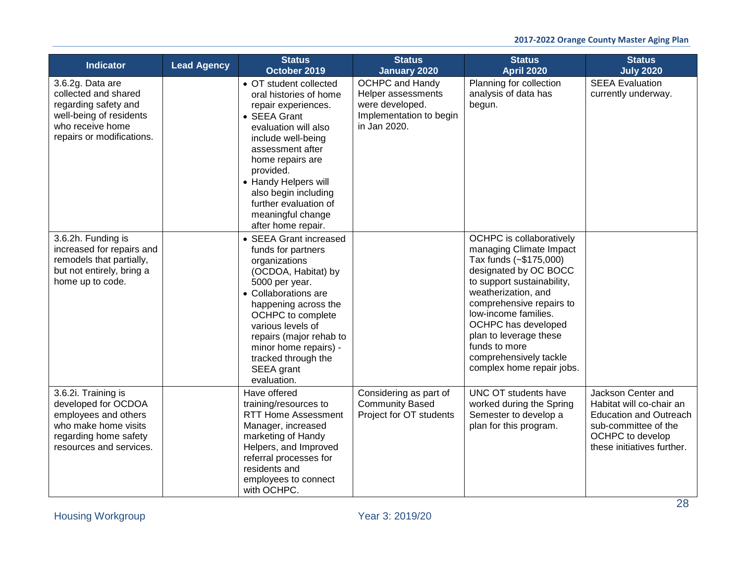| <b>Indicator</b>                                                                                                                               | <b>Lead Agency</b> | <b>Status</b><br>October 2019                                                                                                                                                                                                                                                                                  | <b>Status</b><br><b>January 2020</b>                                                                       | <b>Status</b><br><b>April 2020</b>                                                                                                                                                                                                                                                                                                       | <b>Status</b><br><b>July 2020</b>                                                                                                                         |
|------------------------------------------------------------------------------------------------------------------------------------------------|--------------------|----------------------------------------------------------------------------------------------------------------------------------------------------------------------------------------------------------------------------------------------------------------------------------------------------------------|------------------------------------------------------------------------------------------------------------|------------------------------------------------------------------------------------------------------------------------------------------------------------------------------------------------------------------------------------------------------------------------------------------------------------------------------------------|-----------------------------------------------------------------------------------------------------------------------------------------------------------|
| 3.6.2g. Data are<br>collected and shared<br>regarding safety and<br>well-being of residents<br>who receive home<br>repairs or modifications.   |                    | • OT student collected<br>oral histories of home<br>repair experiences.<br>• SEEA Grant<br>evaluation will also<br>include well-being<br>assessment after<br>home repairs are<br>provided.<br>• Handy Helpers will<br>also begin including<br>further evaluation of<br>meaningful change<br>after home repair. | <b>OCHPC and Handy</b><br>Helper assessments<br>were developed.<br>Implementation to begin<br>in Jan 2020. | Planning for collection<br>analysis of data has<br>begun.                                                                                                                                                                                                                                                                                | <b>SEEA Evaluation</b><br>currently underway.                                                                                                             |
| 3.6.2h. Funding is<br>increased for repairs and<br>remodels that partially,<br>but not entirely, bring a<br>home up to code.                   |                    | • SEEA Grant increased<br>funds for partners<br>organizations<br>(OCDOA, Habitat) by<br>5000 per year.<br>• Collaborations are<br>happening across the<br>OCHPC to complete<br>various levels of<br>repairs (major rehab to<br>minor home repairs) -<br>tracked through the<br>SEEA grant<br>evaluation.       |                                                                                                            | OCHPC is collaboratively<br>managing Climate Impact<br>Tax funds (~\$175,000)<br>designated by OC BOCC<br>to support sustainability,<br>weatherization, and<br>comprehensive repairs to<br>low-income families.<br>OCHPC has developed<br>plan to leverage these<br>funds to more<br>comprehensively tackle<br>complex home repair jobs. |                                                                                                                                                           |
| 3.6.2i. Training is<br>developed for OCDOA<br>employees and others<br>who make home visits<br>regarding home safety<br>resources and services. |                    | Have offered<br>training/resources to<br><b>RTT Home Assessment</b><br>Manager, increased<br>marketing of Handy<br>Helpers, and Improved<br>referral processes for<br>residents and<br>employees to connect<br>with OCHPC.                                                                                     | Considering as part of<br><b>Community Based</b><br>Project for OT students                                | UNC OT students have<br>worked during the Spring<br>Semester to develop a<br>plan for this program.                                                                                                                                                                                                                                      | Jackson Center and<br>Habitat will co-chair an<br><b>Education and Outreach</b><br>sub-committee of the<br>OCHPC to develop<br>these initiatives further. |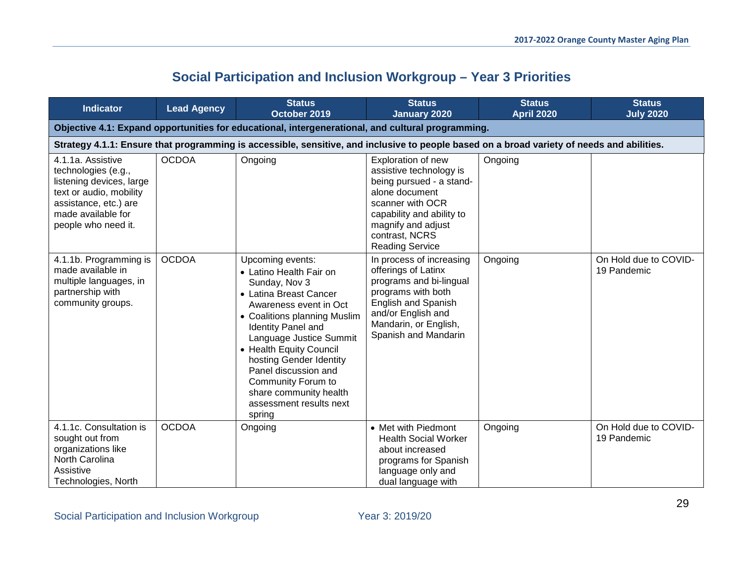<span id="page-28-0"></span>

| <b>Indicator</b>                                                                                                                                                      | <b>Lead Agency</b> | <b>Status</b><br>October 2019                                                                                                                                                                                                                                                                                                                                               | <b>Status</b><br><b>January 2020</b>                                                                                                                                                                           | <b>Status</b><br><b>April 2020</b> | <b>Status</b><br><b>July 2020</b>    |  |  |
|-----------------------------------------------------------------------------------------------------------------------------------------------------------------------|--------------------|-----------------------------------------------------------------------------------------------------------------------------------------------------------------------------------------------------------------------------------------------------------------------------------------------------------------------------------------------------------------------------|----------------------------------------------------------------------------------------------------------------------------------------------------------------------------------------------------------------|------------------------------------|--------------------------------------|--|--|
| Objective 4.1: Expand opportunities for educational, intergenerational, and cultural programming.                                                                     |                    |                                                                                                                                                                                                                                                                                                                                                                             |                                                                                                                                                                                                                |                                    |                                      |  |  |
|                                                                                                                                                                       |                    | Strategy 4.1.1: Ensure that programming is accessible, sensitive, and inclusive to people based on a broad variety of needs and abilities.                                                                                                                                                                                                                                  |                                                                                                                                                                                                                |                                    |                                      |  |  |
| 4.1.1a. Assistive<br>technologies (e.g.,<br>listening devices, large<br>text or audio, mobility<br>assistance, etc.) are<br>made available for<br>people who need it. | <b>OCDOA</b>       | Ongoing                                                                                                                                                                                                                                                                                                                                                                     | Exploration of new<br>assistive technology is<br>being pursued - a stand-<br>alone document<br>scanner with OCR<br>capability and ability to<br>magnify and adjust<br>contrast, NCRS<br><b>Reading Service</b> | Ongoing                            |                                      |  |  |
| 4.1.1b. Programming is<br>made available in<br>multiple languages, in<br>partnership with<br>community groups.                                                        | <b>OCDOA</b>       | Upcoming events:<br>• Latino Health Fair on<br>Sunday, Nov 3<br>• Latina Breast Cancer<br>Awareness event in Oct<br>• Coalitions planning Muslim<br><b>Identity Panel and</b><br>Language Justice Summit<br>• Health Equity Council<br>hosting Gender Identity<br>Panel discussion and<br>Community Forum to<br>share community health<br>assessment results next<br>spring | In process of increasing<br>offerings of Latinx<br>programs and bi-lingual<br>programs with both<br><b>English and Spanish</b><br>and/or English and<br>Mandarin, or English,<br>Spanish and Mandarin          | Ongoing                            | On Hold due to COVID-<br>19 Pandemic |  |  |
| 4.1.1c. Consultation is<br>sought out from<br>organizations like<br>North Carolina<br>Assistive<br>Technologies, North                                                | <b>OCDOA</b>       | Ongoing                                                                                                                                                                                                                                                                                                                                                                     | • Met with Piedmont<br><b>Health Social Worker</b><br>about increased<br>programs for Spanish<br>language only and<br>dual language with                                                                       | Ongoing                            | On Hold due to COVID-<br>19 Pandemic |  |  |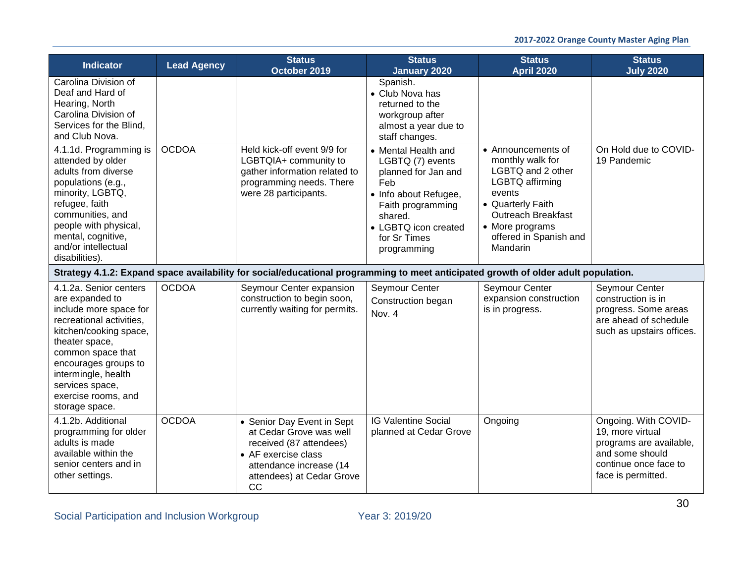| <b>Indicator</b>                                                                                                                                                                                                                                                            | <b>Lead Agency</b> | <b>Status</b><br>October 2019                                                                                                                                         | <b>Status</b><br>January 2020                                                                                                                                                         | <b>Status</b><br><b>April 2020</b>                                                                                                                                                                  | <b>Status</b><br><b>July 2020</b>                                                                                                     |
|-----------------------------------------------------------------------------------------------------------------------------------------------------------------------------------------------------------------------------------------------------------------------------|--------------------|-----------------------------------------------------------------------------------------------------------------------------------------------------------------------|---------------------------------------------------------------------------------------------------------------------------------------------------------------------------------------|-----------------------------------------------------------------------------------------------------------------------------------------------------------------------------------------------------|---------------------------------------------------------------------------------------------------------------------------------------|
| Carolina Division of<br>Deaf and Hard of<br>Hearing, North<br>Carolina Division of<br>Services for the Blind,<br>and Club Nova.                                                                                                                                             |                    |                                                                                                                                                                       | Spanish.<br>• Club Nova has<br>returned to the<br>workgroup after<br>almost a year due to<br>staff changes.                                                                           |                                                                                                                                                                                                     |                                                                                                                                       |
| 4.1.1d. Programming is<br>attended by older<br>adults from diverse<br>populations (e.g.,<br>minority, LGBTQ,<br>refugee, faith<br>communities, and<br>people with physical,<br>mental, cognitive,<br>and/or intellectual<br>disabilities).                                  | <b>OCDOA</b>       | Held kick-off event 9/9 for<br>LGBTQIA+ community to<br>gather information related to<br>programming needs. There<br>were 28 participants.                            | • Mental Health and<br>LGBTQ (7) events<br>planned for Jan and<br>Feb<br>• Info about Refugee,<br>Faith programming<br>shared.<br>• LGBTQ icon created<br>for Sr Times<br>programming | • Announcements of<br>monthly walk for<br>LGBTQ and 2 other<br>LGBTQ affirming<br>events<br>• Quarterly Faith<br><b>Outreach Breakfast</b><br>• More programs<br>offered in Spanish and<br>Mandarin | On Hold due to COVID-<br>19 Pandemic                                                                                                  |
|                                                                                                                                                                                                                                                                             |                    | Strategy 4.1.2: Expand space availability for social/educational programming to meet anticipated growth of older adult population.                                    |                                                                                                                                                                                       |                                                                                                                                                                                                     |                                                                                                                                       |
| 4.1.2a. Senior centers<br>are expanded to<br>include more space for<br>recreational activities.<br>kitchen/cooking space,<br>theater space,<br>common space that<br>encourages groups to<br>intermingle, health<br>services space,<br>exercise rooms, and<br>storage space. | <b>OCDOA</b>       | Seymour Center expansion<br>construction to begin soon,<br>currently waiting for permits.                                                                             | Seymour Center<br>Construction began<br>Nov. 4                                                                                                                                        | Seymour Center<br>expansion construction<br>is in progress.                                                                                                                                         | Seymour Center<br>construction is in<br>progress. Some areas<br>are ahead of schedule<br>such as upstairs offices.                    |
| 4.1.2b. Additional<br>programming for older<br>adults is made<br>available within the<br>senior centers and in<br>other settings.                                                                                                                                           | <b>OCDOA</b>       | • Senior Day Event in Sept<br>at Cedar Grove was well<br>received (87 attendees)<br>• AF exercise class<br>attendance increase (14<br>attendees) at Cedar Grove<br>CC | <b>IG Valentine Social</b><br>planned at Cedar Grove                                                                                                                                  | Ongoing                                                                                                                                                                                             | Ongoing. With COVID-<br>19, more virtual<br>programs are available,<br>and some should<br>continue once face to<br>face is permitted. |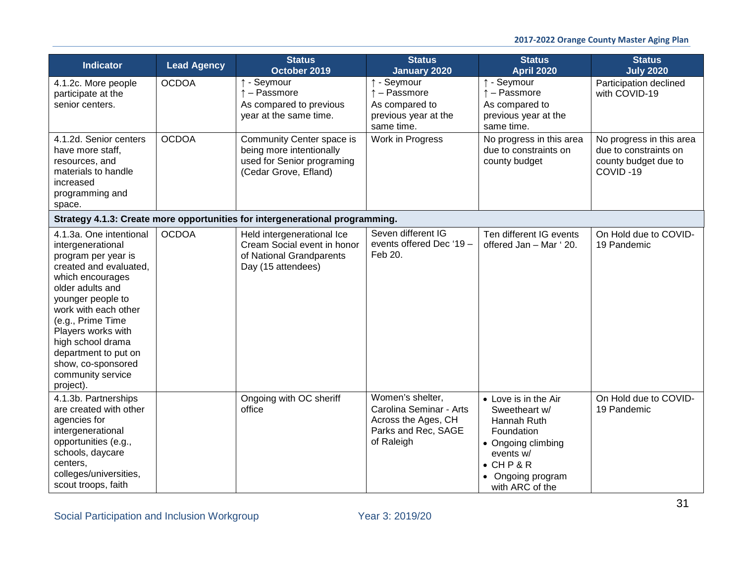| <b>Indicator</b>                                                                                                                                                                                                                                                                                                                   | <b>Lead Agency</b> | <b>Status</b><br>October 2019                                                                                | <b>Status</b><br><b>January 2020</b>                                                                    | <b>Status</b><br><b>April 2020</b>                                                                                                                               | <b>Status</b><br><b>July 2020</b>                                                     |
|------------------------------------------------------------------------------------------------------------------------------------------------------------------------------------------------------------------------------------------------------------------------------------------------------------------------------------|--------------------|--------------------------------------------------------------------------------------------------------------|---------------------------------------------------------------------------------------------------------|------------------------------------------------------------------------------------------------------------------------------------------------------------------|---------------------------------------------------------------------------------------|
| 4.1.2c. More people<br>participate at the<br>senior centers.                                                                                                                                                                                                                                                                       | <b>OCDOA</b>       | ↑ - Seymour<br>- Passmore<br>As compared to previous<br>year at the same time.                               | ↑ - Seymour<br>$\uparrow$ - Passmore<br>As compared to<br>previous year at the<br>same time.            | ↑ - Seymour<br>$\uparrow$ - Passmore<br>As compared to<br>previous year at the<br>same time.                                                                     | Participation declined<br>with COVID-19                                               |
| 4.1.2d. Senior centers<br>have more staff,<br>resources, and<br>materials to handle<br>increased<br>programming and<br>space.                                                                                                                                                                                                      | <b>OCDOA</b>       | Community Center space is<br>being more intentionally<br>used for Senior programing<br>(Cedar Grove, Efland) | Work in Progress                                                                                        | No progress in this area<br>due to constraints on<br>county budget                                                                                               | No progress in this area<br>due to constraints on<br>county budget due to<br>COVID-19 |
|                                                                                                                                                                                                                                                                                                                                    |                    | Strategy 4.1.3: Create more opportunities for intergenerational programming.                                 |                                                                                                         |                                                                                                                                                                  |                                                                                       |
| 4.1.3a. One intentional<br>intergenerational<br>program per year is<br>created and evaluated,<br>which encourages<br>older adults and<br>younger people to<br>work with each other<br>(e.g., Prime Time<br>Players works with<br>high school drama<br>department to put on<br>show, co-sponsored<br>community service<br>project). | <b>OCDOA</b>       | Held intergenerational Ice<br>Cream Social event in honor<br>of National Grandparents<br>Day (15 attendees)  | Seven different IG<br>events offered Dec '19 -<br>Feb 20.                                               | Ten different IG events<br>offered Jan - Mar ' 20.                                                                                                               | On Hold due to COVID-<br>19 Pandemic                                                  |
| 4.1.3b. Partnerships<br>are created with other<br>agencies for<br>intergenerational<br>opportunities (e.g.,<br>schools, daycare<br>centers,<br>colleges/universities,<br>scout troops, faith                                                                                                                                       |                    | Ongoing with OC sheriff<br>office                                                                            | Women's shelter,<br>Carolina Seminar - Arts<br>Across the Ages, CH<br>Parks and Rec, SAGE<br>of Raleigh | • Love is in the Air<br>Sweetheart w/<br>Hannah Ruth<br>Foundation<br>• Ongoing climbing<br>events w/<br>$\bullet$ CHP&R<br>• Ongoing program<br>with ARC of the | On Hold due to COVID-<br>19 Pandemic                                                  |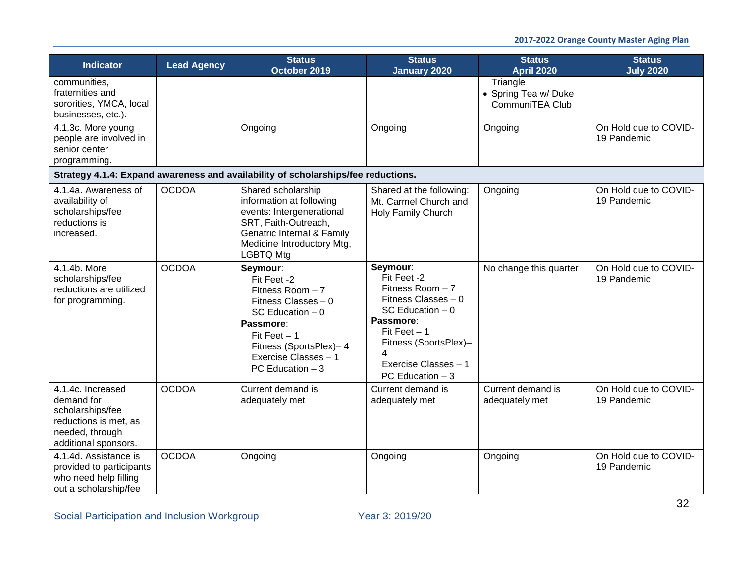| <b>Indicator</b>                                                                                                        | <b>Lead Agency</b> | <b>Status</b><br>October 2019                                                                                                                                                                  | <b>Status</b><br><b>January 2020</b>                                                                                                                                                         | <b>Status</b><br><b>April 2020</b>                  | <b>Status</b><br><b>July 2020</b>    |
|-------------------------------------------------------------------------------------------------------------------------|--------------------|------------------------------------------------------------------------------------------------------------------------------------------------------------------------------------------------|----------------------------------------------------------------------------------------------------------------------------------------------------------------------------------------------|-----------------------------------------------------|--------------------------------------|
| communities,<br>fraternities and<br>sororities, YMCA, local<br>businesses, etc.).                                       |                    |                                                                                                                                                                                                |                                                                                                                                                                                              | Triangle<br>• Spring Tea w/ Duke<br>CommuniTEA Club |                                      |
| 4.1.3c. More young<br>people are involved in<br>senior center<br>programming.                                           |                    | Ongoing                                                                                                                                                                                        | Ongoing                                                                                                                                                                                      | Ongoing                                             | On Hold due to COVID-<br>19 Pandemic |
|                                                                                                                         |                    | Strategy 4.1.4: Expand awareness and availability of scholarships/fee reductions.                                                                                                              |                                                                                                                                                                                              |                                                     |                                      |
| 4.1.4a. Awareness of<br>availability of<br>scholarships/fee<br>reductions is<br>increased.                              | <b>OCDOA</b>       | Shared scholarship<br>information at following<br>events: Intergenerational<br>SRT, Faith-Outreach,<br>Geriatric Internal & Family<br>Medicine Introductory Mtg,<br><b>LGBTQ Mtg</b>           | Shared at the following:<br>Mt. Carmel Church and<br>Holy Family Church                                                                                                                      | Ongoing                                             | On Hold due to COVID-<br>19 Pandemic |
| 4.1.4b. More<br>scholarships/fee<br>reductions are utilized<br>for programming.                                         | <b>OCDOA</b>       | Seymour:<br>Fit Feet -2<br>Fitness Room $-7$<br>Fitness Classes $-0$<br>SC Education $-0$<br>Passmore:<br>Fit Feet $-1$<br>Fitness (SportsPlex)-4<br>Exercise Classes - 1<br>PC Education $-3$ | Seymour:<br>Fit Feet -2<br>Fitness Room $-7$<br>Fitness Classes - 0<br>SC Education $-0$<br>Passmore:<br>Fit Feet $-1$<br>Fitness (SportsPlex)-<br>Exercise Classes - 1<br>PC Education $-3$ | No change this quarter                              | On Hold due to COVID-<br>19 Pandemic |
| 4.1.4c. Increased<br>demand for<br>scholarships/fee<br>reductions is met, as<br>needed, through<br>additional sponsors. | <b>OCDOA</b>       | Current demand is<br>adequately met                                                                                                                                                            | Current demand is<br>adequately met                                                                                                                                                          | Current demand is<br>adequately met                 | On Hold due to COVID-<br>19 Pandemic |
| 4.1.4d. Assistance is<br>provided to participants<br>who need help filling<br>out a scholarship/fee                     | <b>OCDOA</b>       | Ongoing                                                                                                                                                                                        | Ongoing                                                                                                                                                                                      | Ongoing                                             | On Hold due to COVID-<br>19 Pandemic |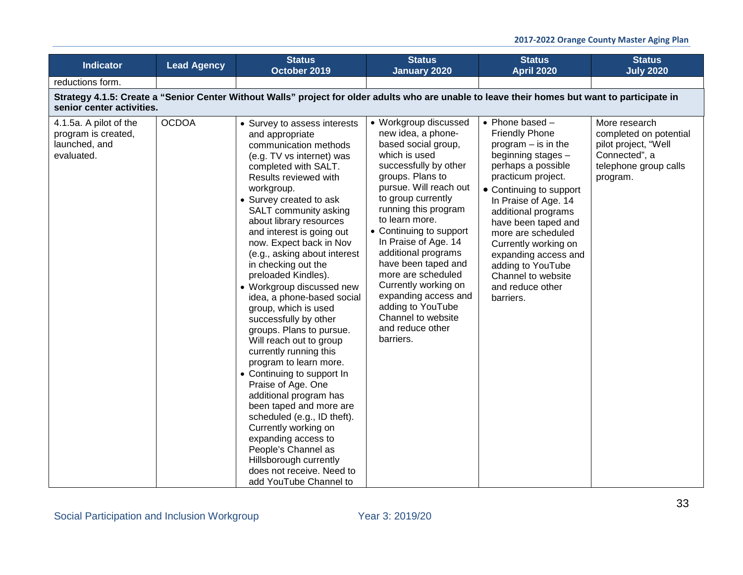| <b>Indicator</b>                                                             | <b>Lead Agency</b>                                                                                                                                                          | <b>Status</b><br>October 2019                                                                                                                                                                                                                                                                                                                                                                                                                                                                                                                                                                                                                                                                                                                                                                                                                                                                                   | <b>Status</b><br><b>January 2020</b>                                                                                                                                                                                                                                                                                                                                                                                                                                          | <b>Status</b><br><b>April 2020</b>                                                                                                                                                                                                                                                                                                                                                               | <b>Status</b><br><b>July 2020</b>                                                                                     |  |  |  |  |
|------------------------------------------------------------------------------|-----------------------------------------------------------------------------------------------------------------------------------------------------------------------------|-----------------------------------------------------------------------------------------------------------------------------------------------------------------------------------------------------------------------------------------------------------------------------------------------------------------------------------------------------------------------------------------------------------------------------------------------------------------------------------------------------------------------------------------------------------------------------------------------------------------------------------------------------------------------------------------------------------------------------------------------------------------------------------------------------------------------------------------------------------------------------------------------------------------|-------------------------------------------------------------------------------------------------------------------------------------------------------------------------------------------------------------------------------------------------------------------------------------------------------------------------------------------------------------------------------------------------------------------------------------------------------------------------------|--------------------------------------------------------------------------------------------------------------------------------------------------------------------------------------------------------------------------------------------------------------------------------------------------------------------------------------------------------------------------------------------------|-----------------------------------------------------------------------------------------------------------------------|--|--|--|--|
| reductions form.                                                             |                                                                                                                                                                             |                                                                                                                                                                                                                                                                                                                                                                                                                                                                                                                                                                                                                                                                                                                                                                                                                                                                                                                 |                                                                                                                                                                                                                                                                                                                                                                                                                                                                               |                                                                                                                                                                                                                                                                                                                                                                                                  |                                                                                                                       |  |  |  |  |
|                                                                              | Strategy 4.1.5: Create a "Senior Center Without Walls" project for older adults who are unable to leave their homes but want to participate in<br>senior center activities. |                                                                                                                                                                                                                                                                                                                                                                                                                                                                                                                                                                                                                                                                                                                                                                                                                                                                                                                 |                                                                                                                                                                                                                                                                                                                                                                                                                                                                               |                                                                                                                                                                                                                                                                                                                                                                                                  |                                                                                                                       |  |  |  |  |
| 4.1.5a. A pilot of the<br>program is created,<br>launched, and<br>evaluated. | <b>OCDOA</b>                                                                                                                                                                | • Survey to assess interests<br>and appropriate<br>communication methods<br>(e.g. TV vs internet) was<br>completed with SALT.<br>Results reviewed with<br>workgroup.<br>• Survey created to ask<br>SALT community asking<br>about library resources<br>and interest is going out<br>now. Expect back in Nov<br>(e.g., asking about interest<br>in checking out the<br>preloaded Kindles).<br>• Workgroup discussed new<br>idea, a phone-based social<br>group, which is used<br>successfully by other<br>groups. Plans to pursue.<br>Will reach out to group<br>currently running this<br>program to learn more.<br>• Continuing to support In<br>Praise of Age. One<br>additional program has<br>been taped and more are<br>scheduled (e.g., ID theft).<br>Currently working on<br>expanding access to<br>People's Channel as<br>Hillsborough currently<br>does not receive. Need to<br>add YouTube Channel to | • Workgroup discussed<br>new idea, a phone-<br>based social group,<br>which is used<br>successfully by other<br>groups. Plans to<br>pursue. Will reach out<br>to group currently<br>running this program<br>to learn more.<br>• Continuing to support<br>In Praise of Age. 14<br>additional programs<br>have been taped and<br>more are scheduled<br>Currently working on<br>expanding access and<br>adding to YouTube<br>Channel to website<br>and reduce other<br>barriers. | $\bullet$ Phone based $-$<br><b>Friendly Phone</b><br>program $-$ is in the<br>beginning stages -<br>perhaps a possible<br>practicum project.<br>• Continuing to support<br>In Praise of Age. 14<br>additional programs<br>have been taped and<br>more are scheduled<br>Currently working on<br>expanding access and<br>adding to YouTube<br>Channel to website<br>and reduce other<br>barriers. | More research<br>completed on potential<br>pilot project, "Well<br>Connected", a<br>telephone group calls<br>program. |  |  |  |  |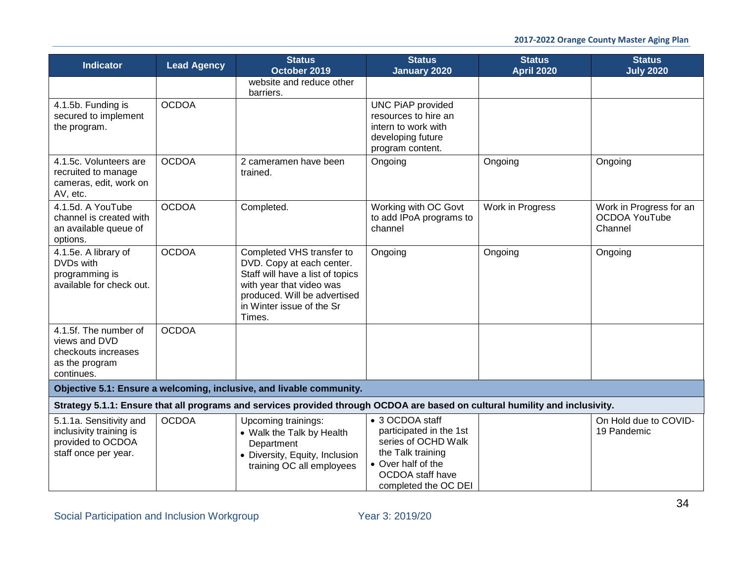| <b>Indicator</b>                                                                                | <b>Lead Agency</b> | <b>Status</b><br>October 2019                                                                                                                                                                 | <b>Status</b><br><b>January 2020</b>                                                                                                                     | <b>Status</b><br><b>April 2020</b> | <b>Status</b><br><b>July 2020</b>                          |
|-------------------------------------------------------------------------------------------------|--------------------|-----------------------------------------------------------------------------------------------------------------------------------------------------------------------------------------------|----------------------------------------------------------------------------------------------------------------------------------------------------------|------------------------------------|------------------------------------------------------------|
|                                                                                                 |                    | website and reduce other<br>barriers.                                                                                                                                                         |                                                                                                                                                          |                                    |                                                            |
| 4.1.5b. Funding is<br>secured to implement<br>the program.                                      | <b>OCDOA</b>       |                                                                                                                                                                                               | <b>UNC PiAP provided</b><br>resources to hire an<br>intern to work with<br>developing future<br>program content.                                         |                                    |                                                            |
| 4.1.5c. Volunteers are<br>recruited to manage<br>cameras, edit, work on<br>AV, etc.             | <b>OCDOA</b>       | 2 cameramen have been<br>trained.                                                                                                                                                             | Ongoing                                                                                                                                                  | Ongoing                            | Ongoing                                                    |
| 4.1.5d. A YouTube<br>channel is created with<br>an available queue of<br>options.               | <b>OCDOA</b>       | Completed.                                                                                                                                                                                    | Working with OC Govt<br>to add IPoA programs to<br>channel                                                                                               | Work in Progress                   | Work in Progress for an<br><b>OCDOA YouTube</b><br>Channel |
| 4.1.5e. A library of<br>DVDs with<br>programming is<br>available for check out.                 | <b>OCDOA</b>       | Completed VHS transfer to<br>DVD. Copy at each center.<br>Staff will have a list of topics<br>with year that video was<br>produced. Will be advertised<br>in Winter issue of the Sr<br>Times. | Ongoing                                                                                                                                                  | Ongoing                            | Ongoing                                                    |
| 4.1.5f. The number of<br>views and DVD<br>checkouts increases<br>as the program<br>continues.   | <b>OCDOA</b>       |                                                                                                                                                                                               |                                                                                                                                                          |                                    |                                                            |
|                                                                                                 |                    | Objective 5.1: Ensure a welcoming, inclusive, and livable community.                                                                                                                          |                                                                                                                                                          |                                    |                                                            |
|                                                                                                 |                    | Strategy 5.1.1: Ensure that all programs and services provided through OCDOA are based on cultural humility and inclusivity.                                                                  |                                                                                                                                                          |                                    |                                                            |
| 5.1.1a. Sensitivity and<br>inclusivity training is<br>provided to OCDOA<br>staff once per year. | <b>OCDOA</b>       | Upcoming trainings:<br>• Walk the Talk by Health<br>Department<br>• Diversity, Equity, Inclusion<br>training OC all employees                                                                 | • 3 OCDOA staff<br>participated in the 1st<br>series of OCHD Walk<br>the Talk training<br>• Over half of the<br>OCDOA staff have<br>completed the OC DEI |                                    | On Hold due to COVID-<br>19 Pandemic                       |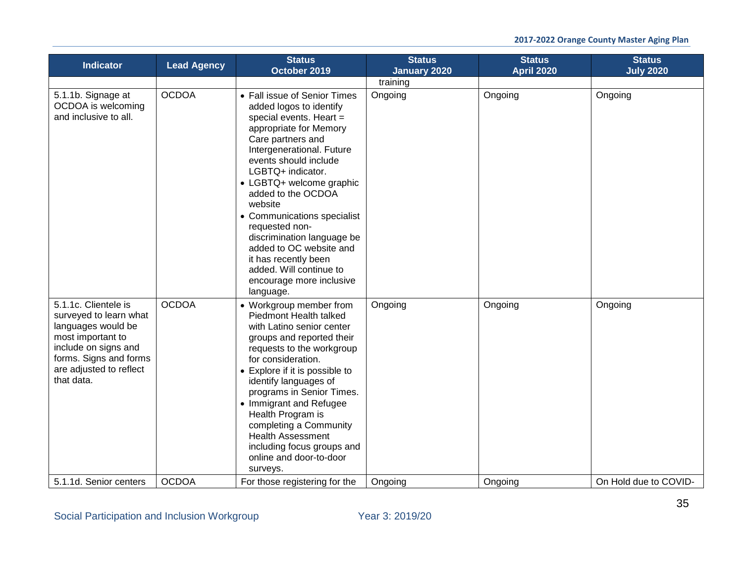| <b>Indicator</b>                                                                                                                                                                     | <b>Lead Agency</b> | <b>Status</b><br>October 2019                                                                                                                                                                                                                                                                                                                                                                                                                                                   | <b>Status</b><br><b>January 2020</b> | <b>Status</b><br><b>April 2020</b> | <b>Status</b><br><b>July 2020</b> |
|--------------------------------------------------------------------------------------------------------------------------------------------------------------------------------------|--------------------|---------------------------------------------------------------------------------------------------------------------------------------------------------------------------------------------------------------------------------------------------------------------------------------------------------------------------------------------------------------------------------------------------------------------------------------------------------------------------------|--------------------------------------|------------------------------------|-----------------------------------|
|                                                                                                                                                                                      |                    |                                                                                                                                                                                                                                                                                                                                                                                                                                                                                 | training                             |                                    |                                   |
| 5.1.1b. Signage at<br>OCDOA is welcoming<br>and inclusive to all.                                                                                                                    | <b>OCDOA</b>       | • Fall issue of Senior Times<br>added logos to identify<br>special events. Heart =<br>appropriate for Memory<br>Care partners and<br>Intergenerational. Future<br>events should include<br>LGBTQ+ indicator.<br>• LGBTQ+ welcome graphic<br>added to the OCDOA<br>website<br>• Communications specialist<br>requested non-<br>discrimination language be<br>added to OC website and<br>it has recently been<br>added. Will continue to<br>encourage more inclusive<br>language. | Ongoing                              | Ongoing                            | Ongoing                           |
| 5.1.1c. Clientele is<br>surveyed to learn what<br>languages would be<br>most important to<br>include on signs and<br>forms. Signs and forms<br>are adjusted to reflect<br>that data. | <b>OCDOA</b>       | • Workgroup member from<br>Piedmont Health talked<br>with Latino senior center<br>groups and reported their<br>requests to the workgroup<br>for consideration.<br>• Explore if it is possible to<br>identify languages of<br>programs in Senior Times.<br>• Immigrant and Refugee<br>Health Program is<br>completing a Community<br><b>Health Assessment</b><br>including focus groups and<br>online and door-to-door<br>surveys.                                               | Ongoing                              | Ongoing                            | Ongoing                           |
| 5.1.1d. Senior centers                                                                                                                                                               | <b>OCDOA</b>       | For those registering for the                                                                                                                                                                                                                                                                                                                                                                                                                                                   | Ongoing                              | Ongoing                            | On Hold due to COVID-             |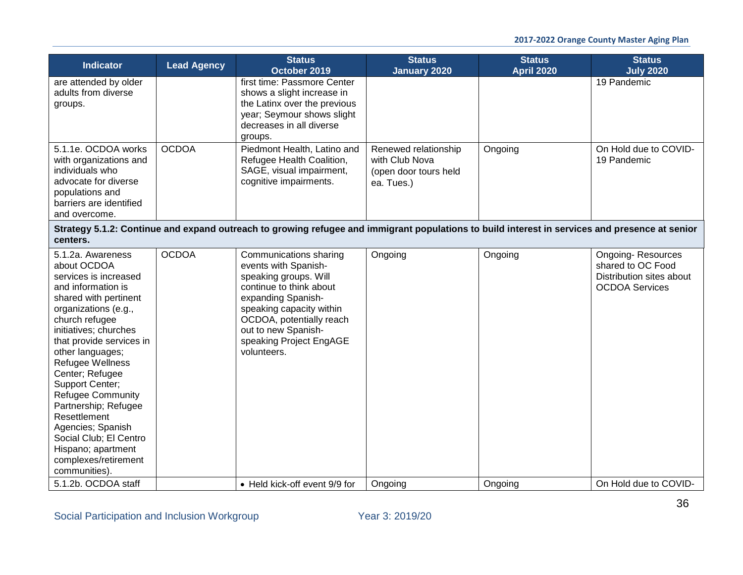| <b>Indicator</b>                                                                                                                                                                                                                                                                                                                                                                                                                                                        | <b>Lead Agency</b> | <b>Status</b><br>October 2019                                                                                                                                                                                                                     | <b>Status</b><br><b>January 2020</b>                                          | <b>Status</b><br><b>April 2020</b> | <b>Status</b><br><b>July 2020</b>                                                                  |  |
|-------------------------------------------------------------------------------------------------------------------------------------------------------------------------------------------------------------------------------------------------------------------------------------------------------------------------------------------------------------------------------------------------------------------------------------------------------------------------|--------------------|---------------------------------------------------------------------------------------------------------------------------------------------------------------------------------------------------------------------------------------------------|-------------------------------------------------------------------------------|------------------------------------|----------------------------------------------------------------------------------------------------|--|
| are attended by older<br>adults from diverse<br>groups.                                                                                                                                                                                                                                                                                                                                                                                                                 |                    | first time: Passmore Center<br>shows a slight increase in<br>the Latinx over the previous<br>year; Seymour shows slight<br>decreases in all diverse<br>groups.                                                                                    |                                                                               |                                    | 19 Pandemic                                                                                        |  |
| 5.1.1e. OCDOA works<br>with organizations and<br>individuals who<br>advocate for diverse<br>populations and<br>barriers are identified<br>and overcome.                                                                                                                                                                                                                                                                                                                 | <b>OCDOA</b>       | Piedmont Health, Latino and<br>Refugee Health Coalition,<br>SAGE, visual impairment,<br>cognitive impairments.                                                                                                                                    | Renewed relationship<br>with Club Nova<br>(open door tours held<br>ea. Tues.) | Ongoing                            | On Hold due to COVID-<br>19 Pandemic                                                               |  |
| Strategy 5.1.2: Continue and expand outreach to growing refugee and immigrant populations to build interest in services and presence at senior<br>centers.                                                                                                                                                                                                                                                                                                              |                    |                                                                                                                                                                                                                                                   |                                                                               |                                    |                                                                                                    |  |
| 5.1.2a. Awareness<br>about OCDOA<br>services is increased<br>and information is<br>shared with pertinent<br>organizations (e.g.,<br>church refugee<br>initiatives; churches<br>that provide services in<br>other languages;<br>Refugee Wellness<br>Center; Refugee<br>Support Center;<br><b>Refugee Community</b><br>Partnership; Refugee<br>Resettlement<br>Agencies; Spanish<br>Social Club; El Centro<br>Hispano; apartment<br>complexes/retirement<br>communities). | <b>OCDOA</b>       | Communications sharing<br>events with Spanish-<br>speaking groups. Will<br>continue to think about<br>expanding Spanish-<br>speaking capacity within<br>OCDOA, potentially reach<br>out to new Spanish-<br>speaking Project EngAGE<br>volunteers. | Ongoing                                                                       | Ongoing                            | <b>Ongoing-Resources</b><br>shared to OC Food<br>Distribution sites about<br><b>OCDOA Services</b> |  |
| 5.1.2b. OCDOA staff                                                                                                                                                                                                                                                                                                                                                                                                                                                     |                    | • Held kick-off event 9/9 for                                                                                                                                                                                                                     | Ongoing                                                                       | Ongoing                            | On Hold due to COVID-                                                                              |  |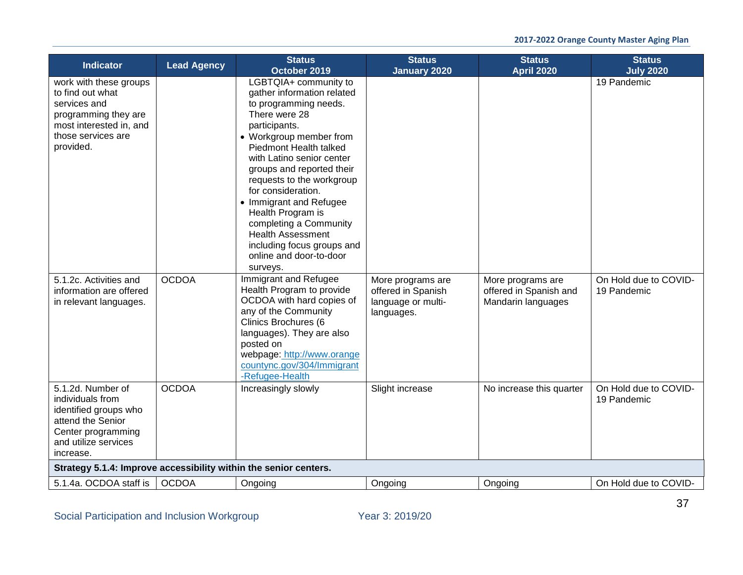| <b>Indicator</b>                                                                                                                                 | <b>Lead Agency</b> | <b>Status</b><br>October 2019                                                                                                                                                                                                                                                                                                                                                                                                                               | <b>Status</b><br><b>January 2020</b>                                        | <b>Status</b><br><b>April 2020</b>                                | <b>Status</b><br><b>July 2020</b>    |
|--------------------------------------------------------------------------------------------------------------------------------------------------|--------------------|-------------------------------------------------------------------------------------------------------------------------------------------------------------------------------------------------------------------------------------------------------------------------------------------------------------------------------------------------------------------------------------------------------------------------------------------------------------|-----------------------------------------------------------------------------|-------------------------------------------------------------------|--------------------------------------|
| work with these groups<br>to find out what<br>services and<br>programming they are<br>most interested in, and<br>those services are<br>provided. |                    | LGBTQIA+ community to<br>gather information related<br>to programming needs.<br>There were 28<br>participants.<br>• Workgroup member from<br>Piedmont Health talked<br>with Latino senior center<br>groups and reported their<br>requests to the workgroup<br>for consideration.<br>• Immigrant and Refugee<br>Health Program is<br>completing a Community<br><b>Health Assessment</b><br>including focus groups and<br>online and door-to-door<br>surveys. |                                                                             |                                                                   | 19 Pandemic                          |
| 5.1.2c. Activities and<br>information are offered<br>in relevant languages.                                                                      | <b>OCDOA</b>       | Immigrant and Refugee<br>Health Program to provide<br>OCDOA with hard copies of<br>any of the Community<br>Clinics Brochures (6<br>languages). They are also<br>posted on<br>webpage: http://www.orange<br>countync.gov/304/Immigrant<br>-Refugee-Health                                                                                                                                                                                                    | More programs are<br>offered in Spanish<br>language or multi-<br>languages. | More programs are<br>offered in Spanish and<br>Mandarin languages | On Hold due to COVID-<br>19 Pandemic |
| 5.1.2d. Number of<br>individuals from<br>identified groups who<br>attend the Senior<br>Center programming<br>and utilize services<br>increase.   | <b>OCDOA</b>       | Increasingly slowly                                                                                                                                                                                                                                                                                                                                                                                                                                         | Slight increase                                                             | No increase this quarter                                          | On Hold due to COVID-<br>19 Pandemic |
| Strategy 5.1.4: Improve accessibility within the senior centers.                                                                                 |                    |                                                                                                                                                                                                                                                                                                                                                                                                                                                             |                                                                             |                                                                   |                                      |
| 5.1.4a. OCDOA staff is                                                                                                                           | <b>OCDOA</b>       | Ongoing                                                                                                                                                                                                                                                                                                                                                                                                                                                     | Ongoing                                                                     | Ongoing                                                           | On Hold due to COVID-                |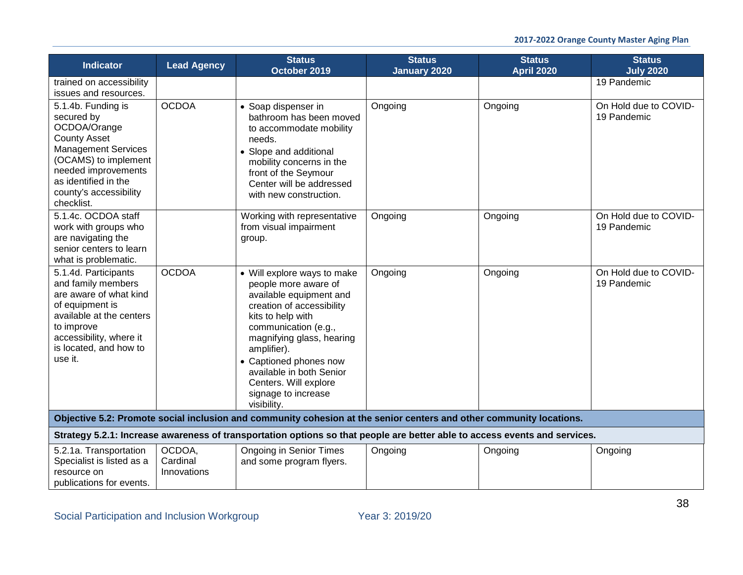| <b>Indicator</b>                                                                                                                                                                                                     | <b>Lead Agency</b>                | <b>Status</b><br>October 2019                                                                                                                                                                                                                                                                                             | <b>Status</b><br><b>January 2020</b> | <b>Status</b><br><b>April 2020</b> | <b>Status</b><br><b>July 2020</b>    |
|----------------------------------------------------------------------------------------------------------------------------------------------------------------------------------------------------------------------|-----------------------------------|---------------------------------------------------------------------------------------------------------------------------------------------------------------------------------------------------------------------------------------------------------------------------------------------------------------------------|--------------------------------------|------------------------------------|--------------------------------------|
| trained on accessibility<br>issues and resources.                                                                                                                                                                    |                                   |                                                                                                                                                                                                                                                                                                                           |                                      |                                    | 19 Pandemic                          |
| 5.1.4b. Funding is<br>secured by<br>OCDOA/Orange<br><b>County Asset</b><br><b>Management Services</b><br>(OCAMS) to implement<br>needed improvements<br>as identified in the<br>county's accessibility<br>checklist. | <b>OCDOA</b>                      | • Soap dispenser in<br>bathroom has been moved<br>to accommodate mobility<br>needs.<br>• Slope and additional<br>mobility concerns in the<br>front of the Seymour<br>Center will be addressed<br>with new construction.                                                                                                   | Ongoing                              | Ongoing                            | On Hold due to COVID-<br>19 Pandemic |
| 5.1.4c. OCDOA staff<br>work with groups who<br>are navigating the<br>senior centers to learn<br>what is problematic.                                                                                                 |                                   | Working with representative<br>from visual impairment<br>group.                                                                                                                                                                                                                                                           | Ongoing                              | Ongoing                            | On Hold due to COVID-<br>19 Pandemic |
| 5.1.4d. Participants<br>and family members<br>are aware of what kind<br>of equipment is<br>available at the centers<br>to improve<br>accessibility, where it<br>is located, and how to<br>use it.                    | <b>OCDOA</b>                      | • Will explore ways to make<br>people more aware of<br>available equipment and<br>creation of accessibility<br>kits to help with<br>communication (e.g.,<br>magnifying glass, hearing<br>amplifier).<br>• Captioned phones now<br>available in both Senior<br>Centers. Will explore<br>signage to increase<br>visibility. | Ongoing                              | Ongoing                            | On Hold due to COVID-<br>19 Pandemic |
|                                                                                                                                                                                                                      |                                   | Objective 5.2: Promote social inclusion and community cohesion at the senior centers and other community locations.                                                                                                                                                                                                       |                                      |                                    |                                      |
|                                                                                                                                                                                                                      |                                   | Strategy 5.2.1: Increase awareness of transportation options so that people are better able to access events and services.                                                                                                                                                                                                |                                      |                                    |                                      |
| 5.2.1a. Transportation<br>Specialist is listed as a<br>resource on<br>publications for events.                                                                                                                       | OCDOA,<br>Cardinal<br>Innovations | <b>Ongoing in Senior Times</b><br>and some program flyers.                                                                                                                                                                                                                                                                | Ongoing                              | Ongoing                            | Ongoing                              |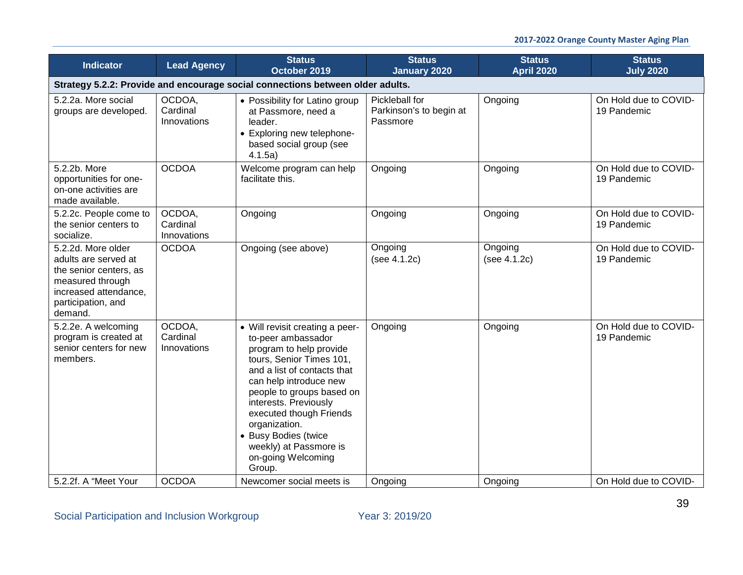### **2017-2022 Orange County Master Aging Plan**

| <b>Indicator</b>                                                                                                                                   | <b>Lead Agency</b>                | <b>Status</b><br>October 2019                                                                                                                                                                                                                                                                                                                             | <b>Status</b><br><b>January 2020</b>                  | <b>Status</b><br><b>April 2020</b> | <b>Status</b><br><b>July 2020</b>    |  |  |
|----------------------------------------------------------------------------------------------------------------------------------------------------|-----------------------------------|-----------------------------------------------------------------------------------------------------------------------------------------------------------------------------------------------------------------------------------------------------------------------------------------------------------------------------------------------------------|-------------------------------------------------------|------------------------------------|--------------------------------------|--|--|
| Strategy 5.2.2: Provide and encourage social connections between older adults.                                                                     |                                   |                                                                                                                                                                                                                                                                                                                                                           |                                                       |                                    |                                      |  |  |
| 5.2.2a. More social<br>groups are developed.                                                                                                       | OCDOA,<br>Cardinal<br>Innovations | • Possibility for Latino group<br>at Passmore, need a<br>leader.<br>• Exploring new telephone-<br>based social group (see<br>4.1.5a)                                                                                                                                                                                                                      | Pickleball for<br>Parkinson's to begin at<br>Passmore | Ongoing                            | On Hold due to COVID-<br>19 Pandemic |  |  |
| 5.2.2b. More<br>opportunities for one-<br>on-one activities are<br>made available.                                                                 | <b>OCDOA</b>                      | Welcome program can help<br>facilitate this.                                                                                                                                                                                                                                                                                                              | Ongoing                                               | Ongoing                            | On Hold due to COVID-<br>19 Pandemic |  |  |
| 5.2.2c. People come to<br>the senior centers to<br>socialize.                                                                                      | OCDOA.<br>Cardinal<br>Innovations | Ongoing                                                                                                                                                                                                                                                                                                                                                   | Ongoing                                               | Ongoing                            | On Hold due to COVID-<br>19 Pandemic |  |  |
| 5.2.2d. More older<br>adults are served at<br>the senior centers, as<br>measured through<br>increased attendance,<br>participation, and<br>demand. | <b>OCDOA</b>                      | Ongoing (see above)                                                                                                                                                                                                                                                                                                                                       | Ongoing<br>(see 4.1.2c)                               | Ongoing<br>(see 4.1.2c)            | On Hold due to COVID-<br>19 Pandemic |  |  |
| 5.2.2e. A welcoming<br>program is created at<br>senior centers for new<br>members.                                                                 | OCDOA,<br>Cardinal<br>Innovations | • Will revisit creating a peer-<br>to-peer ambassador<br>program to help provide<br>tours, Senior Times 101,<br>and a list of contacts that<br>can help introduce new<br>people to groups based on<br>interests. Previously<br>executed though Friends<br>organization.<br>• Busy Bodies (twice<br>weekly) at Passmore is<br>on-going Welcoming<br>Group. | Ongoing                                               | Ongoing                            | On Hold due to COVID-<br>19 Pandemic |  |  |
| 5.2.2f. A "Meet Your                                                                                                                               | <b>OCDOA</b>                      | Newcomer social meets is                                                                                                                                                                                                                                                                                                                                  | Ongoing                                               | Ongoing                            | On Hold due to COVID-                |  |  |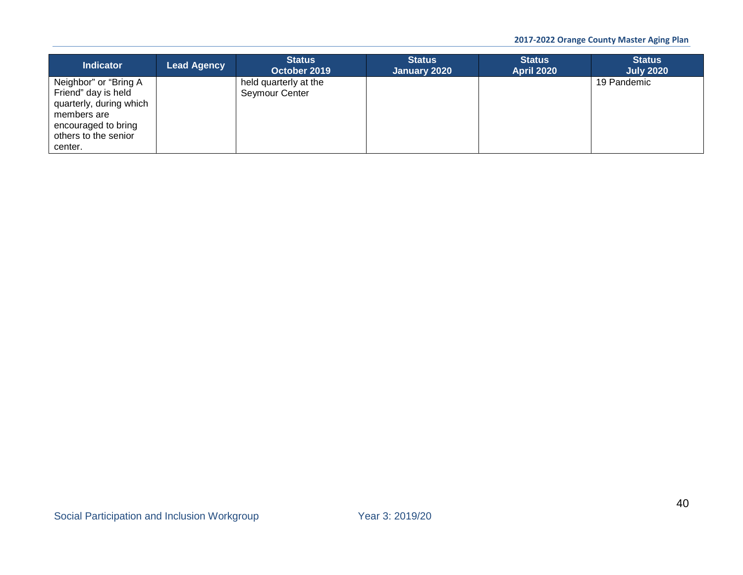| <b>Indicator</b>                                                                                                                                 | Lead Agency | <b>Status</b><br>October 2019           | <b>Status</b><br>January 2020 | <b>Status</b><br><b>April 2020</b> | <b>Status</b><br><b>July 2020</b> |
|--------------------------------------------------------------------------------------------------------------------------------------------------|-------------|-----------------------------------------|-------------------------------|------------------------------------|-----------------------------------|
| Neighbor" or "Bring A<br>Friend" day is held<br>quarterly, during which<br>members are<br>encouraged to bring<br>others to the senior<br>center. |             | held quarterly at the<br>Seymour Center |                               |                                    | 19 Pandemic                       |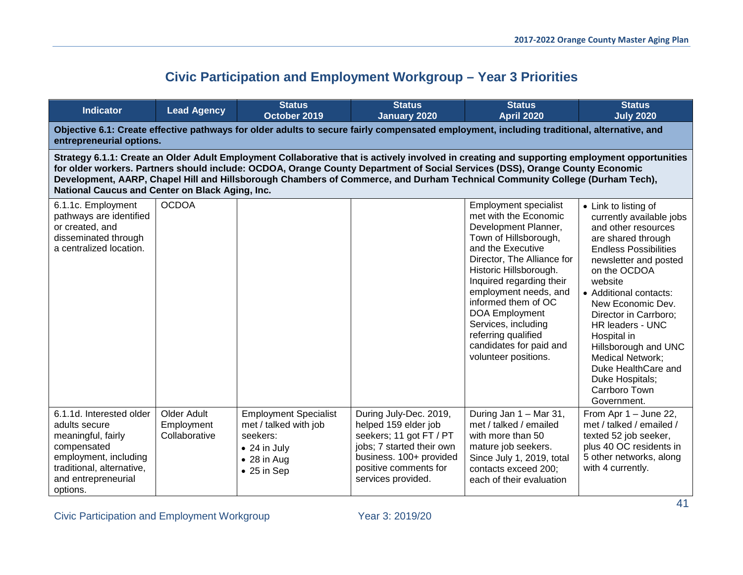# **Civic Participation and Employment Workgroup – Year 3 Priorities**

| <b>Indicator</b>                                                                                                                                                                                                                                                                                                                                                                                                                                               | <b>Lead Agency</b>                         | <b>Status</b><br>October 2019                                                                                                           | <b>Status</b><br><b>January 2020</b>                                                                                                                                             | <b>Status</b><br><b>April 2020</b>                                                                                                                                                                                                                                                                                                                                                        | <b>Status</b><br><b>July 2020</b>                                                                                                                                                                                                                                                                                                                                                                                         |  |  |  |  |
|----------------------------------------------------------------------------------------------------------------------------------------------------------------------------------------------------------------------------------------------------------------------------------------------------------------------------------------------------------------------------------------------------------------------------------------------------------------|--------------------------------------------|-----------------------------------------------------------------------------------------------------------------------------------------|----------------------------------------------------------------------------------------------------------------------------------------------------------------------------------|-------------------------------------------------------------------------------------------------------------------------------------------------------------------------------------------------------------------------------------------------------------------------------------------------------------------------------------------------------------------------------------------|---------------------------------------------------------------------------------------------------------------------------------------------------------------------------------------------------------------------------------------------------------------------------------------------------------------------------------------------------------------------------------------------------------------------------|--|--|--|--|
| Objective 6.1: Create effective pathways for older adults to secure fairly compensated employment, including traditional, alternative, and<br>entrepreneurial options.                                                                                                                                                                                                                                                                                         |                                            |                                                                                                                                         |                                                                                                                                                                                  |                                                                                                                                                                                                                                                                                                                                                                                           |                                                                                                                                                                                                                                                                                                                                                                                                                           |  |  |  |  |
| Strategy 6.1.1: Create an Older Adult Employment Collaborative that is actively involved in creating and supporting employment opportunities<br>for older workers. Partners should include: OCDOA, Orange County Department of Social Services (DSS), Orange County Economic<br>Development, AARP, Chapel Hill and Hillsborough Chambers of Commerce, and Durham Technical Community College (Durham Tech),<br>National Caucus and Center on Black Aging, Inc. |                                            |                                                                                                                                         |                                                                                                                                                                                  |                                                                                                                                                                                                                                                                                                                                                                                           |                                                                                                                                                                                                                                                                                                                                                                                                                           |  |  |  |  |
| 6.1.1c. Employment<br>pathways are identified<br>or created, and<br>disseminated through<br>a centralized location.                                                                                                                                                                                                                                                                                                                                            | <b>OCDOA</b>                               |                                                                                                                                         |                                                                                                                                                                                  | <b>Employment specialist</b><br>met with the Economic<br>Development Planner,<br>Town of Hillsborough,<br>and the Executive<br>Director, The Alliance for<br>Historic Hillsborough.<br>Inquired regarding their<br>employment needs, and<br>informed them of OC<br><b>DOA Employment</b><br>Services, including<br>referring qualified<br>candidates for paid and<br>volunteer positions. | • Link to listing of<br>currently available jobs<br>and other resources<br>are shared through<br><b>Endless Possibilities</b><br>newsletter and posted<br>on the OCDOA<br>website<br>• Additional contacts:<br>New Economic Dev.<br>Director in Carrboro;<br>HR leaders - UNC<br>Hospital in<br>Hillsborough and UNC<br><b>Medical Network;</b><br>Duke HealthCare and<br>Duke Hospitals;<br>Carrboro Town<br>Government. |  |  |  |  |
| 6.1.1d. Interested older<br>adults secure<br>meaningful, fairly<br>compensated<br>employment, including<br>traditional, alternative,<br>and entrepreneurial<br>options.                                                                                                                                                                                                                                                                                        | Older Adult<br>Employment<br>Collaborative | <b>Employment Specialist</b><br>met / talked with job<br>seekers:<br>$\bullet$ 24 in July<br>$\bullet$ 28 in Aug<br>$\bullet$ 25 in Sep | During July-Dec. 2019,<br>helped 159 elder job<br>seekers; 11 got FT / PT<br>jobs; 7 started their own<br>business. 100+ provided<br>positive comments for<br>services provided. | During Jan 1 - Mar 31,<br>met / talked / emailed<br>with more than 50<br>mature job seekers.<br>Since July 1, 2019, total<br>contacts exceed 200;<br>each of their evaluation                                                                                                                                                                                                             | From Apr 1 - June 22,<br>met / talked / emailed /<br>texted 52 job seeker,<br>plus 40 OC residents in<br>5 other networks, along<br>with 4 currently.                                                                                                                                                                                                                                                                     |  |  |  |  |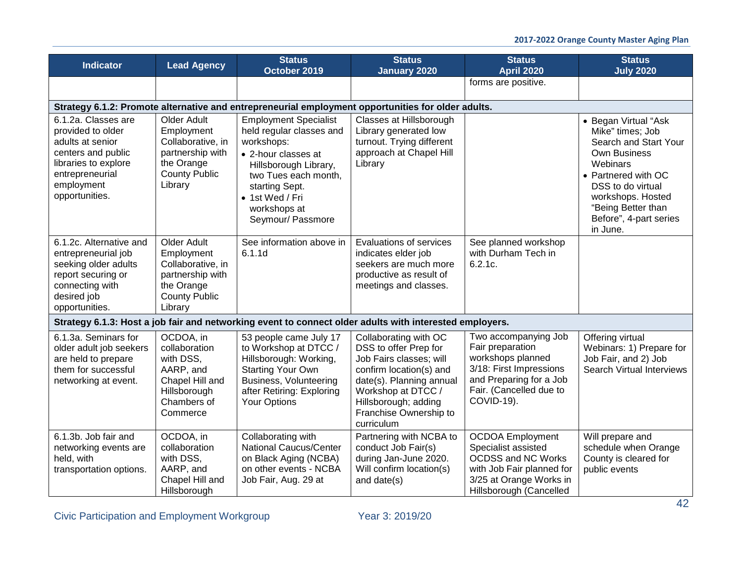| Indicator                                                                                                                                                     | <b>Lead Agency</b>                                                                                                  | <b>Status</b><br>October 2019                                                                                                                                                                                            | <b>Status</b><br><b>January 2020</b>                                                                                                                                                                                   | <b>Status</b><br><b>April 2020</b>                                                                                                                             | <b>Status</b><br><b>July 2020</b>                                                                                                                                                                                                 |
|---------------------------------------------------------------------------------------------------------------------------------------------------------------|---------------------------------------------------------------------------------------------------------------------|--------------------------------------------------------------------------------------------------------------------------------------------------------------------------------------------------------------------------|------------------------------------------------------------------------------------------------------------------------------------------------------------------------------------------------------------------------|----------------------------------------------------------------------------------------------------------------------------------------------------------------|-----------------------------------------------------------------------------------------------------------------------------------------------------------------------------------------------------------------------------------|
|                                                                                                                                                               |                                                                                                                     |                                                                                                                                                                                                                          |                                                                                                                                                                                                                        | forms are positive.                                                                                                                                            |                                                                                                                                                                                                                                   |
|                                                                                                                                                               |                                                                                                                     | Strategy 6.1.2: Promote alternative and entrepreneurial employment opportunities for older adults.                                                                                                                       |                                                                                                                                                                                                                        |                                                                                                                                                                |                                                                                                                                                                                                                                   |
| 6.1.2a. Classes are<br>provided to older<br>adults at senior<br>centers and public<br>libraries to explore<br>entrepreneurial<br>employment<br>opportunities. | Older Adult<br>Employment<br>Collaborative, in<br>partnership with<br>the Orange<br><b>County Public</b><br>Library | <b>Employment Specialist</b><br>held regular classes and<br>workshops:<br>• 2-hour classes at<br>Hillsborough Library,<br>two Tues each month,<br>starting Sept.<br>• 1st Wed / Fri<br>workshops at<br>Seymour/ Passmore | Classes at Hillsborough<br>Library generated low<br>turnout. Trying different<br>approach at Chapel Hill<br>Library                                                                                                    |                                                                                                                                                                | • Began Virtual "Ask<br>Mike" times; Job<br>Search and Start Your<br><b>Own Business</b><br>Webinars<br>• Partnered with OC<br>DSS to do virtual<br>workshops. Hosted<br>"Being Better than<br>Before", 4-part series<br>in June. |
| 6.1.2c. Alternative and<br>entrepreneurial job<br>seeking older adults<br>report securing or<br>connecting with<br>desired job<br>opportunities.              | Older Adult<br>Employment<br>Collaborative, in<br>partnership with<br>the Orange<br><b>County Public</b><br>Library | See information above in<br>6.1.1d                                                                                                                                                                                       | Evaluations of services<br>indicates elder job<br>seekers are much more<br>productive as result of<br>meetings and classes.                                                                                            | See planned workshop<br>with Durham Tech in<br>6.2.1c.                                                                                                         |                                                                                                                                                                                                                                   |
|                                                                                                                                                               |                                                                                                                     | Strategy 6.1.3: Host a job fair and networking event to connect older adults with interested employers.                                                                                                                  |                                                                                                                                                                                                                        |                                                                                                                                                                |                                                                                                                                                                                                                                   |
| 6.1.3a. Seminars for<br>older adult job seekers<br>are held to prepare<br>them for successful<br>networking at event.                                         | OCDOA, in<br>collaboration<br>with DSS,<br>AARP, and<br>Chapel Hill and<br>Hillsborough<br>Chambers of<br>Commerce  | 53 people came July 17<br>to Workshop at DTCC /<br>Hillsborough: Working,<br><b>Starting Your Own</b><br>Business, Volunteering<br>after Retiring: Exploring<br><b>Your Options</b>                                      | Collaborating with OC<br>DSS to offer Prep for<br>Job Fairs classes; will<br>confirm location(s) and<br>date(s). Planning annual<br>Workshop at DTCC /<br>Hillsborough; adding<br>Franchise Ownership to<br>curriculum | Two accompanying Job<br>Fair preparation<br>workshops planned<br>3/18: First Impressions<br>and Preparing for a Job<br>Fair. (Cancelled due to<br>COVID-19).   | Offering virtual<br>Webinars: 1) Prepare for<br>Job Fair, and 2) Job<br>Search Virtual Interviews                                                                                                                                 |
| 6.1.3b. Job fair and<br>networking events are<br>held, with<br>transportation options.                                                                        | OCDOA, in<br>collaboration<br>with DSS,<br>AARP, and<br>Chapel Hill and<br>Hillsborough                             | Collaborating with<br>National Caucus/Center<br>on Black Aging (NCBA)<br>on other events - NCBA<br>Job Fair, Aug. 29 at                                                                                                  | Partnering with NCBA to<br>conduct Job Fair(s)<br>during Jan-June 2020.<br>Will confirm location(s)<br>and date(s)                                                                                                     | <b>OCDOA</b> Employment<br>Specialist assisted<br><b>OCDSS and NC Works</b><br>with Job Fair planned for<br>3/25 at Orange Works in<br>Hillsborough (Cancelled | Will prepare and<br>schedule when Orange<br>County is cleared for<br>public events                                                                                                                                                |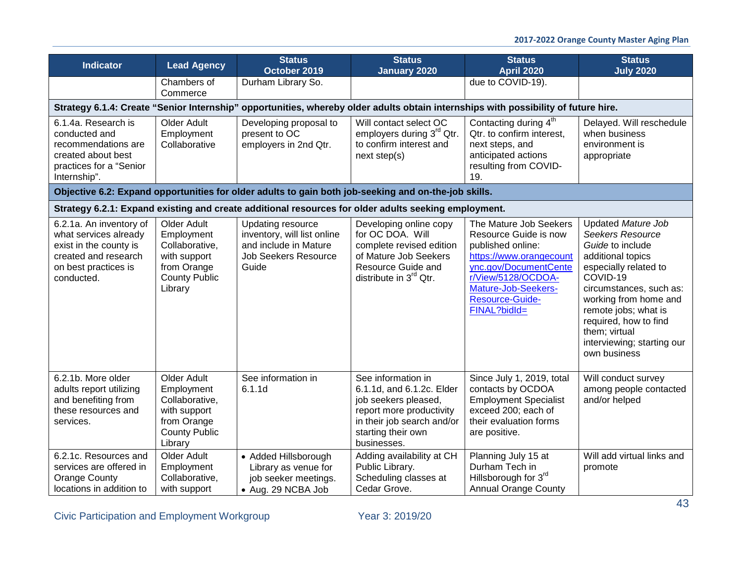| <b>Indicator</b>                                                                                                                         | <b>Lead Agency</b>                                                                                            | <b>Status</b><br>October 2019                                                                                            | <b>Status</b><br><b>January 2020</b>                                                                                                                                   | <b>Status</b><br><b>April 2020</b>                                                                                                                                                                       | <b>Status</b><br><b>July 2020</b>                                                                                                                                                                                                                                                               |
|------------------------------------------------------------------------------------------------------------------------------------------|---------------------------------------------------------------------------------------------------------------|--------------------------------------------------------------------------------------------------------------------------|------------------------------------------------------------------------------------------------------------------------------------------------------------------------|----------------------------------------------------------------------------------------------------------------------------------------------------------------------------------------------------------|-------------------------------------------------------------------------------------------------------------------------------------------------------------------------------------------------------------------------------------------------------------------------------------------------|
|                                                                                                                                          | Chambers of<br>Commerce                                                                                       | Durham Library So.                                                                                                       |                                                                                                                                                                        | due to COVID-19).                                                                                                                                                                                        |                                                                                                                                                                                                                                                                                                 |
|                                                                                                                                          |                                                                                                               |                                                                                                                          | Strategy 6.1.4: Create "Senior Internship" opportunities, whereby older adults obtain internships with possibility of future hire.                                     |                                                                                                                                                                                                          |                                                                                                                                                                                                                                                                                                 |
| 6.1.4a. Research is<br>conducted and<br>recommendations are<br>created about best<br>practices for a "Senior<br>Internship".             | Older Adult<br>Employment<br>Collaborative                                                                    | Developing proposal to<br>present to OC<br>employers in 2nd Qtr.                                                         | Will contact select OC<br>employers during 3 <sup>rd</sup> Qtr.<br>to confirm interest and<br>next step(s)                                                             | Contacting during 4 <sup>th</sup><br>Qtr. to confirm interest,<br>next steps, and<br>anticipated actions<br>resulting from COVID-<br>19.                                                                 | Delayed. Will reschedule<br>when business<br>environment is<br>appropriate                                                                                                                                                                                                                      |
|                                                                                                                                          |                                                                                                               |                                                                                                                          | Objective 6.2: Expand opportunities for older adults to gain both job-seeking and on-the-job skills.                                                                   |                                                                                                                                                                                                          |                                                                                                                                                                                                                                                                                                 |
|                                                                                                                                          |                                                                                                               |                                                                                                                          | Strategy 6.2.1: Expand existing and create additional resources for older adults seeking employment.                                                                   |                                                                                                                                                                                                          |                                                                                                                                                                                                                                                                                                 |
| 6.2.1a. An inventory of<br>what services already<br>exist in the county is<br>created and research<br>on best practices is<br>conducted. | Older Adult<br>Employment<br>Collaborative,<br>with support<br>from Orange<br><b>County Public</b><br>Library | <b>Updating resource</b><br>inventory, will list online<br>and include in Mature<br><b>Job Seekers Resource</b><br>Guide | Developing online copy<br>for OC DOA. Will<br>complete revised edition<br>of Mature Job Seekers<br>Resource Guide and<br>distribute in $3^{rd}$ Qtr.                   | The Mature Job Seekers<br>Resource Guide is now<br>published online:<br>https://www.orangecount<br>ync.gov/DocumentCente<br>r/View/5128/OCDOA-<br>Mature-Job-Seekers-<br>Resource-Guide-<br>FINAL?bidld= | Updated Mature Job<br><b>Seekers Resource</b><br>Guide to include<br>additional topics<br>especially related to<br>COVID-19<br>circumstances, such as:<br>working from home and<br>remote jobs; what is<br>required, how to find<br>them; virtual<br>interviewing; starting our<br>own business |
| 6.2.1b. More older<br>adults report utilizing<br>and benefiting from<br>these resources and<br>services.                                 | Older Adult<br>Employment<br>Collaborative,<br>with support<br>from Orange<br><b>County Public</b><br>Library | See information in<br>6.1.1d                                                                                             | See information in<br>6.1.1d, and 6.1.2c. Elder<br>job seekers pleased,<br>report more productivity<br>in their job search and/or<br>starting their own<br>businesses. | Since July 1, 2019, total<br>contacts by OCDOA<br><b>Employment Specialist</b><br>exceed 200; each of<br>their evaluation forms<br>are positive.                                                         | Will conduct survey<br>among people contacted<br>and/or helped                                                                                                                                                                                                                                  |
| 6.2.1c. Resources and<br>services are offered in<br><b>Orange County</b><br>locations in addition to                                     | Older Adult<br>Employment<br>Collaborative,<br>with support                                                   | • Added Hillsborough<br>Library as venue for<br>job seeker meetings.<br>• Aug. 29 NCBA Job                               | Adding availability at CH<br>Public Library.<br>Scheduling classes at<br>Cedar Grove.                                                                                  | Planning July 15 at<br>Durham Tech in<br>Hillsborough for 3rd<br><b>Annual Orange County</b>                                                                                                             | Will add virtual links and<br>promote                                                                                                                                                                                                                                                           |

Civic Participation and Employment Workgroup Year 3: 2019/20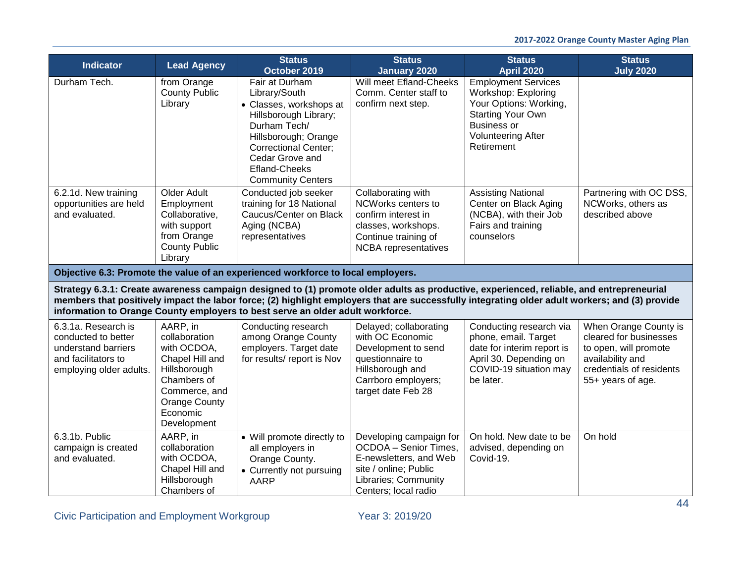| <b>Indicator</b>                                                                                                    | <b>Lead Agency</b>                                                                                                                                      | <b>Status</b><br>October 2019                                                                                                                                                                                                     | <b>Status</b><br><b>January 2020</b>                                                                                                                                                                                                                                                       | <b>Status</b><br><b>April 2020</b>                                                                                                                                | <b>Status</b><br><b>July 2020</b>                                                                                                             |
|---------------------------------------------------------------------------------------------------------------------|---------------------------------------------------------------------------------------------------------------------------------------------------------|-----------------------------------------------------------------------------------------------------------------------------------------------------------------------------------------------------------------------------------|--------------------------------------------------------------------------------------------------------------------------------------------------------------------------------------------------------------------------------------------------------------------------------------------|-------------------------------------------------------------------------------------------------------------------------------------------------------------------|-----------------------------------------------------------------------------------------------------------------------------------------------|
| Durham Tech.                                                                                                        | from Orange<br><b>County Public</b><br>Library                                                                                                          | Fair at Durham<br>Library/South<br>• Classes, workshops at<br>Hillsborough Library;<br>Durham Tech/<br>Hillsborough; Orange<br><b>Correctional Center;</b><br>Cedar Grove and<br><b>Efland-Cheeks</b><br><b>Community Centers</b> | Will meet Efland-Cheeks<br>Comm. Center staff to<br>confirm next step.                                                                                                                                                                                                                     | Employment Services<br>Workshop: Exploring<br>Your Options: Working,<br><b>Starting Your Own</b><br><b>Business or</b><br><b>Volunteering After</b><br>Retirement |                                                                                                                                               |
| 6.2.1d. New training<br>opportunities are held<br>and evaluated.                                                    | Older Adult<br>Employment<br>Collaborative,<br>with support<br>from Orange<br><b>County Public</b><br>Library                                           | Conducted job seeker<br>training for 18 National<br>Caucus/Center on Black<br>Aging (NCBA)<br>representatives                                                                                                                     | Collaborating with<br>NCWorks centers to<br>confirm interest in<br>classes, workshops.<br>Continue training of<br><b>NCBA</b> representatives                                                                                                                                              | <b>Assisting National</b><br>Center on Black Aging<br>(NCBA), with their Job<br>Fairs and training<br>counselors                                                  | Partnering with OC DSS,<br>NCWorks, others as<br>described above                                                                              |
|                                                                                                                     |                                                                                                                                                         | Objective 6.3: Promote the value of an experienced workforce to local employers.                                                                                                                                                  |                                                                                                                                                                                                                                                                                            |                                                                                                                                                                   |                                                                                                                                               |
|                                                                                                                     |                                                                                                                                                         | information to Orange County employers to best serve an older adult workforce.                                                                                                                                                    | Strategy 6.3.1: Create awareness campaign designed to (1) promote older adults as productive, experienced, reliable, and entrepreneurial<br>members that positively impact the labor force; (2) highlight employers that are successfully integrating older adult workers; and (3) provide |                                                                                                                                                                   |                                                                                                                                               |
| 6.3.1a. Research is<br>conducted to better<br>understand barriers<br>and facilitators to<br>employing older adults. | AARP, in<br>collaboration<br>with OCDOA,<br>Chapel Hill and<br>Hillsborough<br>Chambers of<br>Commerce, and<br>Orange County<br>Economic<br>Development | Conducting research<br>among Orange County<br>employers. Target date<br>for results/ report is Nov                                                                                                                                | Delayed; collaborating<br>with OC Economic<br>Development to send<br>questionnaire to<br>Hillsborough and<br>Carrboro employers;<br>target date Feb 28                                                                                                                                     | Conducting research via<br>phone, email. Target<br>date for interim report is<br>April 30. Depending on<br>COVID-19 situation may<br>be later.                    | When Orange County is<br>cleared for businesses<br>to open, will promote<br>availability and<br>credentials of residents<br>55+ years of age. |
| 6.3.1b. Public<br>campaign is created<br>and evaluated.                                                             | AARP, in<br>collaboration<br>with OCDOA,<br>Chapel Hill and<br>Hillsborough<br>Chambers of                                                              | • Will promote directly to<br>all employers in<br>Orange County.<br>• Currently not pursuing<br><b>AARP</b>                                                                                                                       | Developing campaign for<br>OCDOA - Senior Times,<br>E-newsletters, and Web<br>site / online; Public<br>Libraries; Community<br>Centers; local radio                                                                                                                                        | On hold. New date to be<br>advised, depending on<br>Covid-19.                                                                                                     | On hold                                                                                                                                       |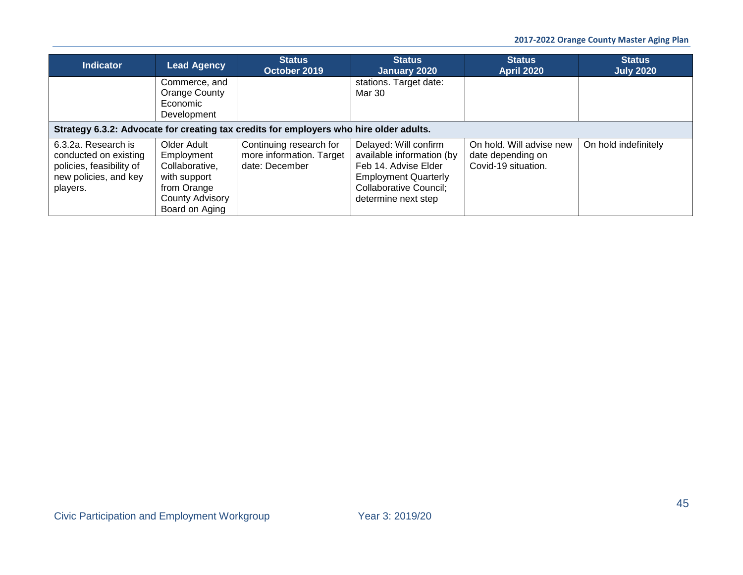| <b>Indicator</b>                                                                                              | <b>Lead Agency</b>                                                                                                     | <b>Status</b><br>October 2019                                         | <b>Status</b><br>January 2020                                                                                                                                     | <b>Status</b><br><b>April 2020</b>                                   | <b>Status</b><br><b>July 2020</b> |  |  |  |
|---------------------------------------------------------------------------------------------------------------|------------------------------------------------------------------------------------------------------------------------|-----------------------------------------------------------------------|-------------------------------------------------------------------------------------------------------------------------------------------------------------------|----------------------------------------------------------------------|-----------------------------------|--|--|--|
|                                                                                                               | Commerce, and<br>Orange County<br>Economic<br>Development                                                              |                                                                       | stations. Target date:<br>Mar 30                                                                                                                                  |                                                                      |                                   |  |  |  |
|                                                                                                               | Strategy 6.3.2: Advocate for creating tax credits for employers who hire older adults.                                 |                                                                       |                                                                                                                                                                   |                                                                      |                                   |  |  |  |
| 6.3.2a. Research is<br>conducted on existing<br>policies, feasibility of<br>new policies, and key<br>players. | Older Adult<br>Employment<br>Collaborative,<br>with support<br>from Orange<br><b>County Advisory</b><br>Board on Aging | Continuing research for<br>more information. Target<br>date: December | Delayed: Will confirm<br>available information (by<br>Feb 14. Advise Elder<br><b>Employment Quarterly</b><br><b>Collaborative Council;</b><br>determine next step | On hold. Will advise new<br>date depending on<br>Covid-19 situation. | On hold indefinitely              |  |  |  |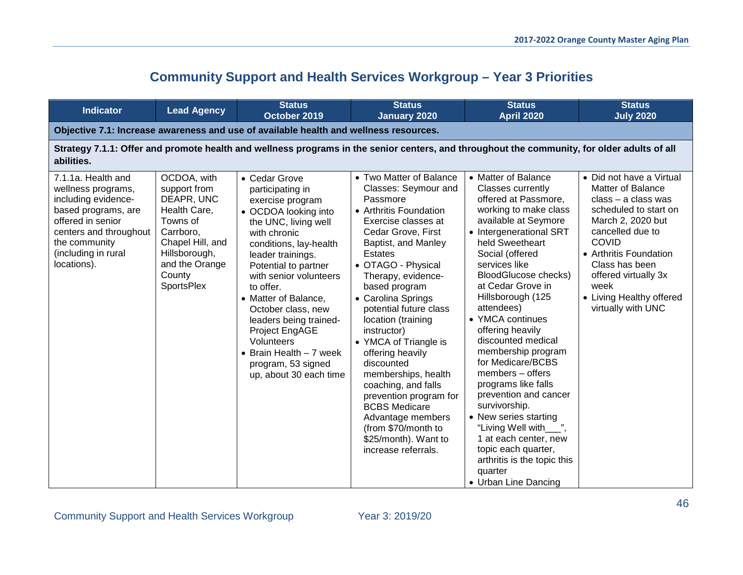# **Community Support and Health Services Workgroup – Year 3 Priorities**

| <b>Indicator</b>                                                                                                                                                                             | <b>Lead Agency</b>                                                                                                                                                       | <b>Status</b><br>October 2019                                                                                                                                                                                                                                                                                                                                                                                           | <b>Status</b><br><b>January 2020</b>                                                                                                                                                                                                                                                                                                                                                                                                                                                                                                                                                | <b>Status</b><br><b>April 2020</b>                                                                                                                                                                                                                                                                                                                                                                                                                                                                                                                                                                                                                       | <b>Status</b><br><b>July 2020</b>                                                                                                                                                                                                                                                             |  |  |  |
|----------------------------------------------------------------------------------------------------------------------------------------------------------------------------------------------|--------------------------------------------------------------------------------------------------------------------------------------------------------------------------|-------------------------------------------------------------------------------------------------------------------------------------------------------------------------------------------------------------------------------------------------------------------------------------------------------------------------------------------------------------------------------------------------------------------------|-------------------------------------------------------------------------------------------------------------------------------------------------------------------------------------------------------------------------------------------------------------------------------------------------------------------------------------------------------------------------------------------------------------------------------------------------------------------------------------------------------------------------------------------------------------------------------------|----------------------------------------------------------------------------------------------------------------------------------------------------------------------------------------------------------------------------------------------------------------------------------------------------------------------------------------------------------------------------------------------------------------------------------------------------------------------------------------------------------------------------------------------------------------------------------------------------------------------------------------------------------|-----------------------------------------------------------------------------------------------------------------------------------------------------------------------------------------------------------------------------------------------------------------------------------------------|--|--|--|
| Objective 7.1: Increase awareness and use of available health and wellness resources.                                                                                                        |                                                                                                                                                                          |                                                                                                                                                                                                                                                                                                                                                                                                                         |                                                                                                                                                                                                                                                                                                                                                                                                                                                                                                                                                                                     |                                                                                                                                                                                                                                                                                                                                                                                                                                                                                                                                                                                                                                                          |                                                                                                                                                                                                                                                                                               |  |  |  |
| abilities.                                                                                                                                                                                   | Strategy 7.1.1: Offer and promote health and wellness programs in the senior centers, and throughout the community, for older adults of all                              |                                                                                                                                                                                                                                                                                                                                                                                                                         |                                                                                                                                                                                                                                                                                                                                                                                                                                                                                                                                                                                     |                                                                                                                                                                                                                                                                                                                                                                                                                                                                                                                                                                                                                                                          |                                                                                                                                                                                                                                                                                               |  |  |  |
| 7.1.1a. Health and<br>wellness programs,<br>including evidence-<br>based programs, are<br>offered in senior<br>centers and throughout<br>the community<br>(including in rural<br>locations). | OCDOA, with<br>support from<br>DEAPR, UNC<br>Health Care,<br>Towns of<br>Carrboro,<br>Chapel Hill, and<br>Hillsborough,<br>and the Orange<br>County<br><b>SportsPlex</b> | • Cedar Grove<br>participating in<br>exercise program<br>• OCDOA looking into<br>the UNC, living well<br>with chronic<br>conditions, lay-health<br>leader trainings.<br>Potential to partner<br>with senior volunteers<br>to offer.<br>• Matter of Balance,<br>October class, new<br>leaders being trained-<br>Project EngAGE<br>Volunteers<br>• Brain Health $-7$ week<br>program, 53 signed<br>up, about 30 each time | • Two Matter of Balance<br>Classes: Seymour and<br>Passmore<br>• Arthritis Foundation<br>Exercise classes at<br>Cedar Grove, First<br>Baptist, and Manley<br><b>Estates</b><br>• OTAGO - Physical<br>Therapy, evidence-<br>based program<br>• Carolina Springs<br>potential future class<br>location (training<br>instructor)<br>• YMCA of Triangle is<br>offering heavily<br>discounted<br>memberships, health<br>coaching, and falls<br>prevention program for<br><b>BCBS</b> Medicare<br>Advantage members<br>(from \$70/month to<br>\$25/month). Want to<br>increase referrals. | • Matter of Balance<br>Classes currently<br>offered at Passmore,<br>working to make class<br>available at Seymore<br>• Intergenerational SRT<br>held Sweetheart<br>Social (offered<br>services like<br><b>BloodGlucose checks)</b><br>at Cedar Grove in<br>Hillsborough (125<br>attendees)<br>• YMCA continues<br>offering heavily<br>discounted medical<br>membership program<br>for Medicare/BCBS<br>members - offers<br>programs like falls<br>prevention and cancer<br>survivorship.<br>• New series starting<br>"Living Well with<br>1 at each center, new<br>topic each quarter,<br>arthritis is the topic this<br>quarter<br>• Urban Line Dancing | • Did not have a Virtual<br><b>Matter of Balance</b><br>$class - a class was$<br>scheduled to start on<br>March 2, 2020 but<br>cancelled due to<br><b>COVID</b><br>• Arthritis Foundation<br>Class has been<br>offered virtually 3x<br>week<br>• Living Healthy offered<br>virtually with UNC |  |  |  |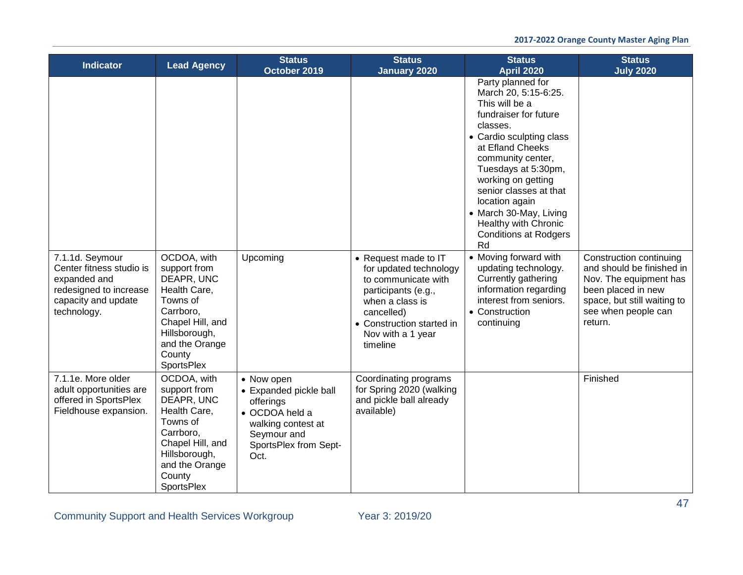| <b>Indicator</b>                                                                                                            | <b>Lead Agency</b>                                                                                                                                                       | <b>Status</b><br>October 2019                                                                                                             | <b>Status</b><br><b>January 2020</b>                                                                                                                                                        | <b>Status</b><br><b>April 2020</b>                                                                                                                                                                                                                                                                                                                     | <b>Status</b><br><b>July 2020</b>                                                                                                                                     |
|-----------------------------------------------------------------------------------------------------------------------------|--------------------------------------------------------------------------------------------------------------------------------------------------------------------------|-------------------------------------------------------------------------------------------------------------------------------------------|---------------------------------------------------------------------------------------------------------------------------------------------------------------------------------------------|--------------------------------------------------------------------------------------------------------------------------------------------------------------------------------------------------------------------------------------------------------------------------------------------------------------------------------------------------------|-----------------------------------------------------------------------------------------------------------------------------------------------------------------------|
|                                                                                                                             |                                                                                                                                                                          |                                                                                                                                           |                                                                                                                                                                                             | Party planned for<br>March 20, 5:15-6:25.<br>This will be a<br>fundraiser for future<br>classes.<br>• Cardio sculpting class<br>at Efland Cheeks<br>community center,<br>Tuesdays at 5:30pm,<br>working on getting<br>senior classes at that<br>location again<br>• March 30-May, Living<br>Healthy with Chronic<br><b>Conditions at Rodgers</b><br>Rd |                                                                                                                                                                       |
| 7.1.1d. Seymour<br>Center fitness studio is<br>expanded and<br>redesigned to increase<br>capacity and update<br>technology. | OCDOA, with<br>support from<br>DEAPR, UNC<br>Health Care,<br>Towns of<br>Carrboro,<br>Chapel Hill, and<br>Hillsborough,<br>and the Orange<br>County<br><b>SportsPlex</b> | Upcoming                                                                                                                                  | • Request made to IT<br>for updated technology<br>to communicate with<br>participants (e.g.,<br>when a class is<br>cancelled)<br>• Construction started in<br>Nov with a 1 year<br>timeline | • Moving forward with<br>updating technology.<br>Currently gathering<br>information regarding<br>interest from seniors.<br>• Construction<br>continuing                                                                                                                                                                                                | Construction continuing<br>and should be finished in<br>Nov. The equipment has<br>been placed in new<br>space, but still waiting to<br>see when people can<br>return. |
| 7.1.1e. More older<br>adult opportunities are<br>offered in SportsPlex<br>Fieldhouse expansion.                             | OCDOA, with<br>support from<br>DEAPR, UNC<br>Health Care,<br>Towns of<br>Carrboro,<br>Chapel Hill, and<br>Hillsborough,<br>and the Orange<br>County<br><b>SportsPlex</b> | • Now open<br>• Expanded pickle ball<br>offerings<br>• OCDOA held a<br>walking contest at<br>Seymour and<br>SportsPlex from Sept-<br>Oct. | Coordinating programs<br>for Spring 2020 (walking<br>and pickle ball already<br>available)                                                                                                  |                                                                                                                                                                                                                                                                                                                                                        | Finished                                                                                                                                                              |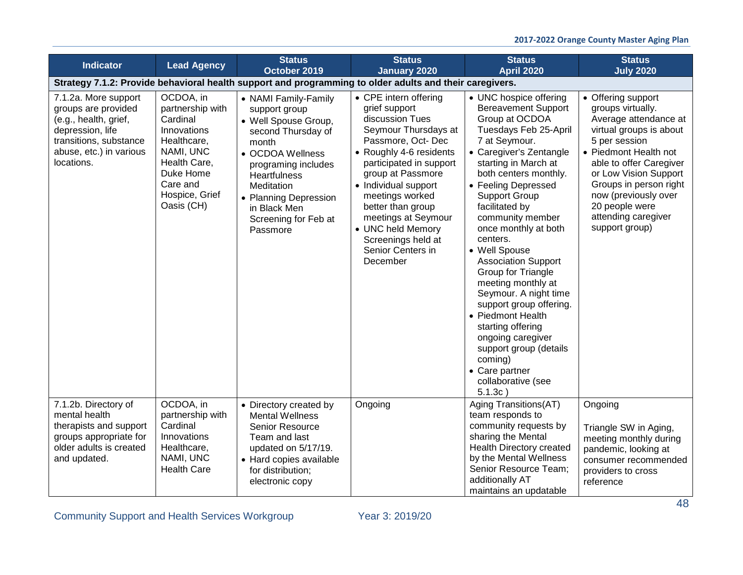| <b>Indicator</b>                                                                                                                                            | <b>Lead Agency</b>                                                                                                                                            | <b>Status</b><br>October 2019                                                                                                                                                                                                                             | <b>Status</b><br><b>January 2020</b>                                                                                                                                                                                                                                                                                                                 | <b>Status</b><br><b>April 2020</b>                                                                                                                                                                                                                                                                                                                                                                                                                                                                                                                                                                                             | <b>Status</b><br><b>July 2020</b>                                                                                                                                                                                                                                                                      |
|-------------------------------------------------------------------------------------------------------------------------------------------------------------|---------------------------------------------------------------------------------------------------------------------------------------------------------------|-----------------------------------------------------------------------------------------------------------------------------------------------------------------------------------------------------------------------------------------------------------|------------------------------------------------------------------------------------------------------------------------------------------------------------------------------------------------------------------------------------------------------------------------------------------------------------------------------------------------------|--------------------------------------------------------------------------------------------------------------------------------------------------------------------------------------------------------------------------------------------------------------------------------------------------------------------------------------------------------------------------------------------------------------------------------------------------------------------------------------------------------------------------------------------------------------------------------------------------------------------------------|--------------------------------------------------------------------------------------------------------------------------------------------------------------------------------------------------------------------------------------------------------------------------------------------------------|
|                                                                                                                                                             |                                                                                                                                                               |                                                                                                                                                                                                                                                           | Strategy 7.1.2: Provide behavioral health support and programming to older adults and their caregivers.                                                                                                                                                                                                                                              |                                                                                                                                                                                                                                                                                                                                                                                                                                                                                                                                                                                                                                |                                                                                                                                                                                                                                                                                                        |
| 7.1.2a. More support<br>groups are provided<br>(e.g., health, grief,<br>depression, life<br>transitions, substance<br>abuse, etc.) in various<br>locations. | OCDOA, in<br>partnership with<br>Cardinal<br>Innovations<br>Healthcare,<br>NAMI, UNC<br>Health Care,<br>Duke Home<br>Care and<br>Hospice, Grief<br>Oasis (CH) | • NAMI Family-Family<br>support group<br>• Well Spouse Group,<br>second Thursday of<br>month<br>• OCDOA Wellness<br>programing includes<br><b>Heartfulness</b><br>Meditation<br>• Planning Depression<br>in Black Men<br>Screening for Feb at<br>Passmore | • CPE intern offering<br>grief support<br>discussion Tues<br>Seymour Thursdays at<br>Passmore, Oct-Dec<br>• Roughly 4-6 residents<br>participated in support<br>group at Passmore<br>• Individual support<br>meetings worked<br>better than group<br>meetings at Seymour<br>• UNC held Memory<br>Screenings held at<br>Senior Centers in<br>December | • UNC hospice offering<br><b>Bereavement Support</b><br>Group at OCDOA<br>Tuesdays Feb 25-April<br>7 at Seymour.<br>• Caregiver's Zentangle<br>starting in March at<br>both centers monthly.<br>• Feeling Depressed<br><b>Support Group</b><br>facilitated by<br>community member<br>once monthly at both<br>centers.<br>• Well Spouse<br><b>Association Support</b><br>Group for Triangle<br>meeting monthly at<br>Seymour. A night time<br>support group offering.<br>• Piedmont Health<br>starting offering<br>ongoing caregiver<br>support group (details<br>coming)<br>• Care partner<br>collaborative (see<br>$5.1.3c$ ) | • Offering support<br>groups virtually.<br>Average attendance at<br>virtual groups is about<br>5 per session<br>• Piedmont Health not<br>able to offer Caregiver<br>or Low Vision Support<br>Groups in person right<br>now (previously over<br>20 people were<br>attending caregiver<br>support group) |
| 7.1.2b. Directory of<br>mental health<br>therapists and support<br>groups appropriate for<br>older adults is created<br>and updated.                        | OCDOA, in<br>partnership with<br>Cardinal<br>Innovations<br>Healthcare,<br>NAMI, UNC<br><b>Health Care</b>                                                    | • Directory created by<br><b>Mental Wellness</b><br>Senior Resource<br>Team and last<br>updated on 5/17/19.<br>• Hard copies available<br>for distribution;<br>electronic copy                                                                            | Ongoing                                                                                                                                                                                                                                                                                                                                              | Aging Transitions(AT)<br>team responds to<br>community requests by<br>sharing the Mental<br>Health Directory created<br>by the Mental Wellness<br>Senior Resource Team;<br>additionally AT<br>maintains an updatable                                                                                                                                                                                                                                                                                                                                                                                                           | Ongoing<br>Triangle SW in Aging,<br>meeting monthly during<br>pandemic, looking at<br>consumer recommended<br>providers to cross<br>reference                                                                                                                                                          |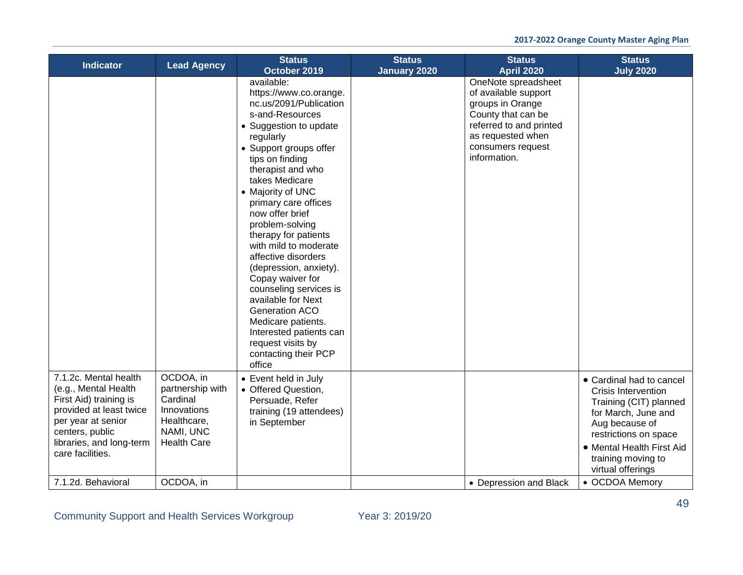| <b>Indicator</b>                                                                                                                                                                            | <b>Lead Agency</b>                                                                                         | <b>Status</b><br>October 2019                                                                                                                                                                                                                                                                                                                                                                                                                                                                                                                                                                   | <b>Status</b><br><b>January 2020</b> | <b>Status</b><br><b>April 2020</b>                                                                                                                                         | <b>Status</b><br><b>July 2020</b>                                                                                                                                                                                          |
|---------------------------------------------------------------------------------------------------------------------------------------------------------------------------------------------|------------------------------------------------------------------------------------------------------------|-------------------------------------------------------------------------------------------------------------------------------------------------------------------------------------------------------------------------------------------------------------------------------------------------------------------------------------------------------------------------------------------------------------------------------------------------------------------------------------------------------------------------------------------------------------------------------------------------|--------------------------------------|----------------------------------------------------------------------------------------------------------------------------------------------------------------------------|----------------------------------------------------------------------------------------------------------------------------------------------------------------------------------------------------------------------------|
|                                                                                                                                                                                             |                                                                                                            | available:<br>https://www.co.orange.<br>nc.us/2091/Publication<br>s-and-Resources<br>• Suggestion to update<br>regularly<br>• Support groups offer<br>tips on finding<br>therapist and who<br>takes Medicare<br>• Majority of UNC<br>primary care offices<br>now offer brief<br>problem-solving<br>therapy for patients<br>with mild to moderate<br>affective disorders<br>(depression, anxiety).<br>Copay waiver for<br>counseling services is<br>available for Next<br>Generation ACO<br>Medicare patients.<br>Interested patients can<br>request visits by<br>contacting their PCP<br>office |                                      | OneNote spreadsheet<br>of available support<br>groups in Orange<br>County that can be<br>referred to and printed<br>as requested when<br>consumers request<br>information. |                                                                                                                                                                                                                            |
| 7.1.2c. Mental health<br>(e.g., Mental Health<br>First Aid) training is<br>provided at least twice<br>per year at senior<br>centers, public<br>libraries, and long-term<br>care facilities. | OCDOA, in<br>partnership with<br>Cardinal<br>Innovations<br>Healthcare,<br>NAMI, UNC<br><b>Health Care</b> | • Event held in July<br>• Offered Question,<br>Persuade, Refer<br>training (19 attendees)<br>in September                                                                                                                                                                                                                                                                                                                                                                                                                                                                                       |                                      |                                                                                                                                                                            | • Cardinal had to cancel<br><b>Crisis Intervention</b><br>Training (CIT) planned<br>for March, June and<br>Aug because of<br>restrictions on space<br>• Mental Health First Aid<br>training moving to<br>virtual offerings |
| 7.1.2d. Behavioral                                                                                                                                                                          | OCDOA, in                                                                                                  |                                                                                                                                                                                                                                                                                                                                                                                                                                                                                                                                                                                                 |                                      | • Depression and Black                                                                                                                                                     | • OCDOA Memory                                                                                                                                                                                                             |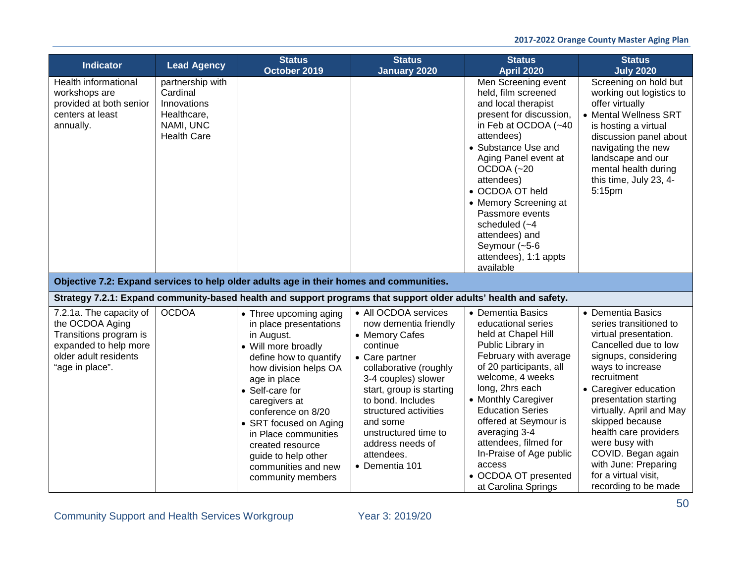| <b>Indicator</b>                                                                                                                          | <b>Lead Agency</b>                                                                            | <b>Status</b><br>October 2019                                                                                                                                                                                                                                                                                                                               | <b>Status</b><br><b>January 2020</b>                                                                                                                                                                                                                                                                             | <b>Status</b><br><b>April 2020</b>                                                                                                                                                                                                                                                                                                                                                      | <b>Status</b><br><b>July 2020</b>                                                                                                                                                                                                                                                                                                                                                                 |
|-------------------------------------------------------------------------------------------------------------------------------------------|-----------------------------------------------------------------------------------------------|-------------------------------------------------------------------------------------------------------------------------------------------------------------------------------------------------------------------------------------------------------------------------------------------------------------------------------------------------------------|------------------------------------------------------------------------------------------------------------------------------------------------------------------------------------------------------------------------------------------------------------------------------------------------------------------|-----------------------------------------------------------------------------------------------------------------------------------------------------------------------------------------------------------------------------------------------------------------------------------------------------------------------------------------------------------------------------------------|---------------------------------------------------------------------------------------------------------------------------------------------------------------------------------------------------------------------------------------------------------------------------------------------------------------------------------------------------------------------------------------------------|
| Health informational<br>workshops are<br>provided at both senior<br>centers at least<br>annually.                                         | partnership with<br>Cardinal<br>Innovations<br>Healthcare,<br>NAMI, UNC<br><b>Health Care</b> |                                                                                                                                                                                                                                                                                                                                                             |                                                                                                                                                                                                                                                                                                                  | Men Screening event<br>held, film screened<br>and local therapist<br>present for discussion,<br>in Feb at OCDOA (~40<br>attendees)<br>• Substance Use and<br>Aging Panel event at<br>OCDOA (~20<br>attendees)<br>• OCDOA OT held<br>• Memory Screening at<br>Passmore events<br>scheduled $(-4)$<br>attendees) and<br>Seymour (~5-6<br>attendees), 1:1 appts<br>available               | Screening on hold but<br>working out logistics to<br>offer virtually<br>• Mental Wellness SRT<br>is hosting a virtual<br>discussion panel about<br>navigating the new<br>landscape and our<br>mental health during<br>this time, July 23, 4-<br>5:15pm                                                                                                                                            |
|                                                                                                                                           |                                                                                               | Objective 7.2: Expand services to help older adults age in their homes and communities.                                                                                                                                                                                                                                                                     |                                                                                                                                                                                                                                                                                                                  |                                                                                                                                                                                                                                                                                                                                                                                         |                                                                                                                                                                                                                                                                                                                                                                                                   |
|                                                                                                                                           |                                                                                               | Strategy 7.2.1: Expand community-based health and support programs that support older adults' health and safety.                                                                                                                                                                                                                                            |                                                                                                                                                                                                                                                                                                                  |                                                                                                                                                                                                                                                                                                                                                                                         |                                                                                                                                                                                                                                                                                                                                                                                                   |
| 7.2.1a. The capacity of<br>the OCDOA Aging<br>Transitions program is<br>expanded to help more<br>older adult residents<br>"age in place". | <b>OCDOA</b>                                                                                  | • Three upcoming aging<br>in place presentations<br>in August.<br>• Will more broadly<br>define how to quantify<br>how division helps OA<br>age in place<br>• Self-care for<br>caregivers at<br>conference on 8/20<br>• SRT focused on Aging<br>in Place communities<br>created resource<br>guide to help other<br>communities and new<br>community members | • All OCDOA services<br>now dementia friendly<br>• Memory Cafes<br>continue<br>• Care partner<br>collaborative (roughly<br>3-4 couples) slower<br>start, group is starting<br>to bond. Includes<br>structured activities<br>and some<br>unstructured time to<br>address needs of<br>attendees.<br>• Dementia 101 | • Dementia Basics<br>educational series<br>held at Chapel Hill<br>Public Library in<br>February with average<br>of 20 participants, all<br>welcome, 4 weeks<br>long, 2hrs each<br>• Monthly Caregiver<br><b>Education Series</b><br>offered at Seymour is<br>averaging 3-4<br>attendees, filmed for<br>In-Praise of Age public<br>access<br>• OCDOA OT presented<br>at Carolina Springs | • Dementia Basics<br>series transitioned to<br>virtual presentation.<br>Cancelled due to low<br>signups, considering<br>ways to increase<br>recruitment<br>• Caregiver education<br>presentation starting<br>virtually. April and May<br>skipped because<br>health care providers<br>were busy with<br>COVID. Began again<br>with June: Preparing<br>for a virtual visit,<br>recording to be made |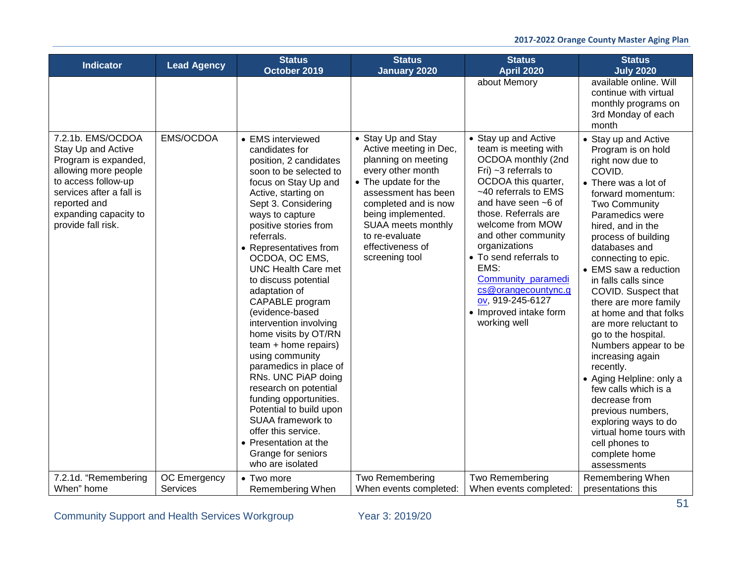| <b>Indicator</b><br><b>Lead Agency</b>                                                                                                                                                                                 | <b>Status</b><br>October 2019                                                                                                                                                                                                                                                                                                                                                                                                                                                                                                                                                                                                                                                                                               | <b>Status</b><br><b>January 2020</b>                                                                                                                                                                                                                                | <b>Status</b><br><b>April 2020</b>                                                                                                                                                                                                                                                                                                                                                                    | <b>Status</b><br><b>July 2020</b>                                                                                                                                                                                                                                                                                                                                                                                                                                                                                                                                                                                                                                                |
|------------------------------------------------------------------------------------------------------------------------------------------------------------------------------------------------------------------------|-----------------------------------------------------------------------------------------------------------------------------------------------------------------------------------------------------------------------------------------------------------------------------------------------------------------------------------------------------------------------------------------------------------------------------------------------------------------------------------------------------------------------------------------------------------------------------------------------------------------------------------------------------------------------------------------------------------------------------|---------------------------------------------------------------------------------------------------------------------------------------------------------------------------------------------------------------------------------------------------------------------|-------------------------------------------------------------------------------------------------------------------------------------------------------------------------------------------------------------------------------------------------------------------------------------------------------------------------------------------------------------------------------------------------------|----------------------------------------------------------------------------------------------------------------------------------------------------------------------------------------------------------------------------------------------------------------------------------------------------------------------------------------------------------------------------------------------------------------------------------------------------------------------------------------------------------------------------------------------------------------------------------------------------------------------------------------------------------------------------------|
|                                                                                                                                                                                                                        |                                                                                                                                                                                                                                                                                                                                                                                                                                                                                                                                                                                                                                                                                                                             |                                                                                                                                                                                                                                                                     | about Memory                                                                                                                                                                                                                                                                                                                                                                                          | available online. Will<br>continue with virtual<br>monthly programs on<br>3rd Monday of each<br>month                                                                                                                                                                                                                                                                                                                                                                                                                                                                                                                                                                            |
| 7.2.1b. EMS/OCDOA<br>EMS/OCDOA<br>Stay Up and Active<br>Program is expanded,<br>allowing more people<br>to access follow-up<br>services after a fall is<br>reported and<br>expanding capacity to<br>provide fall risk. | • EMS interviewed<br>candidates for<br>position, 2 candidates<br>soon to be selected to<br>focus on Stay Up and<br>Active, starting on<br>Sept 3. Considering<br>ways to capture<br>positive stories from<br>referrals.<br>• Representatives from<br>OCDOA, OC EMS,<br><b>UNC Health Care met</b><br>to discuss potential<br>adaptation of<br>CAPABLE program<br>(evidence-based<br>intervention involving<br>home visits by OT/RN<br>team + home repairs)<br>using community<br>paramedics in place of<br>RNs. UNC PiAP doing<br>research on potential<br>funding opportunities.<br>Potential to build upon<br>SUAA framework to<br>offer this service.<br>• Presentation at the<br>Grange for seniors<br>who are isolated | • Stay Up and Stay<br>Active meeting in Dec,<br>planning on meeting<br>every other month<br>• The update for the<br>assessment has been<br>completed and is now<br>being implemented.<br>SUAA meets monthly<br>to re-evaluate<br>effectiveness of<br>screening tool | • Stay up and Active<br>team is meeting with<br>OCDOA monthly (2nd<br>Fri) $~1$ 3 referrals to<br>OCDOA this quarter,<br>~40 referrals to EMS<br>and have seen ~6 of<br>those. Referrals are<br>welcome from MOW<br>and other community<br>organizations<br>• To send referrals to<br>EMS:<br>Community paramedi<br>cs@orangecountync.g<br>ov, 919-245-6127<br>• Improved intake form<br>working well | • Stay up and Active<br>Program is on hold<br>right now due to<br>COVID.<br>• There was a lot of<br>forward momentum:<br>Two Community<br>Paramedics were<br>hired, and in the<br>process of building<br>databases and<br>connecting to epic.<br>• EMS saw a reduction<br>in falls calls since<br>COVID. Suspect that<br>there are more family<br>at home and that folks<br>are more reluctant to<br>go to the hospital.<br>Numbers appear to be<br>increasing again<br>recently.<br>• Aging Helpline: only a<br>few calls which is a<br>decrease from<br>previous numbers,<br>exploring ways to do<br>virtual home tours with<br>cell phones to<br>complete home<br>assessments |
| 7.2.1d. "Remembering<br>OC Emergency<br>When" home<br><b>Services</b>                                                                                                                                                  | • Two more<br>Remembering When                                                                                                                                                                                                                                                                                                                                                                                                                                                                                                                                                                                                                                                                                              | Two Remembering<br>When events completed:                                                                                                                                                                                                                           | Two Remembering<br>When events completed:                                                                                                                                                                                                                                                                                                                                                             | Remembering When<br>presentations this                                                                                                                                                                                                                                                                                                                                                                                                                                                                                                                                                                                                                                           |

Community Support and Health Services Workgroup Year 3: 2019/20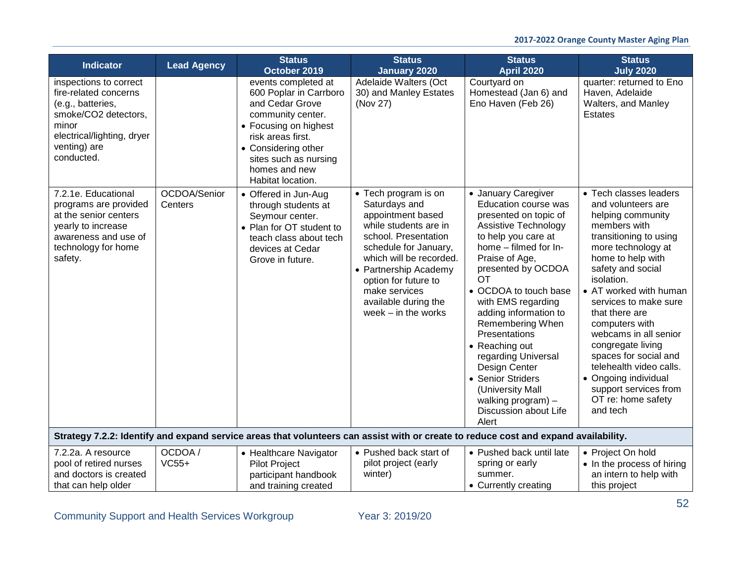| <b>Indicator</b>                                                                                                                                                  | <b>Lead Agency</b>      | <b>Status</b><br>October 2019                                                                                                                                                                                             | <b>Status</b><br><b>January 2020</b>                                                                                                                                                                                                                                               | <b>Status</b><br><b>April 2020</b>                                                                                                                                                                                                                                                                                                                                                                                                                                                 | <b>Status</b><br><b>July 2020</b>                                                                                                                                                                                                                                                                                                                                                                                                                                     |
|-------------------------------------------------------------------------------------------------------------------------------------------------------------------|-------------------------|---------------------------------------------------------------------------------------------------------------------------------------------------------------------------------------------------------------------------|------------------------------------------------------------------------------------------------------------------------------------------------------------------------------------------------------------------------------------------------------------------------------------|------------------------------------------------------------------------------------------------------------------------------------------------------------------------------------------------------------------------------------------------------------------------------------------------------------------------------------------------------------------------------------------------------------------------------------------------------------------------------------|-----------------------------------------------------------------------------------------------------------------------------------------------------------------------------------------------------------------------------------------------------------------------------------------------------------------------------------------------------------------------------------------------------------------------------------------------------------------------|
| inspections to correct<br>fire-related concerns<br>(e.g., batteries,<br>smoke/CO2 detectors,<br>minor<br>electrical/lighting, dryer<br>venting) are<br>conducted. |                         | events completed at<br>600 Poplar in Carrboro<br>and Cedar Grove<br>community center.<br>• Focusing on highest<br>risk areas first.<br>• Considering other<br>sites such as nursing<br>homes and new<br>Habitat location. | Adelaide Walters (Oct<br>30) and Manley Estates<br>(Nov 27)                                                                                                                                                                                                                        | Courtyard on<br>Homestead (Jan 6) and<br>Eno Haven (Feb 26)                                                                                                                                                                                                                                                                                                                                                                                                                        | quarter: returned to Eno<br>Haven, Adelaide<br>Walters, and Manley<br><b>Estates</b>                                                                                                                                                                                                                                                                                                                                                                                  |
| 7.2.1e. Educational<br>programs are provided<br>at the senior centers<br>yearly to increase<br>awareness and use of<br>technology for home<br>safety.             | OCDOA/Senior<br>Centers | • Offered in Jun-Aug<br>through students at<br>Seymour center.<br>• Plan for OT student to<br>teach class about tech<br>devices at Cedar<br>Grove in future.                                                              | • Tech program is on<br>Saturdays and<br>appointment based<br>while students are in<br>school. Presentation<br>schedule for January,<br>which will be recorded.<br>• Partnership Academy<br>option for future to<br>make services<br>available during the<br>week $-$ in the works | • January Caregiver<br>Education course was<br>presented on topic of<br><b>Assistive Technology</b><br>to help you care at<br>home - filmed for In-<br>Praise of Age,<br>presented by OCDOA<br><b>OT</b><br>• OCDOA to touch base<br>with EMS regarding<br>adding information to<br>Remembering When<br>Presentations<br>• Reaching out<br>regarding Universal<br>Design Center<br>• Senior Striders<br>(University Mall<br>walking program) $-$<br>Discussion about Life<br>Alert | • Tech classes leaders<br>and volunteers are<br>helping community<br>members with<br>transitioning to using<br>more technology at<br>home to help with<br>safety and social<br>isolation.<br>• AT worked with human<br>services to make sure<br>that there are<br>computers with<br>webcams in all senior<br>congregate living<br>spaces for social and<br>telehealth video calls.<br>• Ongoing individual<br>support services from<br>OT re: home safety<br>and tech |
|                                                                                                                                                                   |                         | Strategy 7.2.2: Identify and expand service areas that volunteers can assist with or create to reduce cost and expand availability.                                                                                       |                                                                                                                                                                                                                                                                                    |                                                                                                                                                                                                                                                                                                                                                                                                                                                                                    |                                                                                                                                                                                                                                                                                                                                                                                                                                                                       |
| 7.2.2a. A resource<br>pool of retired nurses<br>and doctors is created<br>that can help older                                                                     | OCDOA /<br>$VC55+$      | • Healthcare Navigator<br><b>Pilot Project</b><br>participant handbook<br>and training created                                                                                                                            | • Pushed back start of<br>pilot project (early<br>winter)                                                                                                                                                                                                                          | • Pushed back until late<br>spring or early<br>summer.<br>• Currently creating                                                                                                                                                                                                                                                                                                                                                                                                     | • Project On hold<br>• In the process of hiring<br>an intern to help with<br>this project                                                                                                                                                                                                                                                                                                                                                                             |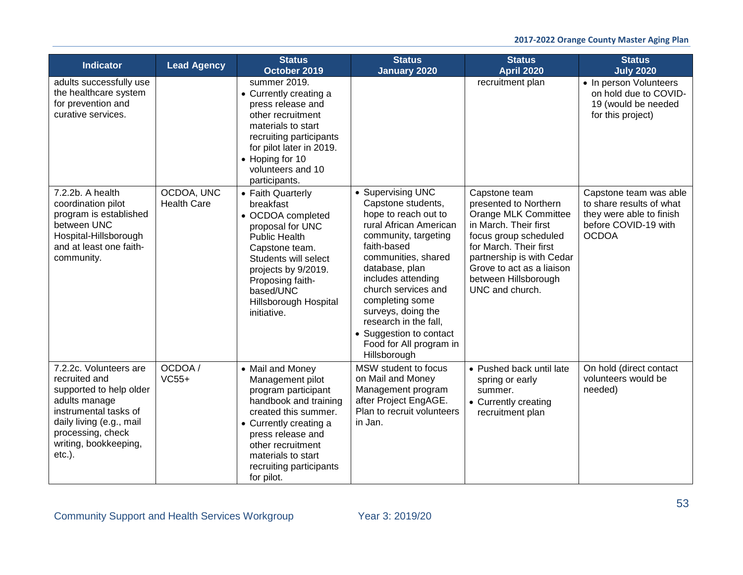| <b>Indicator</b>                                                                                                                                                                                    | <b>Lead Agency</b>               | <b>Status</b><br>October 2019                                                                                                                                                                                                                   | <b>Status</b><br><b>January 2020</b>                                                                                                                                                                                                                                                                                                                           | <b>Status</b><br><b>April 2020</b>                                                                                                                                                                                                              | <b>Status</b><br><b>July 2020</b>                                                                                      |
|-----------------------------------------------------------------------------------------------------------------------------------------------------------------------------------------------------|----------------------------------|-------------------------------------------------------------------------------------------------------------------------------------------------------------------------------------------------------------------------------------------------|----------------------------------------------------------------------------------------------------------------------------------------------------------------------------------------------------------------------------------------------------------------------------------------------------------------------------------------------------------------|-------------------------------------------------------------------------------------------------------------------------------------------------------------------------------------------------------------------------------------------------|------------------------------------------------------------------------------------------------------------------------|
| adults successfully use<br>the healthcare system<br>for prevention and<br>curative services.                                                                                                        |                                  | summer 2019.<br>• Currently creating a<br>press release and<br>other recruitment<br>materials to start<br>recruiting participants<br>for pilot later in 2019.<br>• Hoping for 10<br>volunteers and 10<br>participants.                          |                                                                                                                                                                                                                                                                                                                                                                | recruitment plan                                                                                                                                                                                                                                | • In person Volunteers<br>on hold due to COVID-<br>19 (would be needed<br>for this project)                            |
| 7.2.2b. A health<br>coordination pilot<br>program is established<br>between UNC<br>Hospital-Hillsborough<br>and at least one faith-<br>community.                                                   | OCDOA, UNC<br><b>Health Care</b> | • Faith Quarterly<br>breakfast<br>• OCDOA completed<br>proposal for UNC<br><b>Public Health</b><br>Capstone team.<br>Students will select<br>projects by 9/2019.<br>Proposing faith-<br>based/UNC<br>Hillsborough Hospital<br>initiative.       | • Supervising UNC<br>Capstone students,<br>hope to reach out to<br>rural African American<br>community, targeting<br>faith-based<br>communities, shared<br>database, plan<br>includes attending<br>church services and<br>completing some<br>surveys, doing the<br>research in the fall,<br>• Suggestion to contact<br>Food for All program in<br>Hillsborough | Capstone team<br>presented to Northern<br>Orange MLK Committee<br>in March. Their first<br>focus group scheduled<br>for March. Their first<br>partnership is with Cedar<br>Grove to act as a liaison<br>between Hillsborough<br>UNC and church. | Capstone team was able<br>to share results of what<br>they were able to finish<br>before COVID-19 with<br><b>OCDOA</b> |
| 7.2.2c. Volunteers are<br>recruited and<br>supported to help older<br>adults manage<br>instrumental tasks of<br>daily living (e.g., mail<br>processing, check<br>writing, bookkeeping,<br>$etc.$ ). | OCDOA/<br>$VC55+$                | • Mail and Money<br>Management pilot<br>program participant<br>handbook and training<br>created this summer.<br>• Currently creating a<br>press release and<br>other recruitment<br>materials to start<br>recruiting participants<br>for pilot. | MSW student to focus<br>on Mail and Money<br>Management program<br>after Project EngAGE.<br>Plan to recruit volunteers<br>in Jan.                                                                                                                                                                                                                              | • Pushed back until late<br>spring or early<br>summer.<br>• Currently creating<br>recruitment plan                                                                                                                                              | On hold (direct contact<br>volunteers would be<br>needed)                                                              |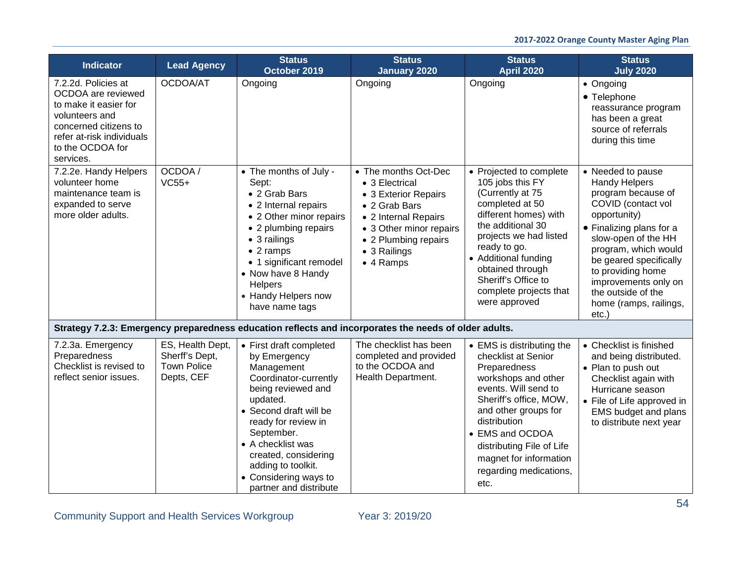| <b>Indicator</b>                                                                                                                                                            | <b>Lead Agency</b>                                                     | <b>Status</b><br>October 2019                                                                                                                                                                                                                                                                         | <b>Status</b><br><b>January 2020</b>                                                                                                                                                    | <b>Status</b><br><b>April 2020</b>                                                                                                                                                                                                                                                            | <b>Status</b><br><b>July 2020</b>                                                                                                                                                                                                                                                                               |
|-----------------------------------------------------------------------------------------------------------------------------------------------------------------------------|------------------------------------------------------------------------|-------------------------------------------------------------------------------------------------------------------------------------------------------------------------------------------------------------------------------------------------------------------------------------------------------|-----------------------------------------------------------------------------------------------------------------------------------------------------------------------------------------|-----------------------------------------------------------------------------------------------------------------------------------------------------------------------------------------------------------------------------------------------------------------------------------------------|-----------------------------------------------------------------------------------------------------------------------------------------------------------------------------------------------------------------------------------------------------------------------------------------------------------------|
| 7.2.2d. Policies at<br>OCDOA are reviewed<br>to make it easier for<br>volunteers and<br>concerned citizens to<br>refer at-risk individuals<br>to the OCDOA for<br>services. | OCDOA/AT                                                               | Ongoing                                                                                                                                                                                                                                                                                               | Ongoing                                                                                                                                                                                 | Ongoing                                                                                                                                                                                                                                                                                       | • Ongoing<br>• Telephone<br>reassurance program<br>has been a great<br>source of referrals<br>during this time                                                                                                                                                                                                  |
| 7.2.2e. Handy Helpers<br>volunteer home<br>maintenance team is<br>expanded to serve<br>more older adults.                                                                   | OCDOA/<br>$VC55+$                                                      | • The months of July -<br>Sept:<br>• 2 Grab Bars<br>• 2 Internal repairs<br>• 2 Other minor repairs<br>• 2 plumbing repairs<br>• 3 railings<br>$\bullet$ 2 ramps<br>• 1 significant remodel<br>• Now have 8 Handy<br>Helpers<br>• Handy Helpers now<br>have name tags                                 | • The months Oct-Dec<br>• 3 Electrical<br>• 3 Exterior Repairs<br>• 2 Grab Bars<br>• 2 Internal Repairs<br>• 3 Other minor repairs<br>• 2 Plumbing repairs<br>• 3 Railings<br>• 4 Ramps | • Projected to complete<br>105 jobs this FY<br>(Currently at 75<br>completed at 50<br>different homes) with<br>the additional 30<br>projects we had listed<br>ready to go.<br>• Additional funding<br>obtained through<br>Sheriff's Office to<br>complete projects that<br>were approved      | • Needed to pause<br><b>Handy Helpers</b><br>program because of<br>COVID (contact vol<br>opportunity)<br>• Finalizing plans for a<br>slow-open of the HH<br>program, which would<br>be geared specifically<br>to providing home<br>improvements only on<br>the outside of the<br>home (ramps, railings,<br>etc. |
|                                                                                                                                                                             |                                                                        |                                                                                                                                                                                                                                                                                                       | Strategy 7.2.3: Emergency preparedness education reflects and incorporates the needs of older adults.                                                                                   |                                                                                                                                                                                                                                                                                               |                                                                                                                                                                                                                                                                                                                 |
| 7.2.3a. Emergency<br>Preparedness<br>Checklist is revised to<br>reflect senior issues.                                                                                      | ES, Health Dept,<br>Sherff's Dept,<br><b>Town Police</b><br>Depts, CEF | • First draft completed<br>by Emergency<br>Management<br>Coordinator-currently<br>being reviewed and<br>updated.<br>• Second draft will be<br>ready for review in<br>September.<br>• A checklist was<br>created, considering<br>adding to toolkit.<br>• Considering ways to<br>partner and distribute | The checklist has been<br>completed and provided<br>to the OCDOA and<br>Health Department.                                                                                              | • EMS is distributing the<br>checklist at Senior<br>Preparedness<br>workshops and other<br>events. Will send to<br>Sheriff's office, MOW,<br>and other groups for<br>distribution<br>• EMS and OCDOA<br>distributing File of Life<br>magnet for information<br>regarding medications,<br>etc. | • Checklist is finished<br>and being distributed.<br>• Plan to push out<br>Checklist again with<br>Hurricane season<br>• File of Life approved in<br>EMS budget and plans<br>to distribute next year                                                                                                            |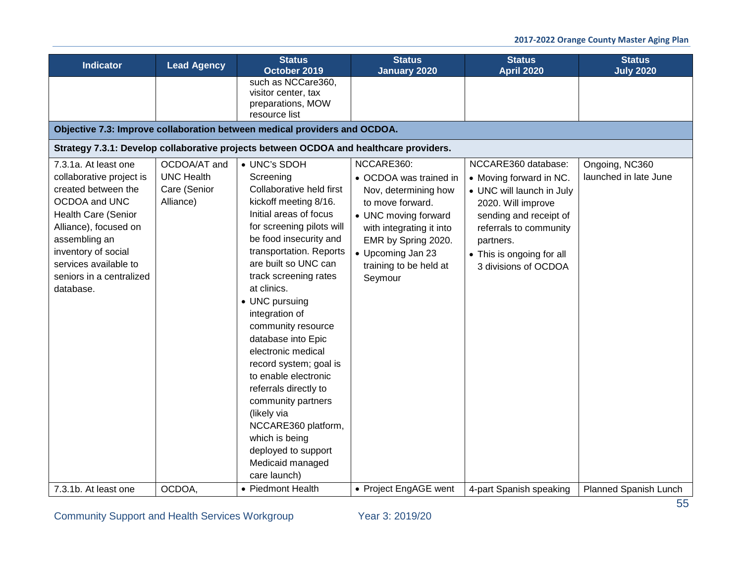| such as NCCare360,<br>visitor center, tax<br>preparations, MOW<br>resource list<br>Objective 7.3: Improve collaboration between medical providers and OCDOA.<br>Strategy 7.3.1: Develop collaborative projects between OCDOA and healthcare providers.<br>NCCARE360:<br>NCCARE360 database:<br>• UNC's SDOH<br>OCDOA/AT and<br>Ongoing, NC360<br>7.3.1a. At least one<br><b>UNC Health</b><br>launched in late June<br>collaborative project is<br>Screening<br>• OCDOA was trained in<br>• Moving forward in NC.<br>Collaborative held first<br>created between the<br>Care (Senior<br>Nov, determining how<br>• UNC will launch in July<br>OCDOA and UNC<br>Alliance)<br>kickoff meeting 8/16.<br>to move forward.<br>2020. Will improve<br>Initial areas of focus<br><b>Health Care (Senior</b><br>• UNC moving forward<br>sending and receipt of<br>Alliance), focused on<br>for screening pilots will<br>referrals to community<br>with integrating it into<br>be food insecurity and<br>assembling an<br>EMR by Spring 2020.<br>partners.<br>transportation. Reports<br>inventory of social<br>• Upcoming Jan 23<br>• This is ongoing for all<br>are built so UNC can<br>services available to<br>training to be held at<br>3 divisions of OCDOA<br>seniors in a centralized<br>track screening rates<br>Seymour<br>at clinics.<br>database.<br>• UNC pursuing | <b>Indicator</b> | <b>Lead Agency</b> | <b>Status</b><br>October 2019 | <b>Status</b><br><b>January 2020</b> | <b>Status</b><br><b>April 2020</b> | <b>Status</b><br><b>July 2020</b> |  |  |  |  |
|----------------------------------------------------------------------------------------------------------------------------------------------------------------------------------------------------------------------------------------------------------------------------------------------------------------------------------------------------------------------------------------------------------------------------------------------------------------------------------------------------------------------------------------------------------------------------------------------------------------------------------------------------------------------------------------------------------------------------------------------------------------------------------------------------------------------------------------------------------------------------------------------------------------------------------------------------------------------------------------------------------------------------------------------------------------------------------------------------------------------------------------------------------------------------------------------------------------------------------------------------------------------------------------------------------------------------------------------------------------------|------------------|--------------------|-------------------------------|--------------------------------------|------------------------------------|-----------------------------------|--|--|--|--|
|                                                                                                                                                                                                                                                                                                                                                                                                                                                                                                                                                                                                                                                                                                                                                                                                                                                                                                                                                                                                                                                                                                                                                                                                                                                                                                                                                                      |                  |                    |                               |                                      |                                    |                                   |  |  |  |  |
|                                                                                                                                                                                                                                                                                                                                                                                                                                                                                                                                                                                                                                                                                                                                                                                                                                                                                                                                                                                                                                                                                                                                                                                                                                                                                                                                                                      |                  |                    |                               |                                      |                                    |                                   |  |  |  |  |
|                                                                                                                                                                                                                                                                                                                                                                                                                                                                                                                                                                                                                                                                                                                                                                                                                                                                                                                                                                                                                                                                                                                                                                                                                                                                                                                                                                      |                  |                    |                               |                                      |                                    |                                   |  |  |  |  |
| integration of<br>community resource<br>database into Epic<br>electronic medical<br>record system; goal is<br>to enable electronic<br>referrals directly to<br>community partners<br>(likely via<br>NCCARE360 platform,<br>which is being<br>deployed to support<br>Medicaid managed<br>care launch)<br>OCDOA,<br>• Project EngAGE went<br>7.3.1b. At least one<br>• Piedmont Health<br>4-part Spanish speaking                                                                                                                                                                                                                                                                                                                                                                                                                                                                                                                                                                                                                                                                                                                                                                                                                                                                                                                                                      |                  |                    |                               |                                      |                                    | <b>Planned Spanish Lunch</b>      |  |  |  |  |

Community Support and Health Services Workgroup Year 3: 2019/20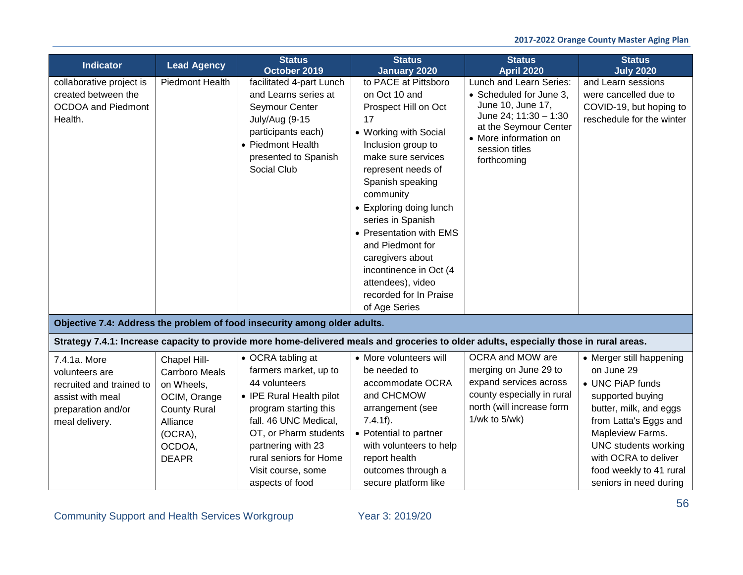| <b>Indicator</b>                                                                                                       | <b>Lead Agency</b>                                                                                                                          | <b>Status</b><br>October 2019                                                                                                                                                                                                                               | <b>Status</b><br><b>January 2020</b>                                                                                                                                                                                                                                                                                                                                                                         | <b>Status</b><br><b>April 2020</b>                                                                                                                                                  | <b>Status</b><br><b>July 2020</b>                                                                                                                                                                                                                                 |
|------------------------------------------------------------------------------------------------------------------------|---------------------------------------------------------------------------------------------------------------------------------------------|-------------------------------------------------------------------------------------------------------------------------------------------------------------------------------------------------------------------------------------------------------------|--------------------------------------------------------------------------------------------------------------------------------------------------------------------------------------------------------------------------------------------------------------------------------------------------------------------------------------------------------------------------------------------------------------|-------------------------------------------------------------------------------------------------------------------------------------------------------------------------------------|-------------------------------------------------------------------------------------------------------------------------------------------------------------------------------------------------------------------------------------------------------------------|
| collaborative project is<br>created between the<br><b>OCDOA</b> and Piedmont<br>Health.                                | <b>Piedmont Health</b>                                                                                                                      | facilitated 4-part Lunch<br>and Learns series at<br>Seymour Center<br>July/Aug (9-15<br>participants each)<br>• Piedmont Health<br>presented to Spanish<br>Social Club                                                                                      | to PACE at Pittsboro<br>on Oct 10 and<br>Prospect Hill on Oct<br>17<br>• Working with Social<br>Inclusion group to<br>make sure services<br>represent needs of<br>Spanish speaking<br>community<br>• Exploring doing lunch<br>series in Spanish<br>• Presentation with EMS<br>and Piedmont for<br>caregivers about<br>incontinence in Oct (4<br>attendees), video<br>recorded for In Praise<br>of Age Series | Lunch and Learn Series:<br>• Scheduled for June 3,<br>June 10, June 17,<br>June 24; 11:30 - 1:30<br>at the Seymour Center<br>• More information on<br>session titles<br>forthcoming | and Learn sessions<br>were cancelled due to<br>COVID-19, but hoping to<br>reschedule for the winter                                                                                                                                                               |
|                                                                                                                        |                                                                                                                                             | Objective 7.4: Address the problem of food insecurity among older adults.                                                                                                                                                                                   |                                                                                                                                                                                                                                                                                                                                                                                                              |                                                                                                                                                                                     |                                                                                                                                                                                                                                                                   |
|                                                                                                                        |                                                                                                                                             |                                                                                                                                                                                                                                                             |                                                                                                                                                                                                                                                                                                                                                                                                              | Strategy 7.4.1: Increase capacity to provide more home-delivered meals and groceries to older adults, especially those in rural areas.                                              |                                                                                                                                                                                                                                                                   |
| 7.4.1a. More<br>volunteers are<br>recruited and trained to<br>assist with meal<br>preparation and/or<br>meal delivery. | Chapel Hill-<br><b>Carrboro Meals</b><br>on Wheels,<br>OCIM, Orange<br><b>County Rural</b><br>Alliance<br>(OCRA),<br>OCDOA,<br><b>DEAPR</b> | • OCRA tabling at<br>farmers market, up to<br>44 volunteers<br>• IPE Rural Health pilot<br>program starting this<br>fall. 46 UNC Medical,<br>OT, or Pharm students<br>partnering with 23<br>rural seniors for Home<br>Visit course, some<br>aspects of food | • More volunteers will<br>be needed to<br>accommodate OCRA<br>and CHCMOW<br>arrangement (see<br>$7.4.1f$ ).<br>• Potential to partner<br>with volunteers to help<br>report health<br>outcomes through a<br>secure platform like                                                                                                                                                                              | OCRA and MOW are<br>merging on June 29 to<br>expand services across<br>county especially in rural<br>north (will increase form<br>1/wk to $5$ /wk)                                  | • Merger still happening<br>on June 29<br>• UNC PiAP funds<br>supported buying<br>butter, milk, and eggs<br>from Latta's Eggs and<br>Mapleview Farms.<br><b>UNC</b> students working<br>with OCRA to deliver<br>food weekly to 41 rural<br>seniors in need during |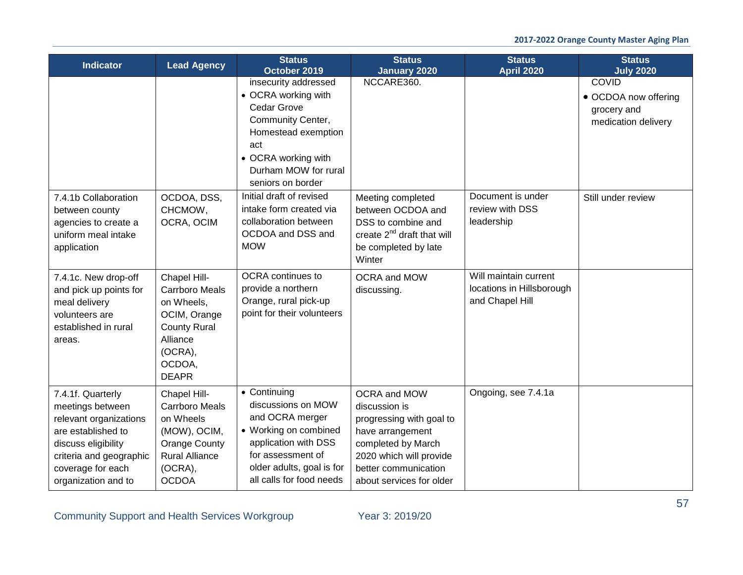| <b>Indicator</b>                                                                                                                                                                    | <b>Lead Agency</b>                                                                                                                             | <b>Status</b><br>October 2019                                                                                                                                                        | <b>Status</b><br><b>January 2020</b>                                                                                                                                               | <b>Status</b><br><b>April 2020</b>                                    | <b>Status</b><br><b>July 2020</b>                                          |
|-------------------------------------------------------------------------------------------------------------------------------------------------------------------------------------|------------------------------------------------------------------------------------------------------------------------------------------------|--------------------------------------------------------------------------------------------------------------------------------------------------------------------------------------|------------------------------------------------------------------------------------------------------------------------------------------------------------------------------------|-----------------------------------------------------------------------|----------------------------------------------------------------------------|
|                                                                                                                                                                                     |                                                                                                                                                | insecurity addressed<br>• OCRA working with<br>Cedar Grove<br>Community Center,<br>Homestead exemption<br>act<br>• OCRA working with<br>Durham MOW for rural<br>seniors on border    | NCCARE360.                                                                                                                                                                         |                                                                       | <b>COVID</b><br>• OCDOA now offering<br>grocery and<br>medication delivery |
| 7.4.1b Collaboration<br>between county<br>agencies to create a<br>uniform meal intake<br>application                                                                                | OCDOA, DSS,<br>CHCMOW,<br>OCRA, OCIM                                                                                                           | Initial draft of revised<br>intake form created via<br>collaboration between<br>OCDOA and DSS and<br><b>MOW</b>                                                                      | Meeting completed<br>between OCDOA and<br>DSS to combine and<br>create 2 <sup>nd</sup> draft that will<br>be completed by late<br>Winter                                           | Document is under<br>review with DSS<br>leadership                    | Still under review                                                         |
| 7.4.1c. New drop-off<br>and pick up points for<br>meal delivery<br>volunteers are<br>established in rural<br>areas.                                                                 | Chapel Hill-<br><b>Carrboro Meals</b><br>on Wheels,<br>OCIM, Orange<br><b>County Rural</b><br>Alliance<br>(OCRA),<br>OCDOA.<br><b>DEAPR</b>    | OCRA continues to<br>provide a northern<br>Orange, rural pick-up<br>point for their volunteers                                                                                       | OCRA and MOW<br>discussing.                                                                                                                                                        | Will maintain current<br>locations in Hillsborough<br>and Chapel Hill |                                                                            |
| 7.4.1f. Quarterly<br>meetings between<br>relevant organizations<br>are established to<br>discuss eligibility<br>criteria and geographic<br>coverage for each<br>organization and to | Chapel Hill-<br><b>Carrboro Meals</b><br>on Wheels<br>(MOW), OCIM,<br><b>Orange County</b><br><b>Rural Alliance</b><br>(OCRA),<br><b>OCDOA</b> | • Continuing<br>discussions on MOW<br>and OCRA merger<br>• Working on combined<br>application with DSS<br>for assessment of<br>older adults, goal is for<br>all calls for food needs | OCRA and MOW<br>discussion is<br>progressing with goal to<br>have arrangement<br>completed by March<br>2020 which will provide<br>better communication<br>about services for older | Ongoing, see 7.4.1a                                                   |                                                                            |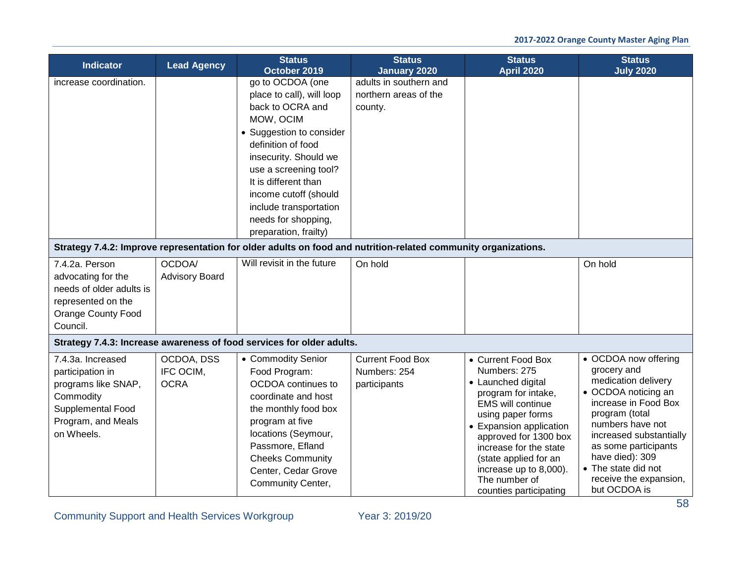| <b>Indicator</b>                                                                                                                   | <b>Lead Agency</b>                     | <b>Status</b><br>October 2019                                                                                                                                                                                                                                                                                 | <b>Status</b><br><b>January 2020</b>                       | <b>Status</b><br><b>April 2020</b>                                                                                                                                                                                                                                                                           | <b>Status</b><br><b>July 2020</b>                                                                                                                                                                                                                                                      |
|------------------------------------------------------------------------------------------------------------------------------------|----------------------------------------|---------------------------------------------------------------------------------------------------------------------------------------------------------------------------------------------------------------------------------------------------------------------------------------------------------------|------------------------------------------------------------|--------------------------------------------------------------------------------------------------------------------------------------------------------------------------------------------------------------------------------------------------------------------------------------------------------------|----------------------------------------------------------------------------------------------------------------------------------------------------------------------------------------------------------------------------------------------------------------------------------------|
| increase coordination.                                                                                                             |                                        | go to OCDOA (one<br>place to call), will loop<br>back to OCRA and<br>MOW, OCIM<br>• Suggestion to consider<br>definition of food<br>insecurity. Should we<br>use a screening tool?<br>It is different than<br>income cutoff (should<br>include transportation<br>needs for shopping,<br>preparation, frailty) | adults in southern and<br>northern areas of the<br>county. |                                                                                                                                                                                                                                                                                                              |                                                                                                                                                                                                                                                                                        |
|                                                                                                                                    |                                        | Strategy 7.4.2: Improve representation for older adults on food and nutrition-related community organizations.                                                                                                                                                                                                |                                                            |                                                                                                                                                                                                                                                                                                              |                                                                                                                                                                                                                                                                                        |
| 7.4.2a. Person<br>advocating for the<br>needs of older adults is<br>represented on the<br><b>Orange County Food</b><br>Council.    | OCDOA/<br><b>Advisory Board</b>        | Will revisit in the future                                                                                                                                                                                                                                                                                    | On hold                                                    |                                                                                                                                                                                                                                                                                                              | On hold                                                                                                                                                                                                                                                                                |
|                                                                                                                                    |                                        | Strategy 7.4.3: Increase awareness of food services for older adults.                                                                                                                                                                                                                                         |                                                            |                                                                                                                                                                                                                                                                                                              |                                                                                                                                                                                                                                                                                        |
| 7.4.3a. Increased<br>participation in<br>programs like SNAP,<br>Commodity<br>Supplemental Food<br>Program, and Meals<br>on Wheels. | OCDOA, DSS<br>IFC OCIM.<br><b>OCRA</b> | • Commodity Senior<br>Food Program:<br>OCDOA continues to<br>coordinate and host<br>the monthly food box<br>program at five<br>locations (Seymour,<br>Passmore, Efland<br><b>Cheeks Community</b><br>Center, Cedar Grove<br>Community Center,                                                                 | <b>Current Food Box</b><br>Numbers: 254<br>participants    | • Current Food Box<br>Numbers: 275<br>• Launched digital<br>program for intake,<br><b>EMS will continue</b><br>using paper forms<br>• Expansion application<br>approved for 1300 box<br>increase for the state<br>(state applied for an<br>increase up to 8,000).<br>The number of<br>counties participating | • OCDOA now offering<br>grocery and<br>medication delivery<br>• OCDOA noticing an<br>increase in Food Box<br>program (total<br>numbers have not<br>increased substantially<br>as some participants<br>have died): 309<br>• The state did not<br>receive the expansion,<br>but OCDOA is |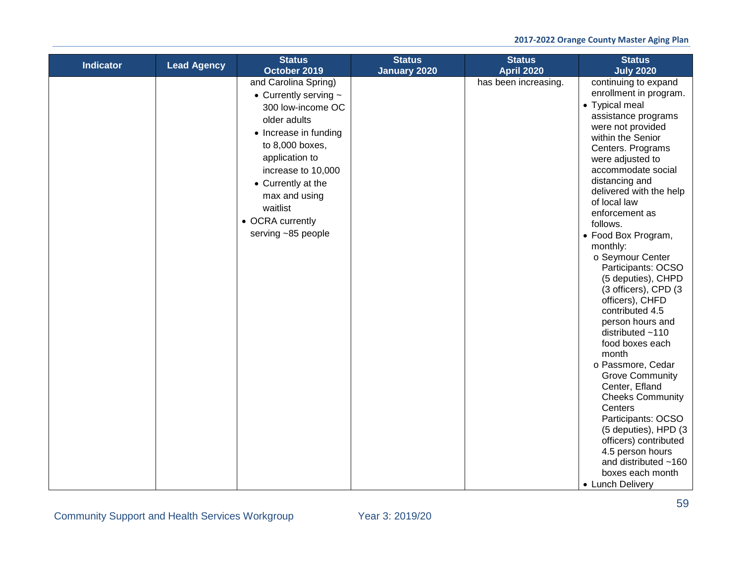| <b>Indicator</b> | <b>Lead Agency</b> | <b>Status</b><br>October 2019                                                                                                                                                                                                                                            | <b>Status</b><br><b>January 2020</b> | <b>Status</b><br><b>April 2020</b> | <b>Status</b><br><b>July 2020</b>                                                                                                                                                                                                                                                                                                                                                                                                                                                                                                                                                                                                                                                                                                                                                                      |
|------------------|--------------------|--------------------------------------------------------------------------------------------------------------------------------------------------------------------------------------------------------------------------------------------------------------------------|--------------------------------------|------------------------------------|--------------------------------------------------------------------------------------------------------------------------------------------------------------------------------------------------------------------------------------------------------------------------------------------------------------------------------------------------------------------------------------------------------------------------------------------------------------------------------------------------------------------------------------------------------------------------------------------------------------------------------------------------------------------------------------------------------------------------------------------------------------------------------------------------------|
|                  |                    | and Carolina Spring)<br>• Currently serving $\sim$<br>300 low-income OC<br>older adults<br>• Increase in funding<br>to 8,000 boxes,<br>application to<br>increase to 10,000<br>• Currently at the<br>max and using<br>waitlist<br>• OCRA currently<br>serving ~85 people |                                      | has been increasing.               | continuing to expand<br>enrollment in program.<br>• Typical meal<br>assistance programs<br>were not provided<br>within the Senior<br>Centers. Programs<br>were adjusted to<br>accommodate social<br>distancing and<br>delivered with the help<br>of local law<br>enforcement as<br>follows.<br>• Food Box Program,<br>monthly:<br>o Seymour Center<br>Participants: OCSO<br>(5 deputies), CHPD<br>(3 officers), CPD (3<br>officers), CHFD<br>contributed 4.5<br>person hours and<br>distributed $~110$<br>food boxes each<br>month<br>o Passmore, Cedar<br><b>Grove Community</b><br>Center, Efland<br><b>Cheeks Community</b><br>Centers<br>Participants: OCSO<br>(5 deputies), HPD (3<br>officers) contributed<br>4.5 person hours<br>and distributed $~160$<br>boxes each month<br>• Lunch Delivery |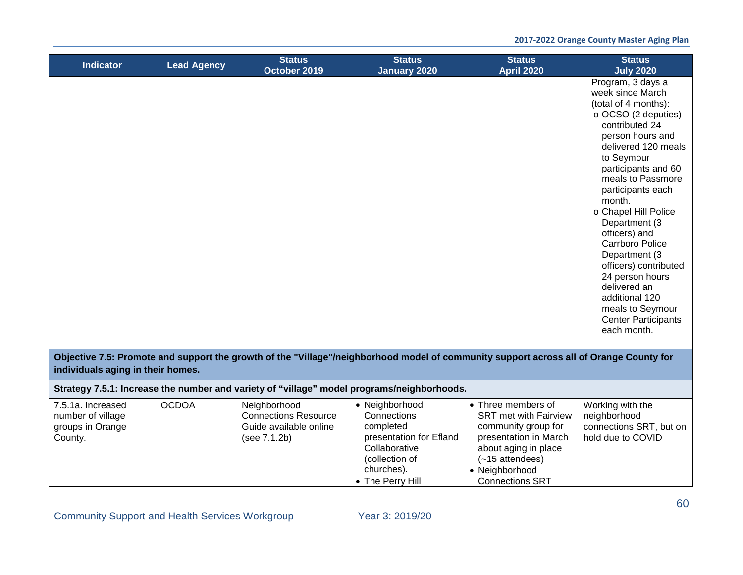| <b>Indicator</b>                                                                                                                                                            | <b>Lead Agency</b> | <b>Status</b><br>October 2019                                                         | <b>Status</b><br><b>January 2020</b>                                                                                                       | <b>Status</b><br><b>April 2020</b>                                                                                                                                                          | <b>Status</b><br><b>July 2020</b>                                                                                                                                                                                                                                                                                                                                                                                                                                                              |  |  |  |
|-----------------------------------------------------------------------------------------------------------------------------------------------------------------------------|--------------------|---------------------------------------------------------------------------------------|--------------------------------------------------------------------------------------------------------------------------------------------|---------------------------------------------------------------------------------------------------------------------------------------------------------------------------------------------|------------------------------------------------------------------------------------------------------------------------------------------------------------------------------------------------------------------------------------------------------------------------------------------------------------------------------------------------------------------------------------------------------------------------------------------------------------------------------------------------|--|--|--|
|                                                                                                                                                                             |                    |                                                                                       |                                                                                                                                            |                                                                                                                                                                                             | Program, 3 days a<br>week since March<br>(total of 4 months):<br>o OCSO (2 deputies)<br>contributed 24<br>person hours and<br>delivered 120 meals<br>to Seymour<br>participants and 60<br>meals to Passmore<br>participants each<br>month.<br>o Chapel Hill Police<br>Department (3<br>officers) and<br><b>Carrboro Police</b><br>Department (3<br>officers) contributed<br>24 person hours<br>delivered an<br>additional 120<br>meals to Seymour<br><b>Center Participants</b><br>each month. |  |  |  |
| Objective 7.5: Promote and support the growth of the "Village"/neighborhood model of community support across all of Orange County for<br>individuals aging in their homes. |                    |                                                                                       |                                                                                                                                            |                                                                                                                                                                                             |                                                                                                                                                                                                                                                                                                                                                                                                                                                                                                |  |  |  |
|                                                                                                                                                                             |                    |                                                                                       | Strategy 7.5.1: Increase the number and variety of "village" model programs/neighborhoods.                                                 |                                                                                                                                                                                             |                                                                                                                                                                                                                                                                                                                                                                                                                                                                                                |  |  |  |
| 7.5.1a. Increased<br>number of village<br>groups in Orange<br>County.                                                                                                       | <b>OCDOA</b>       | Neighborhood<br><b>Connections Resource</b><br>Guide available online<br>(see 7.1.2b) | • Neighborhood<br>Connections<br>completed<br>presentation for Efland<br>Collaborative<br>(collection of<br>churches).<br>• The Perry Hill | • Three members of<br><b>SRT</b> met with Fairview<br>community group for<br>presentation in March<br>about aging in place<br>$(-15$ attendees)<br>• Neighborhood<br><b>Connections SRT</b> | Working with the<br>neighborhood<br>connections SRT, but on<br>hold due to COVID                                                                                                                                                                                                                                                                                                                                                                                                               |  |  |  |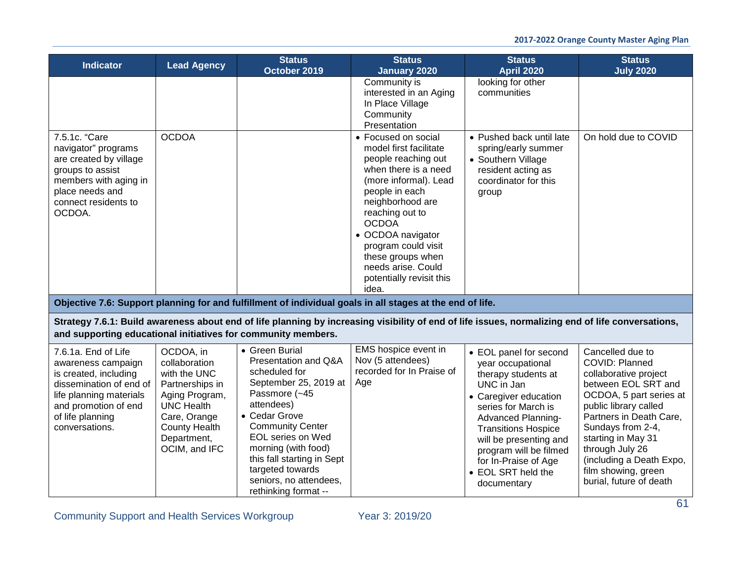| <b>Indicator</b>                                                                                                                                                                       | <b>Lead Agency</b>                                                                                                                                                           | <b>Status</b><br>October 2019                                                                                                                                                                                                                                                                                      | <b>Status</b><br><b>January 2020</b>                                                                                                                                                                                                                                                                                       | <b>Status</b><br><b>April 2020</b>                                                                                                                                                                                                                                                                           | <b>Status</b><br><b>July 2020</b>                                                                                                                                                                                                                                                                             |
|----------------------------------------------------------------------------------------------------------------------------------------------------------------------------------------|------------------------------------------------------------------------------------------------------------------------------------------------------------------------------|--------------------------------------------------------------------------------------------------------------------------------------------------------------------------------------------------------------------------------------------------------------------------------------------------------------------|----------------------------------------------------------------------------------------------------------------------------------------------------------------------------------------------------------------------------------------------------------------------------------------------------------------------------|--------------------------------------------------------------------------------------------------------------------------------------------------------------------------------------------------------------------------------------------------------------------------------------------------------------|---------------------------------------------------------------------------------------------------------------------------------------------------------------------------------------------------------------------------------------------------------------------------------------------------------------|
|                                                                                                                                                                                        |                                                                                                                                                                              |                                                                                                                                                                                                                                                                                                                    | Community is<br>interested in an Aging<br>In Place Village<br>Community<br>Presentation                                                                                                                                                                                                                                    | looking for other<br>communities                                                                                                                                                                                                                                                                             |                                                                                                                                                                                                                                                                                                               |
| 7.5.1c. "Care<br>navigator" programs<br>are created by village<br>groups to assist<br>members with aging in<br>place needs and<br>connect residents to<br>OCDOA.                       | <b>OCDOA</b>                                                                                                                                                                 |                                                                                                                                                                                                                                                                                                                    | • Focused on social<br>model first facilitate<br>people reaching out<br>when there is a need<br>(more informal). Lead<br>people in each<br>neighborhood are<br>reaching out to<br><b>OCDOA</b><br>• OCDOA navigator<br>program could visit<br>these groups when<br>needs arise. Could<br>potentially revisit this<br>idea. | • Pushed back until late<br>spring/early summer<br>• Southern Village<br>resident acting as<br>coordinator for this<br>group                                                                                                                                                                                 | On hold due to COVID                                                                                                                                                                                                                                                                                          |
|                                                                                                                                                                                        |                                                                                                                                                                              |                                                                                                                                                                                                                                                                                                                    | Objective 7.6: Support planning for and fulfillment of individual goals in all stages at the end of life.                                                                                                                                                                                                                  |                                                                                                                                                                                                                                                                                                              |                                                                                                                                                                                                                                                                                                               |
|                                                                                                                                                                                        |                                                                                                                                                                              | and supporting educational initiatives for community members.                                                                                                                                                                                                                                                      | Strategy 7.6.1: Build awareness about end of life planning by increasing visibility of end of life issues, normalizing end of life conversations,                                                                                                                                                                          |                                                                                                                                                                                                                                                                                                              |                                                                                                                                                                                                                                                                                                               |
| 7.6.1a. End of Life<br>awareness campaign<br>is created, including<br>dissemination of end of<br>life planning materials<br>and promotion of end<br>of life planning<br>conversations. | OCDOA, in<br>collaboration<br>with the UNC<br>Partnerships in<br>Aging Program,<br><b>UNC Health</b><br>Care, Orange<br><b>County Health</b><br>Department,<br>OCIM, and IFC | • Green Burial<br>Presentation and Q&A<br>scheduled for<br>September 25, 2019 at<br>Passmore (~45<br>attendees)<br>• Cedar Grove<br><b>Community Center</b><br><b>EOL</b> series on Wed<br>morning (with food)<br>this fall starting in Sept<br>targeted towards<br>seniors, no attendees,<br>rethinking format -- | EMS hospice event in<br>Nov (5 attendees)<br>recorded for In Praise of<br>Age                                                                                                                                                                                                                                              | • EOL panel for second<br>year occupational<br>therapy students at<br>UNC in Jan<br>• Caregiver education<br>series for March is<br><b>Advanced Planning-</b><br><b>Transitions Hospice</b><br>will be presenting and<br>program will be filmed<br>for In-Praise of Age<br>• EOL SRT held the<br>documentary | Cancelled due to<br>COVID: Planned<br>collaborative project<br>between EOL SRT and<br>OCDOA, 5 part series at<br>public library called<br>Partners in Death Care,<br>Sundays from 2-4,<br>starting in May 31<br>through July 26<br>(including a Death Expo,<br>film showing, green<br>burial, future of death |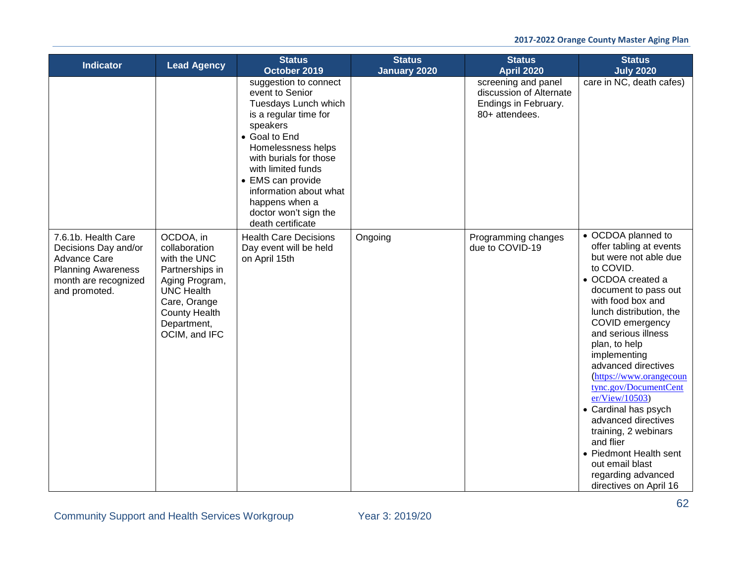| <b>Indicator</b>                                                                                                                         | <b>Lead Agency</b>                                                                                                                                                           | <b>Status</b><br>October 2019                                                                                                                                                                                                                                                                               | <b>Status</b><br><b>January 2020</b> | <b>Status</b><br><b>April 2020</b>                                                       | <b>Status</b><br><b>July 2020</b>                                                                                                                                                                                                                                                                                                                                                                                                                                                                                                         |
|------------------------------------------------------------------------------------------------------------------------------------------|------------------------------------------------------------------------------------------------------------------------------------------------------------------------------|-------------------------------------------------------------------------------------------------------------------------------------------------------------------------------------------------------------------------------------------------------------------------------------------------------------|--------------------------------------|------------------------------------------------------------------------------------------|-------------------------------------------------------------------------------------------------------------------------------------------------------------------------------------------------------------------------------------------------------------------------------------------------------------------------------------------------------------------------------------------------------------------------------------------------------------------------------------------------------------------------------------------|
|                                                                                                                                          |                                                                                                                                                                              | suggestion to connect<br>event to Senior<br>Tuesdays Lunch which<br>is a regular time for<br>speakers<br>• Goal to End<br>Homelessness helps<br>with burials for those<br>with limited funds<br>• EMS can provide<br>information about what<br>happens when a<br>doctor won't sign the<br>death certificate |                                      | screening and panel<br>discussion of Alternate<br>Endings in February.<br>80+ attendees. | care in NC, death cafes)                                                                                                                                                                                                                                                                                                                                                                                                                                                                                                                  |
| 7.6.1b. Health Care<br>Decisions Day and/or<br><b>Advance Care</b><br><b>Planning Awareness</b><br>month are recognized<br>and promoted. | OCDOA, in<br>collaboration<br>with the UNC<br>Partnerships in<br>Aging Program,<br><b>UNC Health</b><br>Care, Orange<br><b>County Health</b><br>Department,<br>OCIM, and IFC | <b>Health Care Decisions</b><br>Day event will be held<br>on April 15th                                                                                                                                                                                                                                     | Ongoing                              | Programming changes<br>due to COVID-19                                                   | • OCDOA planned to<br>offer tabling at events<br>but were not able due<br>to COVID.<br>• OCDOA created a<br>document to pass out<br>with food box and<br>lunch distribution, the<br>COVID emergency<br>and serious illness<br>plan, to help<br>implementing<br>advanced directives<br>(https://www.orangecoun<br>tync.gov/DocumentCent<br>er/View/10503)<br>• Cardinal has psych<br>advanced directives<br>training, 2 webinars<br>and flier<br>• Piedmont Health sent<br>out email blast<br>regarding advanced<br>directives on April 16 |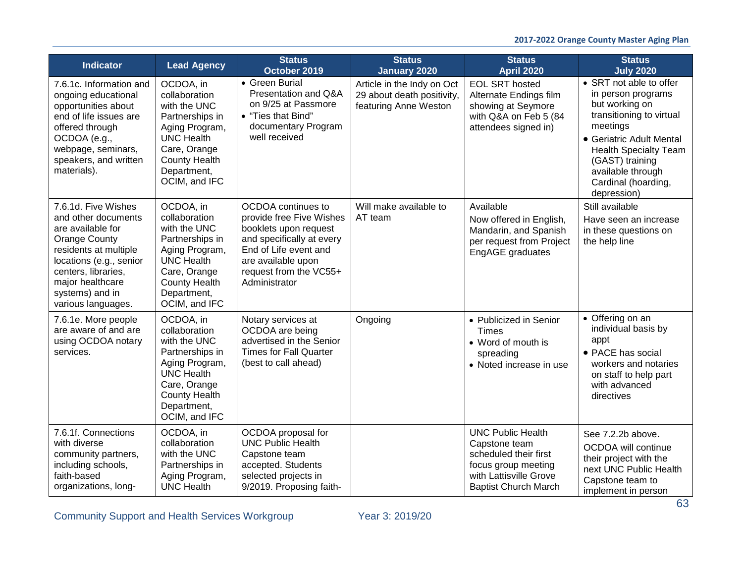| <b>Indicator</b>                                                                                                                                                                                                                | <b>Lead Agency</b>                                                                                                                                                           | <b>Status</b><br>October 2019                                                                                                                                                                  | <b>Status</b><br><b>January 2020</b>                                              | <b>Status</b><br><b>April 2020</b>                                                                                                                 | <b>Status</b><br><b>July 2020</b>                                                                                                                                                                                                                 |
|---------------------------------------------------------------------------------------------------------------------------------------------------------------------------------------------------------------------------------|------------------------------------------------------------------------------------------------------------------------------------------------------------------------------|------------------------------------------------------------------------------------------------------------------------------------------------------------------------------------------------|-----------------------------------------------------------------------------------|----------------------------------------------------------------------------------------------------------------------------------------------------|---------------------------------------------------------------------------------------------------------------------------------------------------------------------------------------------------------------------------------------------------|
| 7.6.1c. Information and<br>ongoing educational<br>opportunities about<br>end of life issues are<br>offered through<br>OCDOA (e.g.,<br>webpage, seminars,<br>speakers, and written<br>materials).                                | OCDOA, in<br>collaboration<br>with the UNC<br>Partnerships in<br>Aging Program,<br><b>UNC Health</b><br>Care, Orange<br><b>County Health</b><br>Department,<br>OCIM, and IFC | • Green Burial<br>Presentation and Q&A<br>on 9/25 at Passmore<br>• "Ties that Bind"<br>documentary Program<br>well received                                                                    | Article in the Indy on Oct<br>29 about death positivity,<br>featuring Anne Weston | <b>EOL SRT hosted</b><br>Alternate Endings film<br>showing at Seymore<br>with Q&A on Feb 5 (84<br>attendees signed in)                             | • SRT not able to offer<br>in person programs<br>but working on<br>transitioning to virtual<br>meetings<br>• Geriatric Adult Mental<br><b>Health Specialty Team</b><br>(GAST) training<br>available through<br>Cardinal (hoarding,<br>depression) |
| 7.6.1d. Five Wishes<br>and other documents<br>are available for<br><b>Orange County</b><br>residents at multiple<br>locations (e.g., senior<br>centers, libraries,<br>major healthcare<br>systems) and in<br>various languages. | OCDOA, in<br>collaboration<br>with the UNC<br>Partnerships in<br>Aging Program,<br><b>UNC Health</b><br>Care, Orange<br><b>County Health</b><br>Department,<br>OCIM, and IFC | OCDOA continues to<br>provide free Five Wishes<br>booklets upon request<br>and specifically at every<br>End of Life event and<br>are available upon<br>request from the VC55+<br>Administrator | Will make available to<br>AT team                                                 | Available<br>Now offered in English,<br>Mandarin, and Spanish<br>per request from Project<br>EngAGE graduates                                      | Still available<br>Have seen an increase<br>in these questions on<br>the help line                                                                                                                                                                |
| 7.6.1e. More people<br>are aware of and are<br>using OCDOA notary<br>services.                                                                                                                                                  | OCDOA, in<br>collaboration<br>with the UNC<br>Partnerships in<br>Aging Program,<br><b>UNC Health</b><br>Care, Orange<br><b>County Health</b><br>Department,<br>OCIM, and IFC | Notary services at<br>OCDOA are being<br>advertised in the Senior<br><b>Times for Fall Quarter</b><br>(best to call ahead)                                                                     | Ongoing                                                                           | • Publicized in Senior<br><b>Times</b><br>• Word of mouth is<br>spreading<br>• Noted increase in use                                               | • Offering on an<br>individual basis by<br>appt<br>• PACE has social<br>workers and notaries<br>on staff to help part<br>with advanced<br>directives                                                                                              |
| 7.6.1f. Connections<br>with diverse<br>community partners,<br>including schools,<br>faith-based<br>organizations, long-                                                                                                         | OCDOA, in<br>collaboration<br>with the UNC<br>Partnerships in<br>Aging Program,<br><b>UNC Health</b>                                                                         | OCDOA proposal for<br><b>UNC Public Health</b><br>Capstone team<br>accepted. Students<br>selected projects in<br>9/2019. Proposing faith-                                                      |                                                                                   | <b>UNC Public Health</b><br>Capstone team<br>scheduled their first<br>focus group meeting<br>with Lattisville Grove<br><b>Baptist Church March</b> | See 7.2.2b above.<br>OCDOA will continue<br>their project with the<br>next UNC Public Health<br>Capstone team to<br>implement in person                                                                                                           |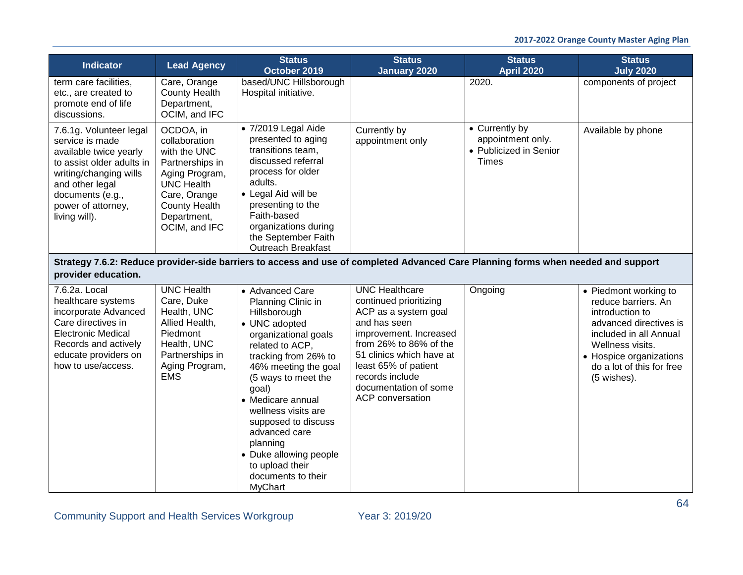| <b>Indicator</b>                                                                                                                                                                                          | <b>Lead Agency</b>                                                                                                                                                           | <b>Status</b><br>October 2019                                                                                                                                                                                                                                                                                                                                                          | <b>Status</b><br><b>January 2020</b>                                                                                                                                                                                                                                   | <b>Status</b><br><b>April 2020</b>                                     | <b>Status</b><br><b>July 2020</b>                                                                                                                                                                              |
|-----------------------------------------------------------------------------------------------------------------------------------------------------------------------------------------------------------|------------------------------------------------------------------------------------------------------------------------------------------------------------------------------|----------------------------------------------------------------------------------------------------------------------------------------------------------------------------------------------------------------------------------------------------------------------------------------------------------------------------------------------------------------------------------------|------------------------------------------------------------------------------------------------------------------------------------------------------------------------------------------------------------------------------------------------------------------------|------------------------------------------------------------------------|----------------------------------------------------------------------------------------------------------------------------------------------------------------------------------------------------------------|
| term care facilities,<br>etc., are created to<br>promote end of life<br>discussions.                                                                                                                      | Care, Orange<br><b>County Health</b><br>Department,<br>OCIM, and IFC                                                                                                         | based/UNC Hillsborough<br>Hospital initiative.                                                                                                                                                                                                                                                                                                                                         |                                                                                                                                                                                                                                                                        | 2020.                                                                  | components of project                                                                                                                                                                                          |
| 7.6.1g. Volunteer legal<br>service is made<br>available twice yearly<br>to assist older adults in<br>writing/changing wills<br>and other legal<br>documents (e.g.,<br>power of attorney,<br>living will). | OCDOA, in<br>collaboration<br>with the UNC<br>Partnerships in<br>Aging Program,<br><b>UNC Health</b><br>Care, Orange<br><b>County Health</b><br>Department,<br>OCIM, and IFC | • 7/2019 Legal Aide<br>presented to aging<br>transitions team,<br>discussed referral<br>process for older<br>adults.<br>• Legal Aid will be<br>presenting to the<br>Faith-based<br>organizations during<br>the September Faith<br><b>Outreach Breakfast</b>                                                                                                                            | Currently by<br>appointment only                                                                                                                                                                                                                                       | • Currently by<br>appointment only.<br>• Publicized in Senior<br>Times | Available by phone                                                                                                                                                                                             |
| provider education.                                                                                                                                                                                       |                                                                                                                                                                              | Strategy 7.6.2: Reduce provider-side barriers to access and use of completed Advanced Care Planning forms when needed and support                                                                                                                                                                                                                                                      |                                                                                                                                                                                                                                                                        |                                                                        |                                                                                                                                                                                                                |
| 7.6.2a. Local<br>healthcare systems<br>incorporate Advanced<br>Care directives in<br><b>Electronic Medical</b><br>Records and actively<br>educate providers on<br>how to use/access.                      | <b>UNC Health</b><br>Care, Duke<br>Health, UNC<br>Allied Health,<br>Piedmont<br>Health, UNC<br>Partnerships in<br>Aging Program,<br><b>EMS</b>                               | • Advanced Care<br>Planning Clinic in<br>Hillsborough<br>• UNC adopted<br>organizational goals<br>related to ACP.<br>tracking from 26% to<br>46% meeting the goal<br>(5 ways to meet the<br>goal)<br>• Medicare annual<br>wellness visits are<br>supposed to discuss<br>advanced care<br>planning<br>• Duke allowing people<br>to upload their<br>documents to their<br><b>MyChart</b> | <b>UNC Healthcare</b><br>continued prioritizing<br>ACP as a system goal<br>and has seen<br>improvement. Increased<br>from 26% to 86% of the<br>51 clinics which have at<br>least 65% of patient<br>records include<br>documentation of some<br><b>ACP</b> conversation | Ongoing                                                                | • Piedmont working to<br>reduce barriers. An<br>introduction to<br>advanced directives is<br>included in all Annual<br>Wellness visits.<br>• Hospice organizations<br>do a lot of this for free<br>(5 wishes). |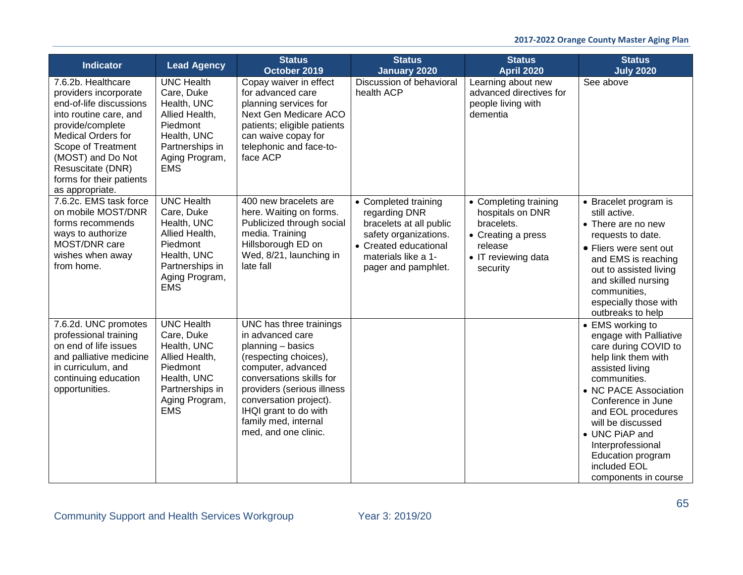| <b>Indicator</b>                                                                                                                                                                                                                                                 | <b>Lead Agency</b>                                                                                                                             | <b>Status</b><br>October 2019                                                                                                                                                                                                                                                | <b>Status</b><br><b>January 2020</b>                                                                                                                             | <b>Status</b><br><b>April 2020</b>                                                                                          | <b>Status</b><br><b>July 2020</b>                                                                                                                                                                                                                                                                                                 |
|------------------------------------------------------------------------------------------------------------------------------------------------------------------------------------------------------------------------------------------------------------------|------------------------------------------------------------------------------------------------------------------------------------------------|------------------------------------------------------------------------------------------------------------------------------------------------------------------------------------------------------------------------------------------------------------------------------|------------------------------------------------------------------------------------------------------------------------------------------------------------------|-----------------------------------------------------------------------------------------------------------------------------|-----------------------------------------------------------------------------------------------------------------------------------------------------------------------------------------------------------------------------------------------------------------------------------------------------------------------------------|
| 7.6.2b. Healthcare<br>providers incorporate<br>end-of-life discussions<br>into routine care, and<br>provide/complete<br><b>Medical Orders for</b><br>Scope of Treatment<br>(MOST) and Do Not<br>Resuscitate (DNR)<br>forms for their patients<br>as appropriate. | <b>UNC Health</b><br>Care, Duke<br>Health, UNC<br>Allied Health,<br>Piedmont<br>Health, UNC<br>Partnerships in<br>Aging Program,<br><b>EMS</b> | Copay waiver in effect<br>for advanced care<br>planning services for<br>Next Gen Medicare ACO<br>patients; eligible patients<br>can waive copay for<br>telephonic and face-to-<br>face ACP                                                                                   | Discussion of behavioral<br>health ACP                                                                                                                           | Learning about new<br>advanced directives for<br>people living with<br>dementia                                             | See above                                                                                                                                                                                                                                                                                                                         |
| 7.6.2c. EMS task force<br>on mobile MOST/DNR<br>forms recommends<br>ways to authorize<br>MOST/DNR care<br>wishes when away<br>from home.                                                                                                                         | <b>UNC Health</b><br>Care, Duke<br>Health, UNC<br>Allied Health,<br>Piedmont<br>Health, UNC<br>Partnerships in<br>Aging Program,<br><b>EMS</b> | 400 new bracelets are<br>here. Waiting on forms.<br>Publicized through social<br>media. Training<br>Hillsborough ED on<br>Wed, 8/21, launching in<br>late fall                                                                                                               | • Completed training<br>regarding DNR<br>bracelets at all public<br>safety organizations.<br>• Created educational<br>materials like a 1-<br>pager and pamphlet. | • Completing training<br>hospitals on DNR<br>bracelets.<br>• Creating a press<br>release<br>• IT reviewing data<br>security | • Bracelet program is<br>still active.<br>• There are no new<br>requests to date.<br>• Fliers were sent out<br>and EMS is reaching<br>out to assisted living<br>and skilled nursing<br>communities,<br>especially those with<br>outbreaks to help                                                                                 |
| 7.6.2d. UNC promotes<br>professional training<br>on end of life issues<br>and palliative medicine<br>in curriculum, and<br>continuing education<br>opportunities.                                                                                                | <b>UNC Health</b><br>Care, Duke<br>Health, UNC<br>Allied Health,<br>Piedmont<br>Health, UNC<br>Partnerships in<br>Aging Program,<br><b>EMS</b> | UNC has three trainings<br>in advanced care<br>planning - basics<br>(respecting choices),<br>computer, advanced<br>conversations skills for<br>providers (serious illness<br>conversation project).<br>IHQI grant to do with<br>family med, internal<br>med, and one clinic. |                                                                                                                                                                  |                                                                                                                             | • EMS working to<br>engage with Palliative<br>care during COVID to<br>help link them with<br>assisted living<br>communities.<br>• NC PACE Association<br>Conference in June<br>and EOL procedures<br>will be discussed<br>• UNC PiAP and<br>Interprofessional<br><b>Education program</b><br>included EOL<br>components in course |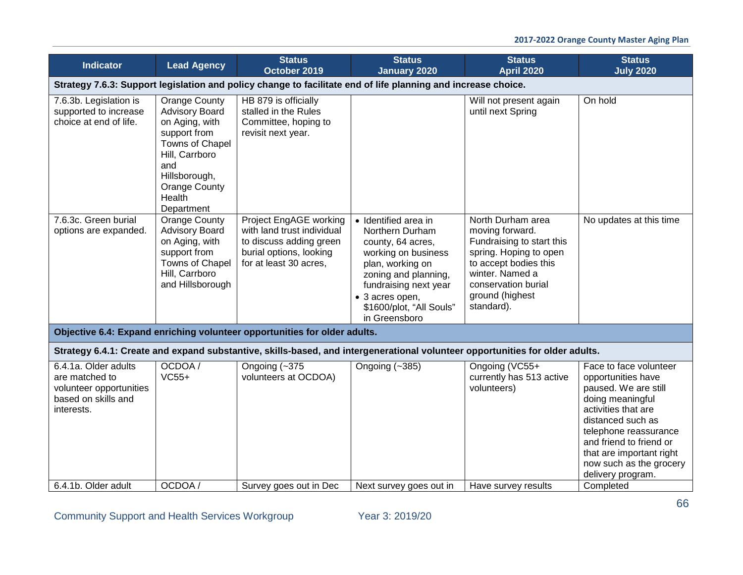| <b>Indicator</b>                                                                                       | <b>Lead Agency</b>                                                                                                                                                                           | <b>Status</b><br>October 2019                                                                                                        | <b>Status</b><br><b>January 2020</b>                                                                                                                                                                                     | <b>Status</b><br><b>April 2020</b>                                                                                                                                                              | <b>Status</b><br><b>July 2020</b>                                                                                                                                                                                                                                    |
|--------------------------------------------------------------------------------------------------------|----------------------------------------------------------------------------------------------------------------------------------------------------------------------------------------------|--------------------------------------------------------------------------------------------------------------------------------------|--------------------------------------------------------------------------------------------------------------------------------------------------------------------------------------------------------------------------|-------------------------------------------------------------------------------------------------------------------------------------------------------------------------------------------------|----------------------------------------------------------------------------------------------------------------------------------------------------------------------------------------------------------------------------------------------------------------------|
|                                                                                                        |                                                                                                                                                                                              |                                                                                                                                      | Strategy 7.6.3: Support legislation and policy change to facilitate end of life planning and increase choice.                                                                                                            |                                                                                                                                                                                                 |                                                                                                                                                                                                                                                                      |
| 7.6.3b. Legislation is<br>supported to increase<br>choice at end of life.                              | <b>Orange County</b><br><b>Advisory Board</b><br>on Aging, with<br>support from<br>Towns of Chapel<br>Hill, Carrboro<br>and<br>Hillsborough,<br><b>Orange County</b><br>Health<br>Department | HB 879 is officially<br>stalled in the Rules<br>Committee, hoping to<br>revisit next year.                                           |                                                                                                                                                                                                                          | Will not present again<br>until next Spring                                                                                                                                                     | On hold                                                                                                                                                                                                                                                              |
| 7.6.3c. Green burial<br>options are expanded.                                                          | <b>Orange County</b><br><b>Advisory Board</b><br>on Aging, with<br>support from<br>Towns of Chapel<br>Hill, Carrboro<br>and Hillsborough                                                     | Project EngAGE working<br>with land trust individual<br>to discuss adding green<br>burial options, looking<br>for at least 30 acres, | · Identified area in<br>Northern Durham<br>county, 64 acres,<br>working on business<br>plan, working on<br>zoning and planning,<br>fundraising next year<br>• 3 acres open,<br>\$1600/plot, "All Souls"<br>in Greensboro | North Durham area<br>moving forward.<br>Fundraising to start this<br>spring. Hoping to open<br>to accept bodies this<br>winter. Named a<br>conservation burial<br>ground (highest<br>standard). | No updates at this time                                                                                                                                                                                                                                              |
|                                                                                                        |                                                                                                                                                                                              | Objective 6.4: Expand enriching volunteer opportunities for older adults.                                                            |                                                                                                                                                                                                                          |                                                                                                                                                                                                 |                                                                                                                                                                                                                                                                      |
|                                                                                                        |                                                                                                                                                                                              |                                                                                                                                      | Strategy 6.4.1: Create and expand substantive, skills-based, and intergenerational volunteer opportunities for older adults.                                                                                             |                                                                                                                                                                                                 |                                                                                                                                                                                                                                                                      |
| 6.4.1a. Older adults<br>are matched to<br>volunteer opportunities<br>based on skills and<br>interests. | OCDOA /<br>$VC55+$                                                                                                                                                                           | Ongoing $\left(-\frac{375}{3}\right)$<br>volunteers at OCDOA)                                                                        | Ongoing (~385)                                                                                                                                                                                                           | Ongoing (VC55+<br>currently has 513 active<br>volunteers)                                                                                                                                       | Face to face volunteer<br>opportunities have<br>paused. We are still<br>doing meaningful<br>activities that are<br>distanced such as<br>telephone reassurance<br>and friend to friend or<br>that are important right<br>now such as the grocery<br>delivery program. |
| 6.4.1b. Older adult                                                                                    | OCDOA/                                                                                                                                                                                       | Survey goes out in Dec                                                                                                               | Next survey goes out in                                                                                                                                                                                                  | Have survey results                                                                                                                                                                             | Completed                                                                                                                                                                                                                                                            |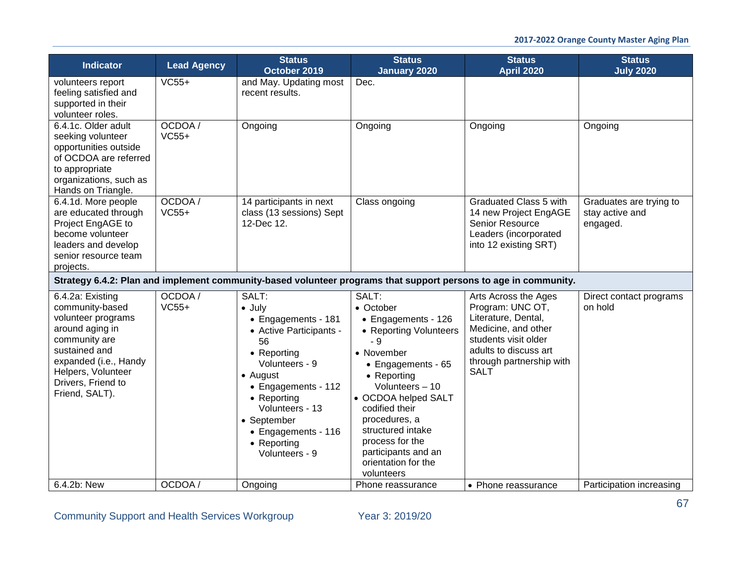| <b>Indicator</b>                                                                                                                                                                                      | <b>Lead Agency</b> | <b>Status</b><br>October 2019                                                                                                                                                                                                                                | <b>Status</b><br><b>January 2020</b>                                                                                                                                                                                                                                                                            | <b>Status</b><br><b>April 2020</b>                                                                                                                                                 | <b>Status</b><br><b>July 2020</b>                      |
|-------------------------------------------------------------------------------------------------------------------------------------------------------------------------------------------------------|--------------------|--------------------------------------------------------------------------------------------------------------------------------------------------------------------------------------------------------------------------------------------------------------|-----------------------------------------------------------------------------------------------------------------------------------------------------------------------------------------------------------------------------------------------------------------------------------------------------------------|------------------------------------------------------------------------------------------------------------------------------------------------------------------------------------|--------------------------------------------------------|
| volunteers report<br>feeling satisfied and<br>supported in their<br>volunteer roles.                                                                                                                  | $VC55+$            | and May. Updating most<br>recent results.                                                                                                                                                                                                                    | Dec.                                                                                                                                                                                                                                                                                                            |                                                                                                                                                                                    |                                                        |
| 6.4.1c. Older adult<br>seeking volunteer<br>opportunities outside<br>of OCDOA are referred<br>to appropriate<br>organizations, such as<br>Hands on Triangle.                                          | OCDOA/<br>$VC55+$  | Ongoing                                                                                                                                                                                                                                                      | Ongoing                                                                                                                                                                                                                                                                                                         | Ongoing                                                                                                                                                                            | Ongoing                                                |
| 6.4.1d. More people<br>are educated through<br>Project EngAGE to<br>become volunteer<br>leaders and develop<br>senior resource team<br>projects.                                                      | OCDOA /<br>$VC55+$ | 14 participants in next<br>class (13 sessions) Sept<br>12-Dec 12.                                                                                                                                                                                            | Class ongoing                                                                                                                                                                                                                                                                                                   | Graduated Class 5 with<br>14 new Project EngAGE<br>Senior Resource<br>Leaders (incorporated<br>into 12 existing SRT)                                                               | Graduates are trying to<br>stay active and<br>engaged. |
|                                                                                                                                                                                                       |                    |                                                                                                                                                                                                                                                              | Strategy 6.4.2: Plan and implement community-based volunteer programs that support persons to age in community.                                                                                                                                                                                                 |                                                                                                                                                                                    |                                                        |
| 6.4.2a: Existing<br>community-based<br>volunteer programs<br>around aging in<br>community are<br>sustained and<br>expanded (i.e., Handy<br>Helpers, Volunteer<br>Drivers, Friend to<br>Friend, SALT). | OCDOA /<br>$VC55+$ | SALT:<br>$\bullet$ July<br>• Engagements - 181<br>• Active Participants -<br>56<br>• Reporting<br>Volunteers - 9<br>• August<br>• Engagements - 112<br>• Reporting<br>Volunteers - 13<br>• September<br>• Engagements - 116<br>• Reporting<br>Volunteers - 9 | SALT:<br>• October<br>• Engagements - 126<br>• Reporting Volunteers<br>$-9$<br>• November<br>• Engagements - 65<br>• Reporting<br>Volunteers - 10<br>• OCDOA helped SALT<br>codified their<br>procedures, a<br>structured intake<br>process for the<br>participants and an<br>orientation for the<br>volunteers | Arts Across the Ages<br>Program: UNC OT,<br>Literature, Dental,<br>Medicine, and other<br>students visit older<br>adults to discuss art<br>through partnership with<br><b>SALT</b> | Direct contact programs<br>on hold                     |
| 6.4.2b: New                                                                                                                                                                                           | OCDOA /            | Ongoing                                                                                                                                                                                                                                                      | Phone reassurance                                                                                                                                                                                                                                                                                               | • Phone reassurance                                                                                                                                                                | Participation increasing                               |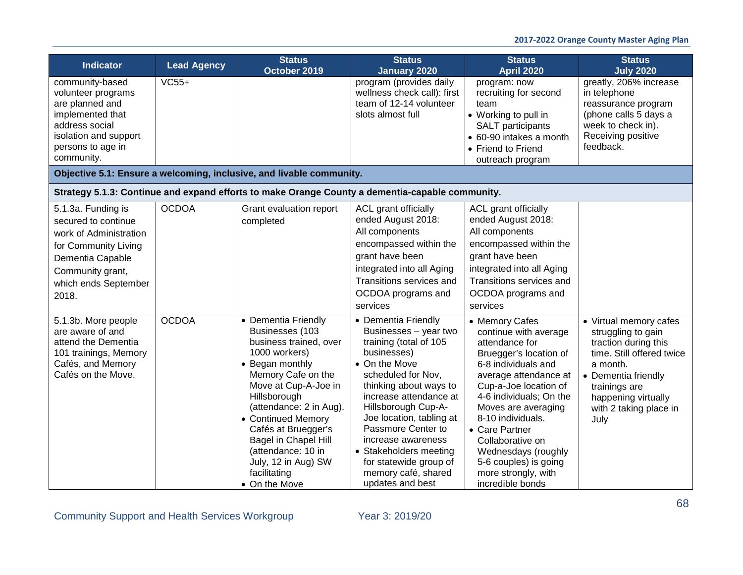### **2017-2022 Orange County Master Aging Plan**

| <b>Indicator</b>                                                                                                                                                     | <b>Lead Agency</b> | <b>Status</b><br>October 2019                                                                                                                                                                                                                                                                                                                           | <b>Status</b><br>January 2020                                                                                                                                                                                                                                                                                                                                                  | <b>Status</b><br><b>April 2020</b>                                                                                                                                                                                                                                                                                                                                   | <b>Status</b><br><b>July 2020</b>                                                                                                                                                                              |
|----------------------------------------------------------------------------------------------------------------------------------------------------------------------|--------------------|---------------------------------------------------------------------------------------------------------------------------------------------------------------------------------------------------------------------------------------------------------------------------------------------------------------------------------------------------------|--------------------------------------------------------------------------------------------------------------------------------------------------------------------------------------------------------------------------------------------------------------------------------------------------------------------------------------------------------------------------------|----------------------------------------------------------------------------------------------------------------------------------------------------------------------------------------------------------------------------------------------------------------------------------------------------------------------------------------------------------------------|----------------------------------------------------------------------------------------------------------------------------------------------------------------------------------------------------------------|
| community-based<br>volunteer programs<br>are planned and<br>implemented that<br>address social<br>isolation and support<br>persons to age in<br>community.           | $VC55+$            |                                                                                                                                                                                                                                                                                                                                                         | program (provides daily<br>wellness check call): first<br>team of 12-14 volunteer<br>slots almost full                                                                                                                                                                                                                                                                         | program: now<br>recruiting for second<br>team<br>• Working to pull in<br>SALT participants<br>• 60-90 intakes a month<br>• Friend to Friend<br>outreach program                                                                                                                                                                                                      | greatly, 206% increase<br>in telephone<br>reassurance program<br>(phone calls 5 days a<br>week to check in).<br>Receiving positive<br>feedback.                                                                |
|                                                                                                                                                                      |                    | Objective 5.1: Ensure a welcoming, inclusive, and livable community.                                                                                                                                                                                                                                                                                    |                                                                                                                                                                                                                                                                                                                                                                                |                                                                                                                                                                                                                                                                                                                                                                      |                                                                                                                                                                                                                |
|                                                                                                                                                                      |                    | Strategy 5.1.3: Continue and expand efforts to make Orange County a dementia-capable community.                                                                                                                                                                                                                                                         |                                                                                                                                                                                                                                                                                                                                                                                |                                                                                                                                                                                                                                                                                                                                                                      |                                                                                                                                                                                                                |
| 5.1.3a. Funding is<br>secured to continue<br>work of Administration<br>for Community Living<br>Dementia Capable<br>Community grant,<br>which ends September<br>2018. | <b>OCDOA</b>       | Grant evaluation report<br>completed                                                                                                                                                                                                                                                                                                                    | ACL grant officially<br>ended August 2018:<br>All components<br>encompassed within the<br>grant have been<br>integrated into all Aging<br>Transitions services and<br>OCDOA programs and<br>services                                                                                                                                                                           | ACL grant officially<br>ended August 2018:<br>All components<br>encompassed within the<br>grant have been<br>integrated into all Aging<br>Transitions services and<br>OCDOA programs and<br>services                                                                                                                                                                 |                                                                                                                                                                                                                |
| 5.1.3b. More people<br>are aware of and<br>attend the Dementia<br>101 trainings, Memory<br>Cafés, and Memory<br>Cafés on the Move.                                   | <b>OCDOA</b>       | • Dementia Friendly<br>Businesses (103<br>business trained, over<br>1000 workers)<br>• Began monthly<br>Memory Cafe on the<br>Move at Cup-A-Joe in<br>Hillsborough<br>(attendance: 2 in Aug).<br>• Continued Memory<br>Cafés at Bruegger's<br><b>Bagel in Chapel Hill</b><br>(attendance: 10 in<br>July, 12 in Aug) SW<br>facilitating<br>• On the Move | • Dementia Friendly<br>Businesses - year two<br>training (total of 105<br>businesses)<br>• On the Move<br>scheduled for Nov,<br>thinking about ways to<br>increase attendance at<br>Hillsborough Cup-A-<br>Joe location, tabling at<br>Passmore Center to<br>increase awareness<br>• Stakeholders meeting<br>for statewide group of<br>memory café, shared<br>updates and best | • Memory Cafes<br>continue with average<br>attendance for<br>Bruegger's location of<br>6-8 individuals and<br>average attendance at<br>Cup-a-Joe location of<br>4-6 individuals; On the<br>Moves are averaging<br>8-10 individuals.<br>• Care Partner<br>Collaborative on<br>Wednesdays (roughly<br>5-6 couples) is going<br>more strongly, with<br>incredible bonds | • Virtual memory cafes<br>struggling to gain<br>traction during this<br>time. Still offered twice<br>a month.<br>• Dementia friendly<br>trainings are<br>happening virtually<br>with 2 taking place in<br>July |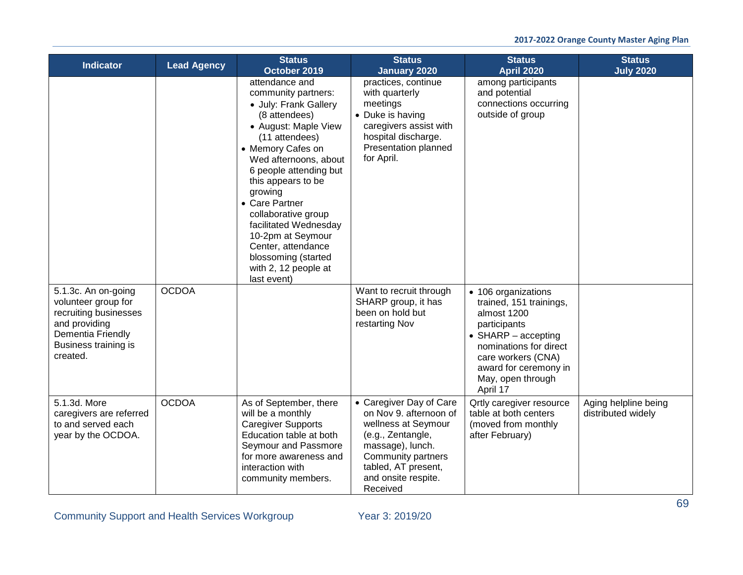| <b>Indicator</b>                                                                                                                              | <b>Lead Agency</b> | <b>Status</b><br>October 2019                                                                                                                                                                                                                                                                                                                                                                                 | <b>Status</b><br><b>January 2020</b>                                                                                                                                                              | <b>Status</b><br><b>April 2020</b>                                                                                                                                                                                     | <b>Status</b><br><b>July 2020</b>          |
|-----------------------------------------------------------------------------------------------------------------------------------------------|--------------------|---------------------------------------------------------------------------------------------------------------------------------------------------------------------------------------------------------------------------------------------------------------------------------------------------------------------------------------------------------------------------------------------------------------|---------------------------------------------------------------------------------------------------------------------------------------------------------------------------------------------------|------------------------------------------------------------------------------------------------------------------------------------------------------------------------------------------------------------------------|--------------------------------------------|
|                                                                                                                                               |                    | attendance and<br>community partners:<br>• July: Frank Gallery<br>(8 attendees)<br>• August: Maple View<br>(11 attendees)<br>• Memory Cafes on<br>Wed afternoons, about<br>6 people attending but<br>this appears to be<br>growing<br>• Care Partner<br>collaborative group<br>facilitated Wednesday<br>10-2pm at Seymour<br>Center, attendance<br>blossoming (started<br>with 2, 12 people at<br>last event) | practices, continue<br>with quarterly<br>meetings<br>• Duke is having<br>caregivers assist with<br>hospital discharge.<br>Presentation planned<br>for April.                                      | among participants<br>and potential<br>connections occurring<br>outside of group                                                                                                                                       |                                            |
| 5.1.3c. An on-going<br>volunteer group for<br>recruiting businesses<br>and providing<br>Dementia Friendly<br>Business training is<br>created. | <b>OCDOA</b>       |                                                                                                                                                                                                                                                                                                                                                                                                               | Want to recruit through<br>SHARP group, it has<br>been on hold but<br>restarting Nov                                                                                                              | • 106 organizations<br>trained, 151 trainings,<br>almost 1200<br>participants<br>$\bullet$ SHARP – accepting<br>nominations for direct<br>care workers (CNA)<br>award for ceremony in<br>May, open through<br>April 17 |                                            |
| 5.1.3d. More<br>caregivers are referred<br>to and served each<br>year by the OCDOA.                                                           | <b>OCDOA</b>       | As of September, there<br>will be a monthly<br><b>Caregiver Supports</b><br>Education table at both<br>Seymour and Passmore<br>for more awareness and<br>interaction with<br>community members.                                                                                                                                                                                                               | • Caregiver Day of Care<br>on Nov 9. afternoon of<br>wellness at Seymour<br>(e.g., Zentangle,<br>massage), lunch.<br>Community partners<br>tabled, AT present,<br>and onsite respite.<br>Received | <b>Qrtly caregiver resource</b><br>table at both centers<br>(moved from monthly<br>after February)                                                                                                                     | Aging helpline being<br>distributed widely |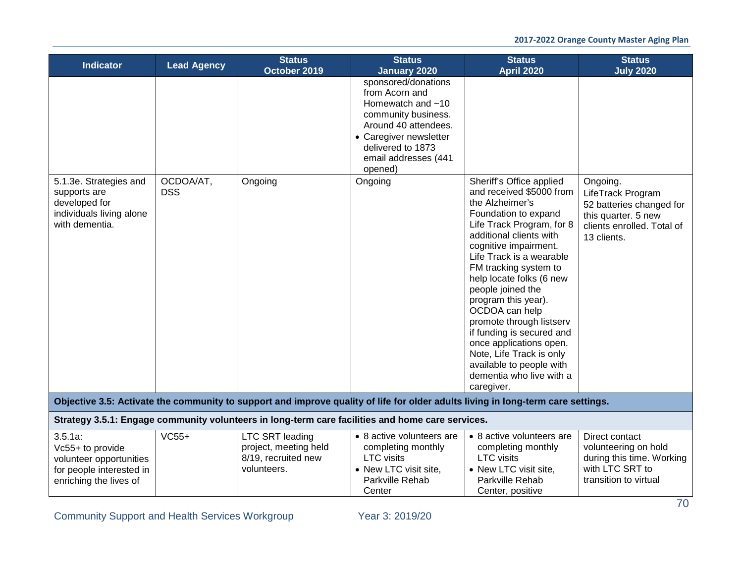| <b>Indicator</b>                                                                                                | <b>Lead Agency</b> | <b>Status</b><br>October 2019                                                         | <b>Status</b><br><b>January 2020</b>                                                                                                                                                          | <b>Status</b><br><b>April 2020</b>                                                                                                                                                                                                                                                                                                                                                                                                                                                        | <b>Status</b><br><b>July 2020</b>                                                                                             |
|-----------------------------------------------------------------------------------------------------------------|--------------------|---------------------------------------------------------------------------------------|-----------------------------------------------------------------------------------------------------------------------------------------------------------------------------------------------|-------------------------------------------------------------------------------------------------------------------------------------------------------------------------------------------------------------------------------------------------------------------------------------------------------------------------------------------------------------------------------------------------------------------------------------------------------------------------------------------|-------------------------------------------------------------------------------------------------------------------------------|
|                                                                                                                 | OCDOA/AT,          | Ongoing                                                                               | sponsored/donations<br>from Acorn and<br>Homewatch and $~10$<br>community business.<br>Around 40 attendees.<br>• Caregiver newsletter<br>delivered to 1873<br>email addresses (441<br>opened) | Sheriff's Office applied                                                                                                                                                                                                                                                                                                                                                                                                                                                                  |                                                                                                                               |
| 5.1.3e. Strategies and<br>supports are<br>developed for<br>individuals living alone<br>with dementia.           | <b>DSS</b>         |                                                                                       | Ongoing                                                                                                                                                                                       | and received \$5000 from<br>the Alzheimer's<br>Foundation to expand<br>Life Track Program, for 8<br>additional clients with<br>cognitive impairment.<br>Life Track is a wearable<br>FM tracking system to<br>help locate folks (6 new<br>people joined the<br>program this year).<br>OCDOA can help<br>promote through listserv<br>if funding is secured and<br>once applications open.<br>Note, Life Track is only<br>available to people with<br>dementia who live with a<br>caregiver. | Ongoing.<br>LifeTrack Program<br>52 batteries changed for<br>this quarter. 5 new<br>clients enrolled. Total of<br>13 clients. |
|                                                                                                                 |                    |                                                                                       | Objective 3.5: Activate the community to support and improve quality of life for older adults living in long-term care settings.                                                              |                                                                                                                                                                                                                                                                                                                                                                                                                                                                                           |                                                                                                                               |
|                                                                                                                 |                    |                                                                                       | Strategy 3.5.1: Engage community volunteers in long-term care facilities and home care services.                                                                                              |                                                                                                                                                                                                                                                                                                                                                                                                                                                                                           |                                                                                                                               |
| $3.5.1a$ :<br>Vc55+ to provide<br>volunteer opportunities<br>for people interested in<br>enriching the lives of | $VC55+$            | <b>LTC SRT leading</b><br>project, meeting held<br>8/19, recruited new<br>volunteers. | • 8 active volunteers are<br>completing monthly<br><b>LTC</b> visits<br>• New LTC visit site,<br>Parkville Rehab<br>Center                                                                    | • 8 active volunteers are<br>completing monthly<br><b>LTC</b> visits<br>• New LTC visit site,<br>Parkville Rehab<br>Center, positive                                                                                                                                                                                                                                                                                                                                                      | Direct contact<br>volunteering on hold<br>during this time. Working<br>with LTC SRT to<br>transition to virtual               |

Community Support and Health Services Workgroup Year 3: 2019/20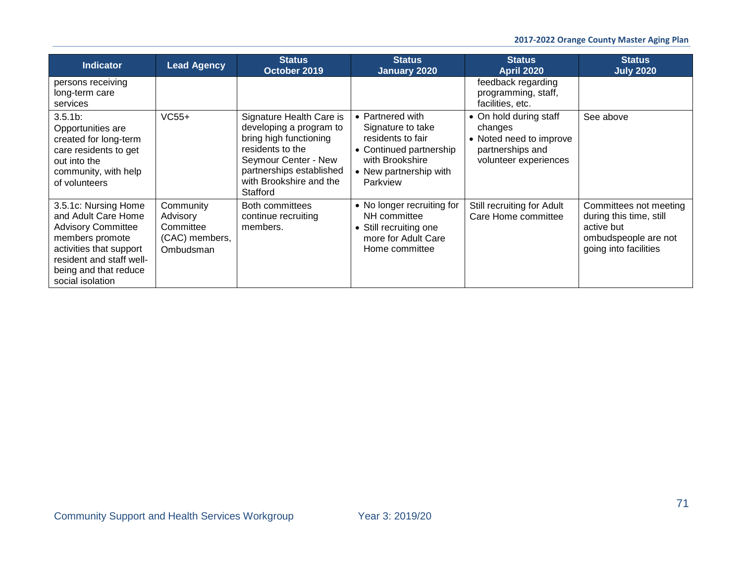| <b>Indicator</b>                                                                                                                                                                                | <b>Lead Agency</b>                                                | <b>Status</b><br>October 2019                                                                                                                                                                | <b>Status</b><br>January 2020                                                                                                                  | <b>Status</b><br><b>April 2020</b>                                                                        | <b>Status</b><br><b>July 2020</b>                                                                                |
|-------------------------------------------------------------------------------------------------------------------------------------------------------------------------------------------------|-------------------------------------------------------------------|----------------------------------------------------------------------------------------------------------------------------------------------------------------------------------------------|------------------------------------------------------------------------------------------------------------------------------------------------|-----------------------------------------------------------------------------------------------------------|------------------------------------------------------------------------------------------------------------------|
| persons receiving<br>long-term care<br>services                                                                                                                                                 |                                                                   |                                                                                                                                                                                              |                                                                                                                                                | feedback regarding<br>programming, staff,<br>facilities, etc.                                             |                                                                                                                  |
| $3.5.1b$ :<br>Opportunities are<br>created for long-term<br>care residents to get<br>out into the<br>community, with help<br>of volunteers                                                      | $VC55+$                                                           | Signature Health Care is<br>developing a program to<br>bring high functioning<br>residents to the<br>Seymour Center - New<br>partnerships established<br>with Brookshire and the<br>Stafford | • Partnered with<br>Signature to take<br>residents to fair<br>• Continued partnership<br>with Brookshire<br>• New partnership with<br>Parkview | • On hold during staff<br>changes<br>• Noted need to improve<br>partnerships and<br>volunteer experiences | See above                                                                                                        |
| 3.5.1c: Nursing Home<br>and Adult Care Home<br><b>Advisory Committee</b><br>members promote<br>activities that support<br>resident and staff well-<br>being and that reduce<br>social isolation | Community<br>Advisory<br>Committee<br>(CAC) members,<br>Ombudsman | Both committees<br>continue recruiting<br>members.                                                                                                                                           | • No longer recruiting for<br>NH committee<br>• Still recruiting one<br>more for Adult Care<br>Home committee                                  | Still recruiting for Adult<br>Care Home committee                                                         | Committees not meeting<br>during this time, still<br>active but<br>ombudspeople are not<br>going into facilities |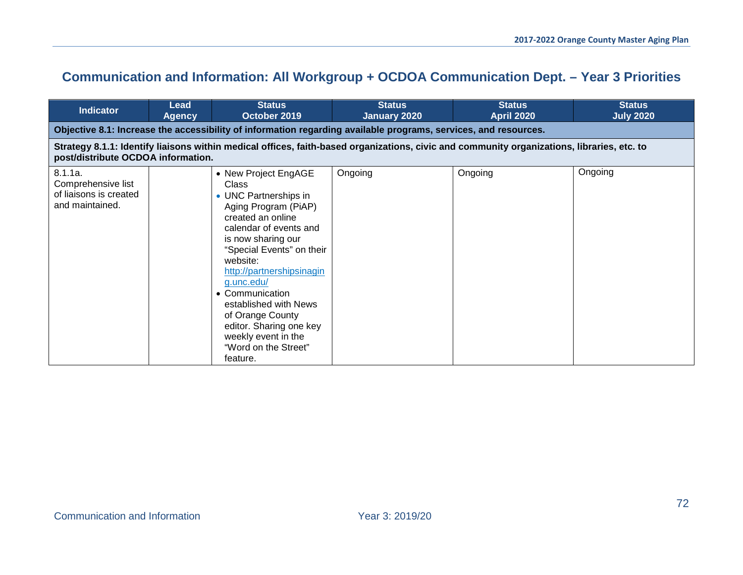# **Communication and Information: All Workgroup + OCDOA Communication Dept. – Year 3 Priorities**

| <b>Indicator</b>                                                                                                                                                                 | Lead<br><b>Agency</b>                                                                                           | <b>Status</b><br>October 2019                                                                                                                                                                                                                                                                                                                                                                        | <b>Status</b><br>January 2020 | <b>Status</b><br><b>April 2020</b> | <b>Status</b><br><b>July 2020</b> |  |  |  |  |  |
|----------------------------------------------------------------------------------------------------------------------------------------------------------------------------------|-----------------------------------------------------------------------------------------------------------------|------------------------------------------------------------------------------------------------------------------------------------------------------------------------------------------------------------------------------------------------------------------------------------------------------------------------------------------------------------------------------------------------------|-------------------------------|------------------------------------|-----------------------------------|--|--|--|--|--|
|                                                                                                                                                                                  | Objective 8.1: Increase the accessibility of information regarding available programs, services, and resources. |                                                                                                                                                                                                                                                                                                                                                                                                      |                               |                                    |                                   |  |  |  |  |  |
| Strategy 8.1.1: Identify liaisons within medical offices, faith-based organizations, civic and community organizations, libraries, etc. to<br>post/distribute OCDOA information. |                                                                                                                 |                                                                                                                                                                                                                                                                                                                                                                                                      |                               |                                    |                                   |  |  |  |  |  |
| 8.1.1a.<br>Comprehensive list<br>of liaisons is created<br>and maintained.                                                                                                       |                                                                                                                 | • New Project EngAGE<br><b>Class</b><br>• UNC Partnerships in<br>Aging Program (PiAP)<br>created an online<br>calendar of events and<br>is now sharing our<br>"Special Events" on their<br>website:<br>http://partnershipsinagin<br>g.unc.edu/<br>• Communication<br>established with News<br>of Orange County<br>editor. Sharing one key<br>weekly event in the<br>"Word on the Street"<br>feature. | Ongoing                       | Ongoing                            | Ongoing                           |  |  |  |  |  |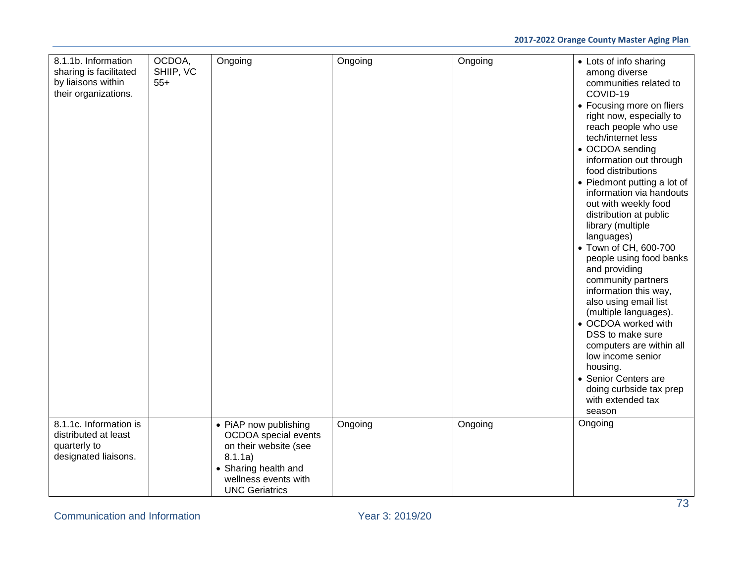| 8.1.1b. Information<br>sharing is facilitated<br>by liaisons within<br>their organizations. | OCDOA,<br>SHIIP, VC<br>$55+$ | Ongoing                                                                                                                                                    | Ongoing | Ongoing | • Lots of info sharing<br>among diverse<br>communities related to<br>COVID-19<br>• Focusing more on fliers<br>right now, especially to<br>reach people who use<br>tech/internet less<br>• OCDOA sending<br>information out through<br>food distributions<br>• Piedmont putting a lot of<br>information via handouts<br>out with weekly food<br>distribution at public<br>library (multiple<br>languages)<br>• Town of CH, 600-700<br>people using food banks<br>and providing<br>community partners<br>information this way,<br>also using email list<br>(multiple languages).<br>• OCDOA worked with<br>DSS to make sure<br>computers are within all<br>low income senior<br>housing.<br>• Senior Centers are<br>doing curbside tax prep<br>with extended tax<br>season |
|---------------------------------------------------------------------------------------------|------------------------------|------------------------------------------------------------------------------------------------------------------------------------------------------------|---------|---------|--------------------------------------------------------------------------------------------------------------------------------------------------------------------------------------------------------------------------------------------------------------------------------------------------------------------------------------------------------------------------------------------------------------------------------------------------------------------------------------------------------------------------------------------------------------------------------------------------------------------------------------------------------------------------------------------------------------------------------------------------------------------------|
| 8.1.1c. Information is<br>distributed at least<br>quarterly to<br>designated liaisons.      |                              | • PiAP now publishing<br>OCDOA special events<br>on their website (see<br>8.1.1a)<br>• Sharing health and<br>wellness events with<br><b>UNC Geriatrics</b> | Ongoing | Ongoing | Ongoing                                                                                                                                                                                                                                                                                                                                                                                                                                                                                                                                                                                                                                                                                                                                                                  |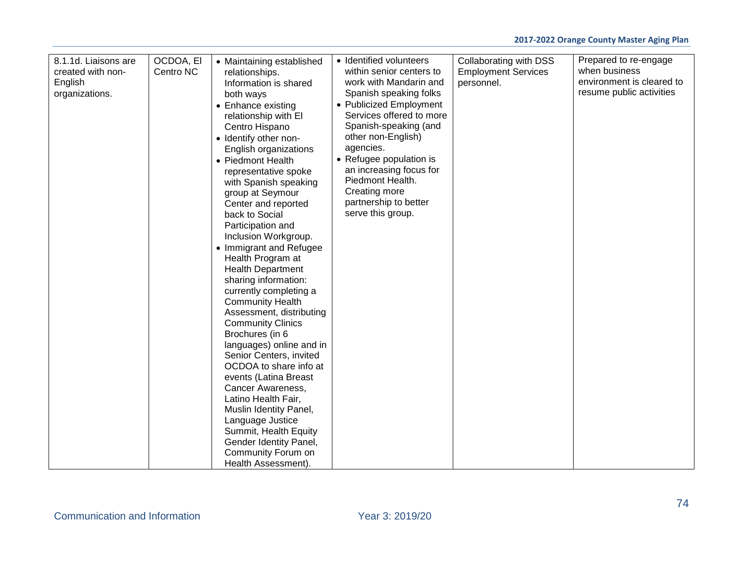| 8.1.1d. Liaisons are<br>created with non-<br>English<br>organizations. | OCDOA, EI<br>Centro NC | • Maintaining established<br>relationships.<br>Information is shared<br>both ways<br>• Enhance existing<br>relationship with El<br>Centro Hispano<br>• Identify other non-<br>English organizations<br>• Piedmont Health<br>representative spoke<br>with Spanish speaking<br>group at Seymour<br>Center and reported<br>back to Social<br>Participation and<br>Inclusion Workgroup.<br>• Immigrant and Refugee<br>Health Program at<br><b>Health Department</b><br>sharing information:<br>currently completing a<br><b>Community Health</b><br>Assessment, distributing<br><b>Community Clinics</b><br>Brochures (in 6<br>languages) online and in<br>Senior Centers, invited<br>OCDOA to share info at<br>events (Latina Breast<br>Cancer Awareness,<br>Latino Health Fair,<br>Muslin Identity Panel,<br>Language Justice<br>Summit, Health Equity<br>Gender Identity Panel,<br>Community Forum on<br>Health Assessment). | • Identified volunteers<br>within senior centers to<br>work with Mandarin and<br>Spanish speaking folks<br>• Publicized Employment<br>Services offered to more<br>Spanish-speaking (and<br>other non-English)<br>agencies.<br>• Refugee population is<br>an increasing focus for<br>Piedmont Health.<br>Creating more<br>partnership to better<br>serve this group. | Collaborating with DSS<br><b>Employment Services</b><br>personnel. | Prepared to re-engage<br>when business<br>environment is cleared to<br>resume public activities |
|------------------------------------------------------------------------|------------------------|-----------------------------------------------------------------------------------------------------------------------------------------------------------------------------------------------------------------------------------------------------------------------------------------------------------------------------------------------------------------------------------------------------------------------------------------------------------------------------------------------------------------------------------------------------------------------------------------------------------------------------------------------------------------------------------------------------------------------------------------------------------------------------------------------------------------------------------------------------------------------------------------------------------------------------|---------------------------------------------------------------------------------------------------------------------------------------------------------------------------------------------------------------------------------------------------------------------------------------------------------------------------------------------------------------------|--------------------------------------------------------------------|-------------------------------------------------------------------------------------------------|
|------------------------------------------------------------------------|------------------------|-----------------------------------------------------------------------------------------------------------------------------------------------------------------------------------------------------------------------------------------------------------------------------------------------------------------------------------------------------------------------------------------------------------------------------------------------------------------------------------------------------------------------------------------------------------------------------------------------------------------------------------------------------------------------------------------------------------------------------------------------------------------------------------------------------------------------------------------------------------------------------------------------------------------------------|---------------------------------------------------------------------------------------------------------------------------------------------------------------------------------------------------------------------------------------------------------------------------------------------------------------------------------------------------------------------|--------------------------------------------------------------------|-------------------------------------------------------------------------------------------------|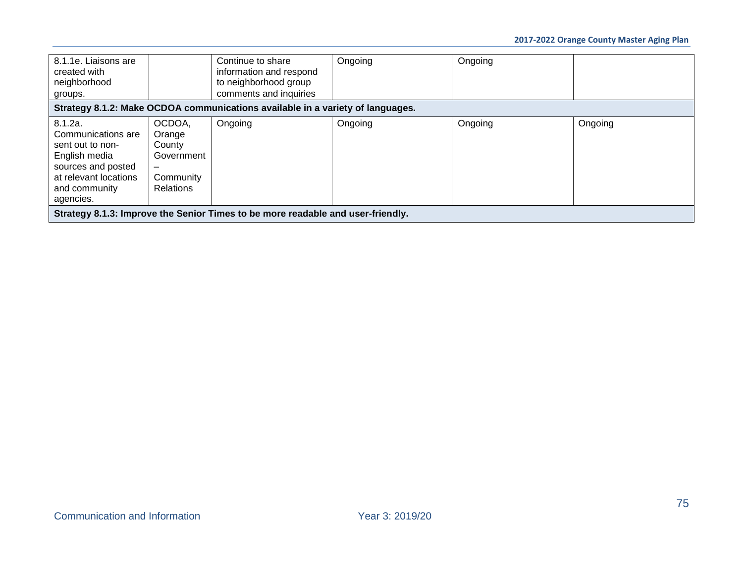| 8.1.1e. Liaisons are<br>created with<br>neighborhood<br>groups.                                                                                 |                                                                                                       | Continue to share<br>information and respond<br>to neighborhood group<br>comments and inquiries | Ongoing | Ongoing |         |
|-------------------------------------------------------------------------------------------------------------------------------------------------|-------------------------------------------------------------------------------------------------------|-------------------------------------------------------------------------------------------------|---------|---------|---------|
|                                                                                                                                                 |                                                                                                       | Strategy 8.1.2: Make OCDOA communications available in a variety of languages.                  |         |         |         |
| 8.1.2a.<br>Communications are<br>sent out to non-<br>English media<br>sources and posted<br>at relevant locations<br>and community<br>agencies. | OCDOA,<br>Orange<br>County<br>Government<br>$\overline{\phantom{m}}$<br>Community<br><b>Relations</b> | Ongoing                                                                                         | Ongoing | Ongoing | Ongoing |
|                                                                                                                                                 |                                                                                                       | Strategy 8.1.3: Improve the Senior Times to be more readable and user-friendly.                 |         |         |         |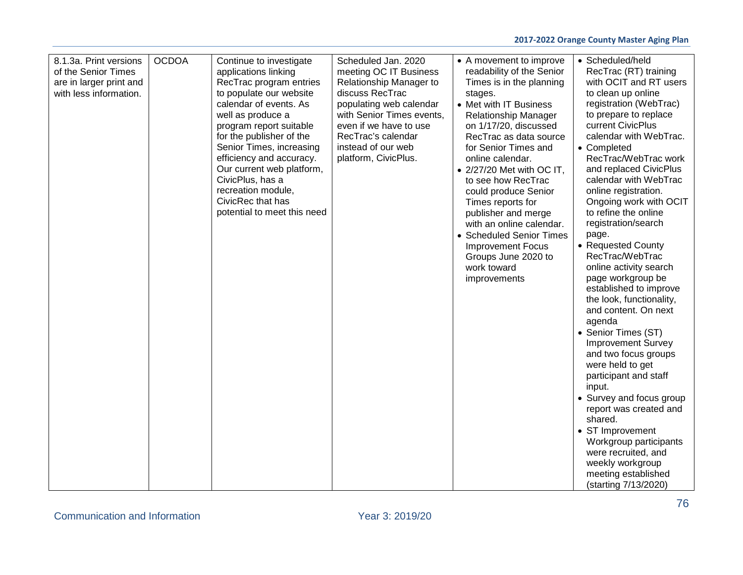| 8.1.3a. Print versions<br>of the Senior Times<br>are in larger print and<br>with less information. | <b>OCDOA</b> | Continue to investigate<br>applications linking<br>RecTrac program entries<br>to populate our website<br>calendar of events. As<br>well as produce a<br>program report suitable<br>for the publisher of the<br>Senior Times, increasing<br>efficiency and accuracy.<br>Our current web platform,<br>CivicPlus, has a<br>recreation module,<br>CivicRec that has<br>potential to meet this need | Scheduled Jan. 2020<br>meeting OC IT Business<br>Relationship Manager to<br>discuss RecTrac<br>populating web calendar<br>with Senior Times events,<br>even if we have to use<br>RecTrac's calendar<br>instead of our web<br>platform, CivicPlus. | • A movement to improve<br>readability of the Senior<br>Times is in the planning<br>stages.<br>• Met with IT Business<br>Relationship Manager<br>on 1/17/20, discussed<br>RecTrac as data source<br>for Senior Times and<br>online calendar.<br>$\bullet$ 2/27/20 Met with OC IT,<br>to see how RecTrac<br>could produce Senior<br>Times reports for<br>publisher and merge<br>with an online calendar.<br>• Scheduled Senior Times<br><b>Improvement Focus</b><br>Groups June 2020 to<br>work toward<br>improvements | • Scheduled/held<br>RecTrac (RT) training<br>with OCIT and RT users<br>to clean up online<br>registration (WebTrac)<br>to prepare to replace<br>current CivicPlus<br>calendar with WebTrac.<br>• Completed<br>RecTrac/WebTrac work<br>and replaced CivicPlus<br>calendar with WebTrac<br>online registration.<br>Ongoing work with OCIT<br>to refine the online<br>registration/search<br>page.<br>• Requested County<br>RecTrac/WebTrac<br>online activity search<br>page workgroup be<br>established to improve<br>the look, functionality,<br>and content. On next<br>agenda<br>• Senior Times (ST)<br><b>Improvement Survey</b><br>and two focus groups<br>were held to get<br>participant and staff<br>input.<br>• Survey and focus group<br>report was created and<br>shared.<br>• ST Improvement<br>Workgroup participants<br>were recruited, and<br>weekly workgroup<br>meeting established<br>(starting 7/13/2020) |
|----------------------------------------------------------------------------------------------------|--------------|------------------------------------------------------------------------------------------------------------------------------------------------------------------------------------------------------------------------------------------------------------------------------------------------------------------------------------------------------------------------------------------------|---------------------------------------------------------------------------------------------------------------------------------------------------------------------------------------------------------------------------------------------------|-----------------------------------------------------------------------------------------------------------------------------------------------------------------------------------------------------------------------------------------------------------------------------------------------------------------------------------------------------------------------------------------------------------------------------------------------------------------------------------------------------------------------|-----------------------------------------------------------------------------------------------------------------------------------------------------------------------------------------------------------------------------------------------------------------------------------------------------------------------------------------------------------------------------------------------------------------------------------------------------------------------------------------------------------------------------------------------------------------------------------------------------------------------------------------------------------------------------------------------------------------------------------------------------------------------------------------------------------------------------------------------------------------------------------------------------------------------------|
|----------------------------------------------------------------------------------------------------|--------------|------------------------------------------------------------------------------------------------------------------------------------------------------------------------------------------------------------------------------------------------------------------------------------------------------------------------------------------------------------------------------------------------|---------------------------------------------------------------------------------------------------------------------------------------------------------------------------------------------------------------------------------------------------|-----------------------------------------------------------------------------------------------------------------------------------------------------------------------------------------------------------------------------------------------------------------------------------------------------------------------------------------------------------------------------------------------------------------------------------------------------------------------------------------------------------------------|-----------------------------------------------------------------------------------------------------------------------------------------------------------------------------------------------------------------------------------------------------------------------------------------------------------------------------------------------------------------------------------------------------------------------------------------------------------------------------------------------------------------------------------------------------------------------------------------------------------------------------------------------------------------------------------------------------------------------------------------------------------------------------------------------------------------------------------------------------------------------------------------------------------------------------|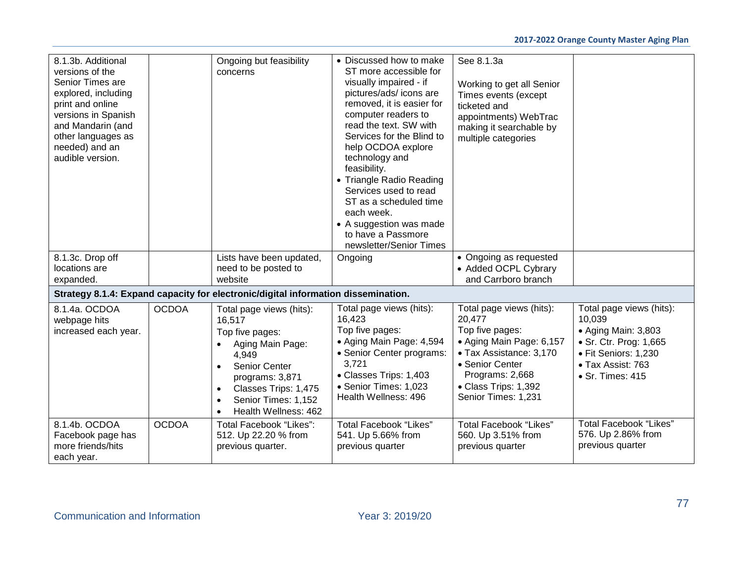| 8.1.3b. Additional<br>versions of the<br>Senior Times are<br>explored, including<br>print and online<br>versions in Spanish<br>and Mandarin (and<br>other languages as<br>needed) and an<br>audible version. |              | Ongoing but feasibility<br>concerns                                                                                                                                                                                                               | • Discussed how to make<br>ST more accessible for<br>visually impaired - if<br>pictures/ads/ icons are<br>removed, it is easier for<br>computer readers to<br>read the text. SW with<br>Services for the Blind to<br>help OCDOA explore<br>technology and<br>feasibility.<br>• Triangle Radio Reading<br>Services used to read<br>ST as a scheduled time<br>each week.<br>• A suggestion was made<br>to have a Passmore<br>newsletter/Senior Times | See 8.1.3a<br>Working to get all Senior<br>Times events (except<br>ticketed and<br>appointments) WebTrac<br>making it searchable by<br>multiple categories                                        |                                                                                                                                                              |
|--------------------------------------------------------------------------------------------------------------------------------------------------------------------------------------------------------------|--------------|---------------------------------------------------------------------------------------------------------------------------------------------------------------------------------------------------------------------------------------------------|----------------------------------------------------------------------------------------------------------------------------------------------------------------------------------------------------------------------------------------------------------------------------------------------------------------------------------------------------------------------------------------------------------------------------------------------------|---------------------------------------------------------------------------------------------------------------------------------------------------------------------------------------------------|--------------------------------------------------------------------------------------------------------------------------------------------------------------|
| 8.1.3c. Drop off<br>locations are                                                                                                                                                                            |              | Lists have been updated,<br>need to be posted to                                                                                                                                                                                                  | Ongoing                                                                                                                                                                                                                                                                                                                                                                                                                                            | • Ongoing as requested<br>• Added OCPL Cybrary                                                                                                                                                    |                                                                                                                                                              |
| expanded.                                                                                                                                                                                                    |              | website                                                                                                                                                                                                                                           |                                                                                                                                                                                                                                                                                                                                                                                                                                                    | and Carrboro branch                                                                                                                                                                               |                                                                                                                                                              |
|                                                                                                                                                                                                              |              | Strategy 8.1.4: Expand capacity for electronic/digital information dissemination.                                                                                                                                                                 |                                                                                                                                                                                                                                                                                                                                                                                                                                                    |                                                                                                                                                                                                   |                                                                                                                                                              |
| 8.1.4a. OCDOA<br>webpage hits<br>increased each year.                                                                                                                                                        | <b>OCDOA</b> | Total page views (hits):<br>16,517<br>Top five pages:<br>Aging Main Page:<br>4,949<br>Senior Center<br>$\bullet$<br>programs: 3,871<br>Classes Trips: 1,475<br>$\bullet$<br>Senior Times: 1,152<br>$\bullet$<br>Health Wellness: 462<br>$\bullet$ | Total page views (hits):<br>16,423<br>Top five pages:<br>• Aging Main Page: 4,594<br>• Senior Center programs:<br>3,721<br>• Classes Trips: 1,403<br>• Senior Times: 1,023<br>Health Wellness: 496                                                                                                                                                                                                                                                 | Total page views (hits):<br>20,477<br>Top five pages:<br>• Aging Main Page: 6,157<br>• Tax Assistance: 3,170<br>• Senior Center<br>Programs: 2,668<br>• Class Trips: 1,392<br>Senior Times: 1,231 | Total page views (hits):<br>10,039<br>• Aging Main: 3,803<br>• Sr. Ctr. Prog: 1,665<br>· Fit Seniors: 1,230<br>• Tax Assist: 763<br>$\bullet$ Sr. Times: 415 |
| 8.1.4b. OCDOA<br>Facebook page has<br>more friends/hits<br>each year.                                                                                                                                        | <b>OCDOA</b> | Total Facebook "Likes":<br>512. Up 22.20 % from<br>previous quarter.                                                                                                                                                                              | <b>Total Facebook "Likes"</b><br>541. Up 5.66% from<br>previous quarter                                                                                                                                                                                                                                                                                                                                                                            | <b>Total Facebook "Likes"</b><br>560. Up 3.51% from<br>previous quarter                                                                                                                           | <b>Total Facebook "Likes"</b><br>576. Up 2.86% from<br>previous quarter                                                                                      |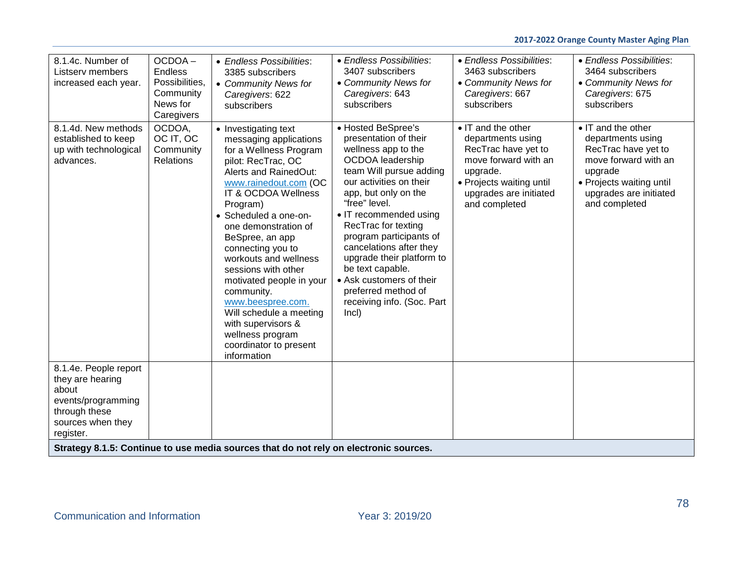| 8.1.4c. Number of<br>Listserv members<br>increased each year.                                                               | OCDOA-<br>Endless<br>Possibilities.<br>Community<br>News for<br>Caregivers | • Endless Possibilities:<br>3385 subscribers<br>• Community News for<br>Caregivers: 622<br>subscribers                                                                                                                                                                                                                                                                                                                                                                                                    | • Endless Possibilities:<br>3407 subscribers<br>• Community News for<br>Caregivers: 643<br>subscribers                                                                                                                                                                                                                                                                                                                                  | • Endless Possibilities:<br>3463 subscribers<br>• Community News for<br>Caregivers: 667<br>subscribers                                                                    | • Endless Possibilities:<br>3464 subscribers<br>• Community News for<br>Caregivers: 675<br>subscribers                                                                   |
|-----------------------------------------------------------------------------------------------------------------------------|----------------------------------------------------------------------------|-----------------------------------------------------------------------------------------------------------------------------------------------------------------------------------------------------------------------------------------------------------------------------------------------------------------------------------------------------------------------------------------------------------------------------------------------------------------------------------------------------------|-----------------------------------------------------------------------------------------------------------------------------------------------------------------------------------------------------------------------------------------------------------------------------------------------------------------------------------------------------------------------------------------------------------------------------------------|---------------------------------------------------------------------------------------------------------------------------------------------------------------------------|--------------------------------------------------------------------------------------------------------------------------------------------------------------------------|
| 8.1.4d. New methods<br>established to keep<br>up with technological<br>advances.                                            | OCDOA,<br>OC IT, OC<br>Community<br>Relations                              | • Investigating text<br>messaging applications<br>for a Wellness Program<br>pilot: RecTrac, OC<br>Alerts and RainedOut:<br>www.rainedout.com (OC<br>IT & OCDOA Wellness<br>Program)<br>• Scheduled a one-on-<br>one demonstration of<br>BeSpree, an app<br>connecting you to<br>workouts and wellness<br>sessions with other<br>motivated people in your<br>community.<br>www.beespree.com.<br>Will schedule a meeting<br>with supervisors &<br>wellness program<br>coordinator to present<br>information | • Hosted BeSpree's<br>presentation of their<br>wellness app to the<br>OCDOA leadership<br>team Will pursue adding<br>our activities on their<br>app, but only on the<br>"free" level.<br>• IT recommended using<br>RecTrac for texting<br>program participants of<br>cancelations after they<br>upgrade their platform to<br>be text capable.<br>• Ask customers of their<br>preferred method of<br>receiving info. (Soc. Part<br>Incl) | • IT and the other<br>departments using<br>RecTrac have yet to<br>move forward with an<br>upgrade.<br>• Projects waiting until<br>upgrades are initiated<br>and completed | • IT and the other<br>departments using<br>RecTrac have yet to<br>move forward with an<br>upgrade<br>• Projects waiting until<br>upgrades are initiated<br>and completed |
| 8.1.4e. People report<br>they are hearing<br>about<br>events/programming<br>through these<br>sources when they<br>register. |                                                                            |                                                                                                                                                                                                                                                                                                                                                                                                                                                                                                           |                                                                                                                                                                                                                                                                                                                                                                                                                                         |                                                                                                                                                                           |                                                                                                                                                                          |
|                                                                                                                             |                                                                            | Strategy 8.1.5: Continue to use media sources that do not rely on electronic sources.                                                                                                                                                                                                                                                                                                                                                                                                                     |                                                                                                                                                                                                                                                                                                                                                                                                                                         |                                                                                                                                                                           |                                                                                                                                                                          |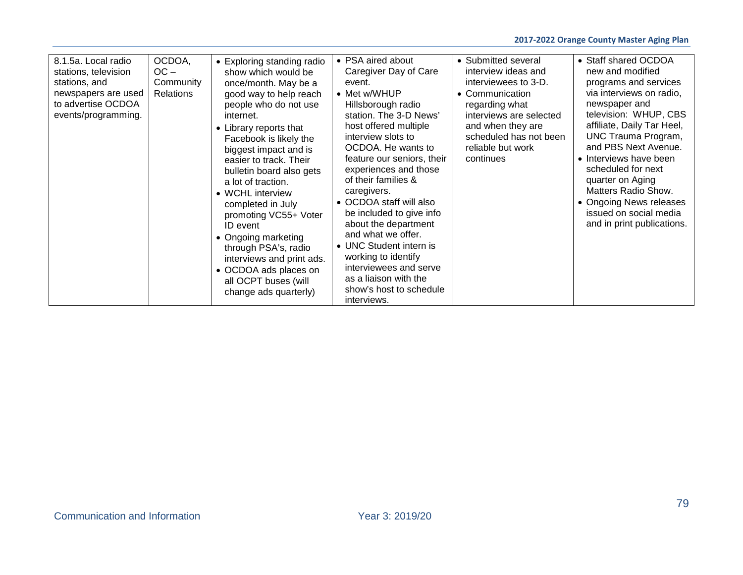| 8.1.5a. Local radio<br>stations, television<br>stations, and<br>newspapers are used<br>to advertise OCDOA<br>events/programming. | OCDOA,<br>$OC -$<br>Community<br><b>Relations</b> | • Exploring standing radio<br>show which would be<br>once/month. May be a<br>good way to help reach<br>people who do not use<br>internet.<br>• Library reports that<br>Facebook is likely the<br>biggest impact and is<br>easier to track. Their<br>bulletin board also gets<br>a lot of traction.<br>• WCHL interview<br>completed in July<br>promoting VC55+ Voter<br>ID event<br>• Ongoing marketing<br>through PSA's, radio<br>interviews and print ads.<br>• OCDOA ads places on<br>all OCPT buses (will<br>change ads quarterly) | • PSA aired about<br>Caregiver Day of Care<br>event.<br>• Met w/WHUP<br>Hillsborough radio<br>station. The 3-D News'<br>host offered multiple<br>interview slots to<br>OCDOA. He wants to<br>feature our seniors, their<br>experiences and those<br>of their families &<br>caregivers.<br>• OCDOA staff will also<br>be included to give info<br>about the department<br>and what we offer.<br>• UNC Student intern is<br>working to identify<br>interviewees and serve<br>as a liaison with the<br>show's host to schedule<br>interviews. | • Submitted several<br>interview ideas and<br>interviewees to 3-D.<br>• Communication<br>regarding what<br>interviews are selected<br>and when they are<br>scheduled has not been<br>reliable but work<br>continues | • Staff shared OCDOA<br>new and modified<br>programs and services<br>via interviews on radio,<br>newspaper and<br>television: WHUP, CBS<br>affiliate, Daily Tar Heel,<br><b>UNC Trauma Program,</b><br>and PBS Next Avenue.<br>• Interviews have been<br>scheduled for next<br>quarter on Aging<br>Matters Radio Show.<br>• Ongoing News releases<br>issued on social media<br>and in print publications. |
|----------------------------------------------------------------------------------------------------------------------------------|---------------------------------------------------|----------------------------------------------------------------------------------------------------------------------------------------------------------------------------------------------------------------------------------------------------------------------------------------------------------------------------------------------------------------------------------------------------------------------------------------------------------------------------------------------------------------------------------------|--------------------------------------------------------------------------------------------------------------------------------------------------------------------------------------------------------------------------------------------------------------------------------------------------------------------------------------------------------------------------------------------------------------------------------------------------------------------------------------------------------------------------------------------|---------------------------------------------------------------------------------------------------------------------------------------------------------------------------------------------------------------------|-----------------------------------------------------------------------------------------------------------------------------------------------------------------------------------------------------------------------------------------------------------------------------------------------------------------------------------------------------------------------------------------------------------|
|----------------------------------------------------------------------------------------------------------------------------------|---------------------------------------------------|----------------------------------------------------------------------------------------------------------------------------------------------------------------------------------------------------------------------------------------------------------------------------------------------------------------------------------------------------------------------------------------------------------------------------------------------------------------------------------------------------------------------------------------|--------------------------------------------------------------------------------------------------------------------------------------------------------------------------------------------------------------------------------------------------------------------------------------------------------------------------------------------------------------------------------------------------------------------------------------------------------------------------------------------------------------------------------------------|---------------------------------------------------------------------------------------------------------------------------------------------------------------------------------------------------------------------|-----------------------------------------------------------------------------------------------------------------------------------------------------------------------------------------------------------------------------------------------------------------------------------------------------------------------------------------------------------------------------------------------------------|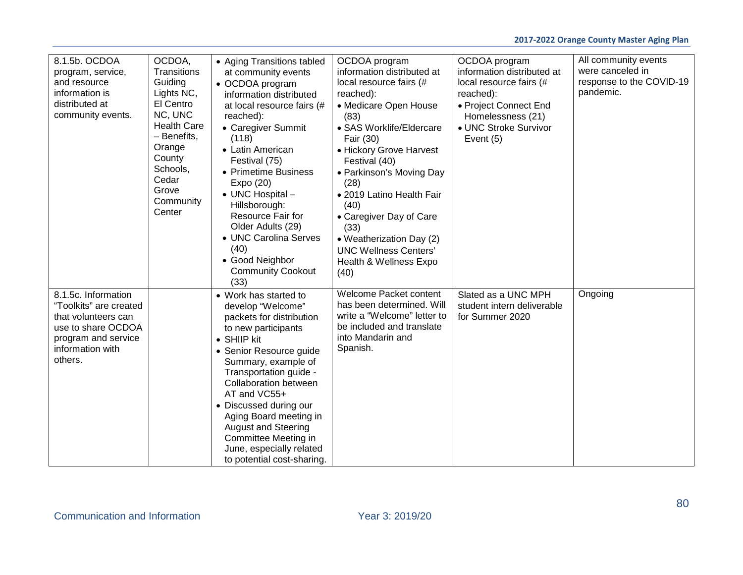| 8.1.5b. OCDOA<br>program, service,<br>and resource<br>information is<br>distributed at<br>community events.                                      | OCDOA,<br>Transitions<br>Guiding<br>Lights NC,<br>El Centro<br>NC, UNC<br><b>Health Care</b><br>- Benefits,<br>Orange<br>County<br>Schools,<br>Cedar<br>Grove<br>Community<br>Center | • Aging Transitions tabled<br>at community events<br>• OCDOA program<br>information distributed<br>at local resource fairs (#<br>reached):<br>• Caregiver Summit<br>(118)<br>• Latin American<br>Festival (75)<br>• Primetime Business<br>Expo (20)<br>• UNC Hospital -<br>Hillsborough:<br>Resource Fair for<br>Older Adults (29)<br>• UNC Carolina Serves<br>(40)<br>• Good Neighbor<br><b>Community Cookout</b><br>(33) | OCDOA program<br>information distributed at<br>local resource fairs (#<br>reached):<br>• Medicare Open House<br>(83)<br>· SAS Worklife/Eldercare<br>Fair (30)<br>• Hickory Grove Harvest<br>Festival (40)<br>• Parkinson's Moving Day<br>(28)<br>• 2019 Latino Health Fair<br>(40)<br>• Caregiver Day of Care<br>(33)<br>• Weatherization Day (2)<br><b>UNC Wellness Centers'</b><br>Health & Wellness Expo<br>(40) | OCDOA program<br>information distributed at<br>local resource fairs (#<br>reached):<br>• Project Connect End<br>Homelessness (21)<br>• UNC Stroke Survivor<br>Event (5) | All community events<br>were canceled in<br>response to the COVID-19<br>pandemic. |
|--------------------------------------------------------------------------------------------------------------------------------------------------|--------------------------------------------------------------------------------------------------------------------------------------------------------------------------------------|----------------------------------------------------------------------------------------------------------------------------------------------------------------------------------------------------------------------------------------------------------------------------------------------------------------------------------------------------------------------------------------------------------------------------|---------------------------------------------------------------------------------------------------------------------------------------------------------------------------------------------------------------------------------------------------------------------------------------------------------------------------------------------------------------------------------------------------------------------|-------------------------------------------------------------------------------------------------------------------------------------------------------------------------|-----------------------------------------------------------------------------------|
| 8.1.5c. Information<br>"Toolkits" are created<br>that volunteers can<br>use to share OCDOA<br>program and service<br>information with<br>others. |                                                                                                                                                                                      | • Work has started to<br>develop "Welcome"<br>packets for distribution<br>to new participants<br>• SHIIP kit<br>• Senior Resource guide<br>Summary, example of<br>Transportation guide -<br><b>Collaboration between</b><br>AT and VC55+<br>• Discussed during our<br>Aging Board meeting in<br><b>August and Steering</b><br>Committee Meeting in<br>June, especially related<br>to potential cost-sharing.               | Welcome Packet content<br>has been determined. Will<br>write a "Welcome" letter to<br>be included and translate<br>into Mandarin and<br>Spanish.                                                                                                                                                                                                                                                                    | Slated as a UNC MPH<br>student intern deliverable<br>for Summer 2020                                                                                                    | Ongoing                                                                           |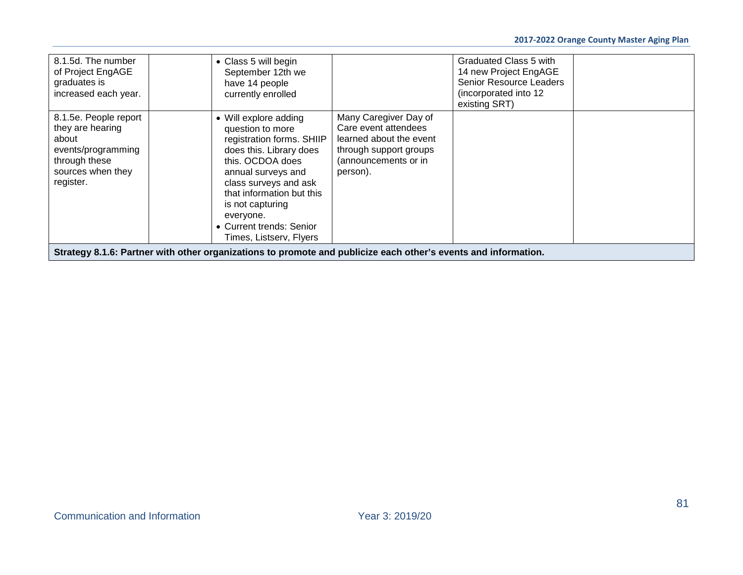| 8.1.5d. The number<br>of Project EngAGE<br>graduates is<br>increased each year.                                             | • Class 5 will begin<br>September 12th we<br>have 14 people<br>currently enrolled                                                                                                                                                                                                         |                                                                                                                                        | Graduated Class 5 with<br>14 new Project EngAGE<br><b>Senior Resource Leaders</b><br>(incorporated into 12)<br>existing SRT) |  |
|-----------------------------------------------------------------------------------------------------------------------------|-------------------------------------------------------------------------------------------------------------------------------------------------------------------------------------------------------------------------------------------------------------------------------------------|----------------------------------------------------------------------------------------------------------------------------------------|------------------------------------------------------------------------------------------------------------------------------|--|
| 8.1.5e. People report<br>they are hearing<br>about<br>events/programming<br>through these<br>sources when they<br>register. | • Will explore adding<br>question to more<br>registration forms. SHIIP<br>does this. Library does<br>this, OCDOA does<br>annual surveys and<br>class surveys and ask<br>that information but this<br>is not capturing<br>everyone.<br>• Current trends: Senior<br>Times, Listserv, Flyers | Many Caregiver Day of<br>Care event attendees<br>learned about the event<br>through support groups<br>(announcements or in<br>person). |                                                                                                                              |  |
|                                                                                                                             | Strategy 8.1.6: Partner with other organizations to promote and publicize each other's events and information.                                                                                                                                                                            |                                                                                                                                        |                                                                                                                              |  |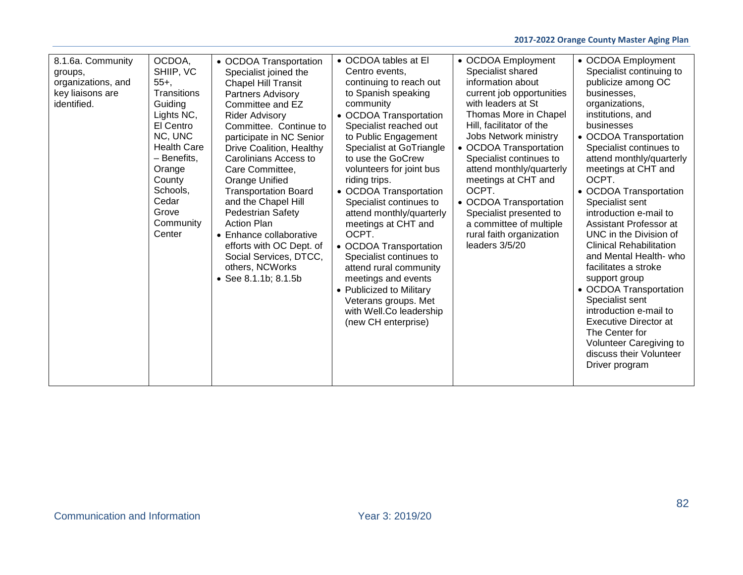| 8.1.6a. Community<br>groups,<br>organizations, and<br>key liaisons are<br>identified. | OCDOA,<br>SHIIP, VC<br>$55+$ ,<br>Transitions<br>Guiding<br>Lights NC,<br>El Centro<br>NC, UNC<br><b>Health Care</b><br>- Benefits,<br>Orange<br>County<br>Schools,<br>Cedar<br>Grove<br>Community<br>Center | • OCDOA Transportation<br>Specialist joined the<br>Chapel Hill Transit<br>Partners Advisory<br>Committee and EZ<br><b>Rider Advisory</b><br>Committee. Continue to<br>participate in NC Senior<br>Drive Coalition, Healthy<br>Carolinians Access to<br>Care Committee,<br>Orange Unified<br><b>Transportation Board</b><br>and the Chapel Hill<br><b>Pedestrian Safety</b><br><b>Action Plan</b><br>• Enhance collaborative<br>efforts with OC Dept. of<br>Social Services, DTCC,<br>others, NCWorks<br>• See 8.1.1b; 8.1.5b | • OCDOA tables at El<br>Centro events.<br>continuing to reach out<br>to Spanish speaking<br>community<br>• OCDOA Transportation<br>Specialist reached out<br>to Public Engagement<br>Specialist at GoTriangle<br>to use the GoCrew<br>volunteers for joint bus<br>riding trips.<br>• OCDOA Transportation<br>Specialist continues to<br>attend monthly/quarterly<br>meetings at CHT and<br>OCPT.<br>• OCDOA Transportation<br>Specialist continues to<br>attend rural community<br>meetings and events<br>• Publicized to Military<br>Veterans groups. Met<br>with Well.Co leadership<br>(new CH enterprise) | • OCDOA Employment<br>Specialist shared<br>information about<br>current job opportunities<br>with leaders at St<br>Thomas More in Chapel<br>Hill, facilitator of the<br>Jobs Network ministry<br>• OCDOA Transportation<br>Specialist continues to<br>attend monthly/quarterly<br>meetings at CHT and<br>OCPT.<br>• OCDOA Transportation<br>Specialist presented to<br>a committee of multiple<br>rural faith organization<br>leaders $3/5/20$ | • OCDOA Employment<br>Specialist continuing to<br>publicize among OC<br>businesses,<br>organizations,<br>institutions, and<br>businesses<br>• OCDOA Transportation<br>Specialist continues to<br>attend monthly/quarterly<br>meetings at CHT and<br>OCPT.<br>• OCDOA Transportation<br>Specialist sent<br>introduction e-mail to<br>Assistant Professor at<br>UNC in the Division of<br><b>Clinical Rehabilitation</b><br>and Mental Health- who<br>facilitates a stroke<br>support group<br>• OCDOA Transportation<br>Specialist sent<br>introduction e-mail to<br><b>Executive Director at</b><br>The Center for<br>Volunteer Caregiving to<br>discuss their Volunteer<br>Driver program |
|---------------------------------------------------------------------------------------|--------------------------------------------------------------------------------------------------------------------------------------------------------------------------------------------------------------|------------------------------------------------------------------------------------------------------------------------------------------------------------------------------------------------------------------------------------------------------------------------------------------------------------------------------------------------------------------------------------------------------------------------------------------------------------------------------------------------------------------------------|--------------------------------------------------------------------------------------------------------------------------------------------------------------------------------------------------------------------------------------------------------------------------------------------------------------------------------------------------------------------------------------------------------------------------------------------------------------------------------------------------------------------------------------------------------------------------------------------------------------|------------------------------------------------------------------------------------------------------------------------------------------------------------------------------------------------------------------------------------------------------------------------------------------------------------------------------------------------------------------------------------------------------------------------------------------------|--------------------------------------------------------------------------------------------------------------------------------------------------------------------------------------------------------------------------------------------------------------------------------------------------------------------------------------------------------------------------------------------------------------------------------------------------------------------------------------------------------------------------------------------------------------------------------------------------------------------------------------------------------------------------------------------|
|---------------------------------------------------------------------------------------|--------------------------------------------------------------------------------------------------------------------------------------------------------------------------------------------------------------|------------------------------------------------------------------------------------------------------------------------------------------------------------------------------------------------------------------------------------------------------------------------------------------------------------------------------------------------------------------------------------------------------------------------------------------------------------------------------------------------------------------------------|--------------------------------------------------------------------------------------------------------------------------------------------------------------------------------------------------------------------------------------------------------------------------------------------------------------------------------------------------------------------------------------------------------------------------------------------------------------------------------------------------------------------------------------------------------------------------------------------------------------|------------------------------------------------------------------------------------------------------------------------------------------------------------------------------------------------------------------------------------------------------------------------------------------------------------------------------------------------------------------------------------------------------------------------------------------------|--------------------------------------------------------------------------------------------------------------------------------------------------------------------------------------------------------------------------------------------------------------------------------------------------------------------------------------------------------------------------------------------------------------------------------------------------------------------------------------------------------------------------------------------------------------------------------------------------------------------------------------------------------------------------------------------|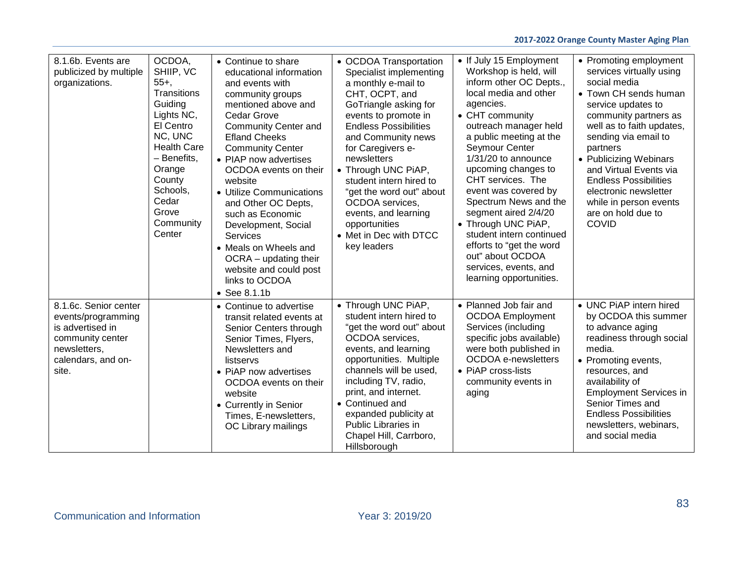## **2017-2022 Orange County Master Aging Plan**

| 8.1.6b. Events are<br>publicized by multiple<br>organizations.                                                                     | OCDOA,<br>SHIIP, VC<br>$55+$ ,<br>Transitions<br>Guiding<br>Lights NC,<br>El Centro<br>NC, UNC<br><b>Health Care</b><br>- Benefits,<br>Orange<br>County<br>Schools,<br>Cedar<br>Grove<br>Community<br>Center | • Continue to share<br>educational information<br>and events with<br>community groups<br>mentioned above and<br><b>Cedar Grove</b><br><b>Community Center and</b><br><b>Efland Cheeks</b><br><b>Community Center</b><br>• PIAP now advertises<br>OCDOA events on their<br>website<br>• Utilize Communications<br>and Other OC Depts,<br>such as Economic<br>Development, Social<br><b>Services</b><br>• Meals on Wheels and<br>OCRA - updating their<br>website and could post<br>links to OCDOA<br>$\bullet$ See 8.1.1b | • OCDOA Transportation<br>Specialist implementing<br>a monthly e-mail to<br>CHT, OCPT, and<br>GoTriangle asking for<br>events to promote in<br><b>Endless Possibilities</b><br>and Community news<br>for Caregivers e-<br>newsletters<br>• Through UNC PiAP,<br>student intern hired to<br>"get the word out" about<br>OCDOA services,<br>events, and learning<br>opportunities<br>• Met in Dec with DTCC<br>key leaders | • If July 15 Employment<br>Workshop is held, will<br>inform other OC Depts.,<br>local media and other<br>agencies.<br>• CHT community<br>outreach manager held<br>a public meeting at the<br><b>Seymour Center</b><br>$1/31/20$ to announce<br>upcoming changes to<br>CHT services. The<br>event was covered by<br>Spectrum News and the<br>segment aired 2/4/20<br>• Through UNC PiAP,<br>student intern continued<br>efforts to "get the word<br>out" about OCDOA<br>services, events, and<br>learning opportunities. | • Promoting employment<br>services virtually using<br>social media<br>• Town CH sends human<br>service updates to<br>community partners as<br>well as to faith updates,<br>sending via email to<br>partners<br>• Publicizing Webinars<br>and Virtual Events via<br><b>Endless Possibilities</b><br>electronic newsletter<br>while in person events<br>are on hold due to<br><b>COVID</b> |
|------------------------------------------------------------------------------------------------------------------------------------|--------------------------------------------------------------------------------------------------------------------------------------------------------------------------------------------------------------|--------------------------------------------------------------------------------------------------------------------------------------------------------------------------------------------------------------------------------------------------------------------------------------------------------------------------------------------------------------------------------------------------------------------------------------------------------------------------------------------------------------------------|--------------------------------------------------------------------------------------------------------------------------------------------------------------------------------------------------------------------------------------------------------------------------------------------------------------------------------------------------------------------------------------------------------------------------|-------------------------------------------------------------------------------------------------------------------------------------------------------------------------------------------------------------------------------------------------------------------------------------------------------------------------------------------------------------------------------------------------------------------------------------------------------------------------------------------------------------------------|------------------------------------------------------------------------------------------------------------------------------------------------------------------------------------------------------------------------------------------------------------------------------------------------------------------------------------------------------------------------------------------|
| 8.1.6c. Senior center<br>events/programming<br>is advertised in<br>community center<br>newsletters,<br>calendars, and on-<br>site. |                                                                                                                                                                                                              | • Continue to advertise<br>transit related events at<br>Senior Centers through<br>Senior Times, Flyers,<br>Newsletters and<br>listservs<br>• PIAP now advertises<br>OCDOA events on their<br>website<br>• Currently in Senior<br>Times, E-newsletters,<br>OC Library mailings                                                                                                                                                                                                                                            | • Through UNC PiAP,<br>student intern hired to<br>"get the word out" about<br>OCDOA services.<br>events, and learning<br>opportunities. Multiple<br>channels will be used.<br>including TV, radio,<br>print, and internet.<br>• Continued and<br>expanded publicity at<br>Public Libraries in<br>Chapel Hill, Carrboro,<br>Hillsborough                                                                                  | • Planned Job fair and<br><b>OCDOA</b> Employment<br>Services (including<br>specific jobs available)<br>were both published in<br><b>OCDOA</b> e-newsletters<br>• PIAP cross-lists<br>community events in<br>aging                                                                                                                                                                                                                                                                                                      | • UNC PiAP intern hired<br>by OCDOA this summer<br>to advance aging<br>readiness through social<br>media.<br>• Promoting events,<br>resources, and<br>availability of<br><b>Employment Services in</b><br>Senior Times and<br><b>Endless Possibilities</b><br>newsletters, webinars,<br>and social media                                                                                 |